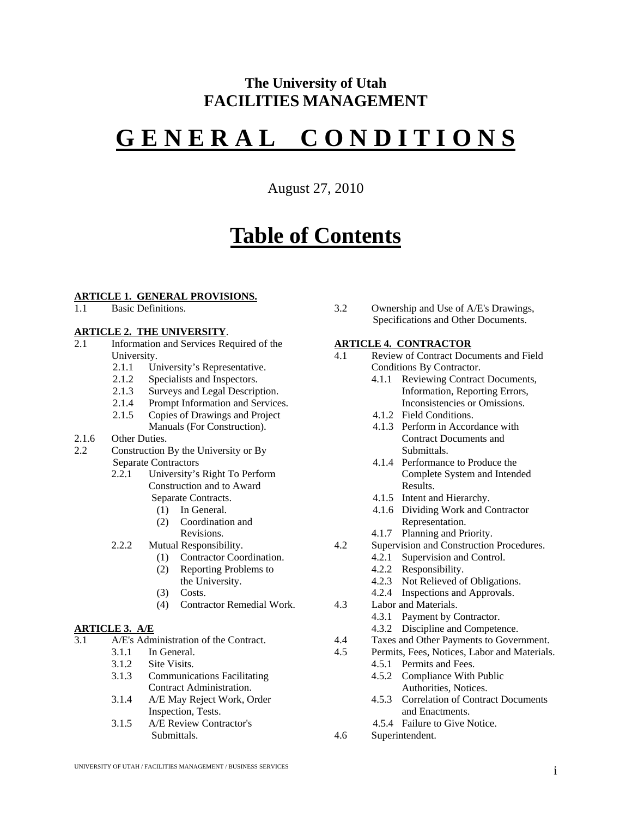# **The University of Utah FACILITIES MANAGEMENT**

# **G E N E R A L C O N D I T I O N S**

August 27, 2010

# **Table of Contents**

#### **ARTICLE 1. GENERAL PROVISIONS.**

1.1 Basic Definitions.

#### **ARTICLE 2. THE UNIVERSITY**.

- 2.1 Information and Services Required of the University.
	- 2.1.1 University's Representative.
	- 2.1.2 Specialists and Inspectors.
	- 2.1.3 Surveys and Legal Description.<br>2.1.4 Prompt Information and Service
	- Prompt Information and Services.
	- 2.1.5 Copies of Drawings and Project
	- Manuals (For Construction).
- 2.1.6 Other Duties.
- 2.2 Construction By the University or By Separate Contractors
	- 2.2.1 University's Right To Perform Construction and to Award Separate Contracts.
		- (1) In General.
		- (2) Coordination and Revisions.
	- 2.2.2 Mutual Responsibility.
		- (1) Contractor Coordination.
		- (2) Reporting Problems to
			- the University.
		- (3) Costs.
		- (4) Contractor Remedial Work.

#### **ARTICLE 3. A/E**

- 3.1  $A/E's$  Administration of the Contract.<br>3.1.1 In General
	- In General
	- 3.1.2 Site Visits.
	- 3.1.3 Communications Facilitating Contract Administration.
	- 3.1.4 A/E May Reject Work, Order Inspection, Tests.
	- 3.1.5 A/E Review Contractor's Submittals.

3.2 Ownership and Use of A/E's Drawings, Specifications and Other Documents.

# **ARTICLE 4. CONTRACTOR**<br>4.1 Review of Contract Docu

- 4.1 Review of Contract Documents and Field Conditions By Contractor.
	- 4.1.1 Reviewing Contract Documents, Information, Reporting Errors, Inconsistencies or Omissions.
	- 4.1.2 Field Conditions.
	- 4.1.3 Perform in Accordance with Contract Documents and Submittals.
	- 4.1.4 Performance to Produce the Complete System and Intended Results.
	- 4.1.5 Intent and Hierarchy.
	- 4.1.6 Dividing Work and Contractor Representation.
	- 4.1.7 Planning and Priority.
- 4.2 Supervision and Construction Procedures.
	- 4.2.1 Supervision and Control.
		- 4.2.2 Responsibility.
		- 4.2.3 Not Relieved of Obligations.
	- 4.2.4 Inspections and Approvals.
- 4.3 Labor and Materials.
	- 4.3.1 Payment by Contractor.
	- 4.3.2 Discipline and Competence.
- 4.4 Taxes and Other Payments to Government.<br>4.5 Permits Fees Notices Labor and Materials
- Permits, Fees, Notices, Labor and Materials.
	- 4.5.1 Permits and Fees.
	- 4.5.2 Compliance With Public
	- Authorities, Notices. 4.5.3 Correlation of Contract Documents
	- and Enactments.
	- 4.5.4 Failure to Give Notice.
- 4.6 Superintendent.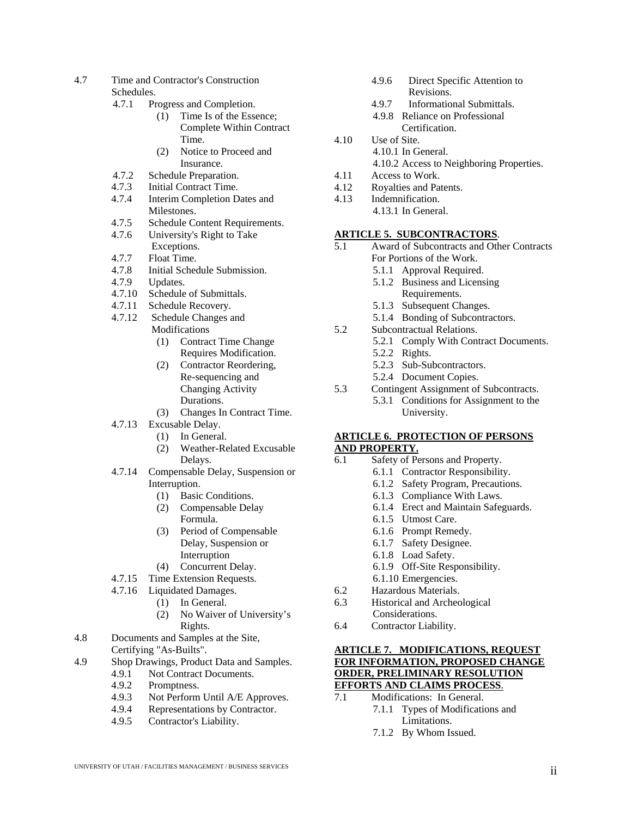- 4.7 Time and Contractor's Construction Schedules.
	- 4.7.1 Progress and Completion.
		- (1) Time Is of the Essence; Complete Within Contract Time.
		- (2) Notice to Proceed and Insurance.
	- 4.7.2 Schedule Preparation.<br>4.7.3 Initial Contract Time.
	- 4.7.3 Initial Contract Time.
	- 4.7.4 Interim Completion Dates and Milestones.
	- 4.7.5 Schedule Content Requirements.
	- 4.7.6 University's Right to Take Exceptions.
	- 4.7.7 Float Time.
	- 4.7.8 Initial Schedule Submission.
	- 4.7.9 Updates.
	- 4.7.10 Schedule of Submittals.<br>4.7.11 Schedule Recovery.
	- Schedule Recovery.
	- 4.7.12 Schedule Changes and **Modifications** 
		- (1) Contract Time Change Requires Modification.
		- (2) Contractor Reordering, Re-sequencing and Changing Activity Durations.
		- (3) Changes In Contract Time.
	- 4.7.13 Excusable Delay.
		- (1) In General.
			- (2) Weather-Related Excusable Delays.
	- 4.7.14 Compensable Delay, Suspension or Interruption.
		- (1) Basic Conditions.
		- (2) Compensable Delay Formula.
		- (3) Period of Compensable Delay, Suspension or Interruption
		- (4) Concurrent Delay.
	- 4.7.15 Time Extension Requests.
	- 4.7.16 Liquidated Damages.
		- (1) In General.
		- (2) No Waiver of University's Rights.
- 4.8 Documents and Samples at the Site, Certifying "As-Builts".
- 4.9 Shop Drawings, Product Data and Samples.
	- 4.9.1 Not Contract Documents.<br>4.9.2 Promptness. Promptness.
	- 4.9.3 Not Perform Until A/E Approves.
	-
	- 4.9.4 Representations by Contractor.<br>4.9.5 Contractor's Liability. Contractor's Liability.
- 4.9.6 Direct Specific Attention to Revisions.
- 4.9.7 Informational Submittals.
- 4.9.8 Reliance on Professional Certification.
- 4.10 Use of Site.
	- 4.10.1 In General.
	- 4.10.2 Access to Neighboring Properties.
- 4.11 Access to Work.
- 4.12 Royalties and Patents.
- 4.13 Indemnification. 4.13.1 In General.
	-
- **ARTICLE 5. SUBCONTRACTORS**.
- 5.1 Award of Subcontracts and Other Contracts For Portions of the Work.
	- 5.1.1 Approval Required.
	- 5.1.2 Business and Licensing Requirements.
	- 5.1.3 Subsequent Changes.
	- 5.1.4 Bonding of Subcontractors.
- 5.2 Subcontractual Relations.
	- 5.2.1 Comply With Contract Documents.
		- 5.2.2 Rights.
		- 5.2.3 Sub-Subcontractors.
	- 5.2.4 Document Copies.
- 5.3 Contingent Assignment of Subcontracts. 5.3.1 Conditions for Assignment to the University.

#### **ARTICLE 6. PROTECTION OF PERSONS AND PROPERTY.**

- 6.1 Safety of Persons and Property.
	- 6.1.1 Contractor Responsibility.
		- 6.1.2 Safety Program, Precautions.
		- 6.1.3 Compliance With Laws.
		- 6.1.4 Erect and Maintain Safeguards.
		- 6.1.5 Utmost Care.
		- 6.1.6 Prompt Remedy.
		- 6.1.7 Safety Designee.
		- 6.1.8 Load Safety.
		- 6.1.9 Off-Site Responsibility.
	- 6.1.10 Emergencies.
- 6.2 Hazardous Materials.
- 6.3 Historical and Archeological
- Considerations.
- 6.4 Contractor Liability.

#### **ARTICLE 7. MODIFICATIONS, REQUEST FOR INFORMATION, PROPOSED CHANGE ORDER, PRELIMINARY RESOLUTION EFFORTS AND CLAIMS PROCESS**.

- 7.1 Modifications: In General.
	- 7.1.1 Types of Modifications and Limitations.
		- 7.1.2 By Whom Issued.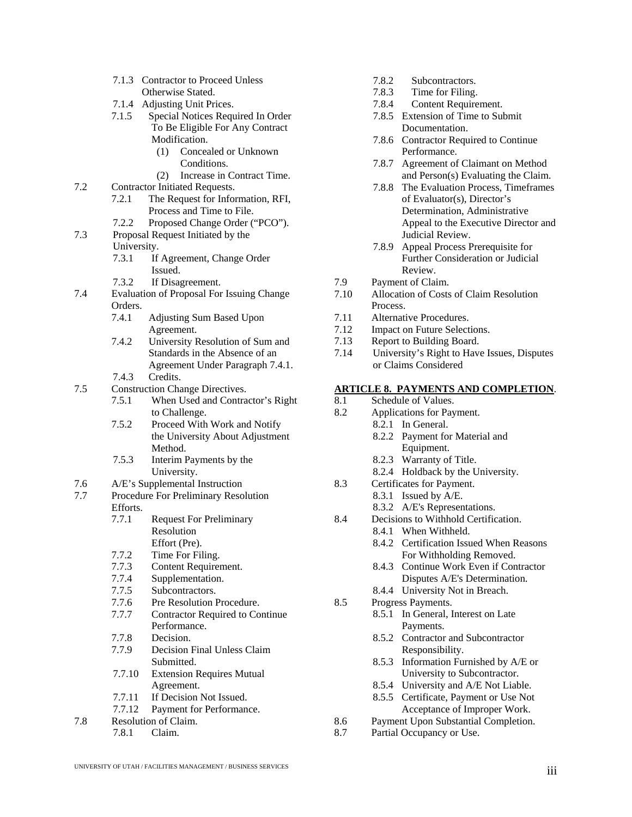- 7.1.3 Contractor to Proceed Unless Otherwise Stated.
- 7.1.4 Adjusting Unit Prices.<br>7.1.5 Special Notices Requ
- Special Notices Required In Order To Be Eligible For Any Contract Modification.
	- (1) Concealed or Unknown Conditions.
	- (2) Increase in Contract Time.
- 7.2 Contractor Initiated Requests.
	- 7.2.1 The Request for Information, RFI, Process and Time to File.
	- 7.2.2 Proposed Change Order ("PCO").
- 7.3 Proposal Request Initiated by the University.
	- 7.3.1 If Agreement, Change Order Issued.
	- 7.3.2 If Disagreement.
- 7.4 Evaluation of Proposal For Issuing Change Orders.<br>7.4.1
	- Adjusting Sum Based Upon Agreement.
	- 7.4.2 University Resolution of Sum and Standards in the Absence of an Agreement Under Paragraph 7.4.1.
	- 7.4.3 Credits.
- 7.5 Construction Change Directives.
	- 7.5.1 When Used and Contractor's Right to Challenge.
	- 7.5.2 Proceed With Work and Notify the University About Adjustment Method.
	- 7.5.3 Interim Payments by the University.
- 7.6 A/E's Supplemental Instruction
- 7.7 Procedure For Preliminary Resolution Efforts.
	- 7.7.1 Request For Preliminary Resolution Effort (Pre).
	- 7.7.2 Time For Filing.
	- 7.7.3 Content Requirement.<br>7.7.4 Supplementation.
	- Supplementation.
	- 7.7.5 Subcontractors.
	- 7.7.6 Pre Resolution Procedure.<br>7.7.7 Contractor Required to Co
	- **Contractor Required to Continue** Performance.
	-
	- 7.7.8 Decision.<br>7.7.9 Decision Decision Final Unless Claim Submitted.
	- 7.7.10 Extension Requires Mutual Agreement.
	- 7.7.11 If Decision Not Issued.
	- 7.7.12 Payment for Performance.
- 7.8 Resolution of Claim.
	- 7.8.1 Claim.
- 7.8.2 Subcontractors.
- 7.8.3 Time for Filing.
- 7.8.4 Content Requirement.
- 7.8.5 Extension of Time to Submit Documentation.
- 7.8.6 Contractor Required to Continue Performance.
- 7.8.7 Agreement of Claimant on Method and Person(s) Evaluating the Claim.
- 7.8.8 The Evaluation Process, Timeframes of Evaluator(s), Director's Determination, Administrative Appeal to the Executive Director and Judicial Review.
- 7.8.9 Appeal Process Prerequisite for Further Consideration or Judicial Review.
- 7.9 Payment of Claim.
- 7.10 Allocation of Costs of Claim Resolution Process.
- 7.11 Alternative Procedures.
- 7.12 Impact on Future Selections.
- 7.13 Report to Building Board.
- 7.14 University's Right to Have Issues, Disputes or Claims Considered

#### **ARTICLE 8. PAYMENTS AND COMPLETION**.

- 8.1 Schedule of Values.
- 8.2 Applications for Payment.
	- 8.2.1 In General.
		- 8.2.2 Payment for Material and Equipment.
			- 8.2.3 Warranty of Title.
		- 8.2.4 Holdback by the University.
- 8.3 Certificates for Payment.
	- 8.3.1 Issued by A/E.
	- 8.3.2 A/E's Representations.
- 8.4 Decisions to Withhold Certification.
	- 8.4.1 When Withheld.
	- 8.4.2 Certification Issued When Reasons For Withholding Removed.
	- 8.4.3 Continue Work Even if Contractor Disputes A/E's Determination.
	- 8.4.4 University Not in Breach.
- 8.5 Progress Payments.
	- 8.5.1 In General, Interest on Late Payments.
	- 8.5.2 Contractor and Subcontractor Responsibility.
	- 8.5.3 Information Furnished by A/E or University to Subcontractor.
	- 8.5.4 University and A/E Not Liable.
	- 8.5.5 Certificate, Payment or Use Not Acceptance of Improper Work.
- 8.6 Payment Upon Substantial Completion.
- 8.7 Partial Occupancy or Use.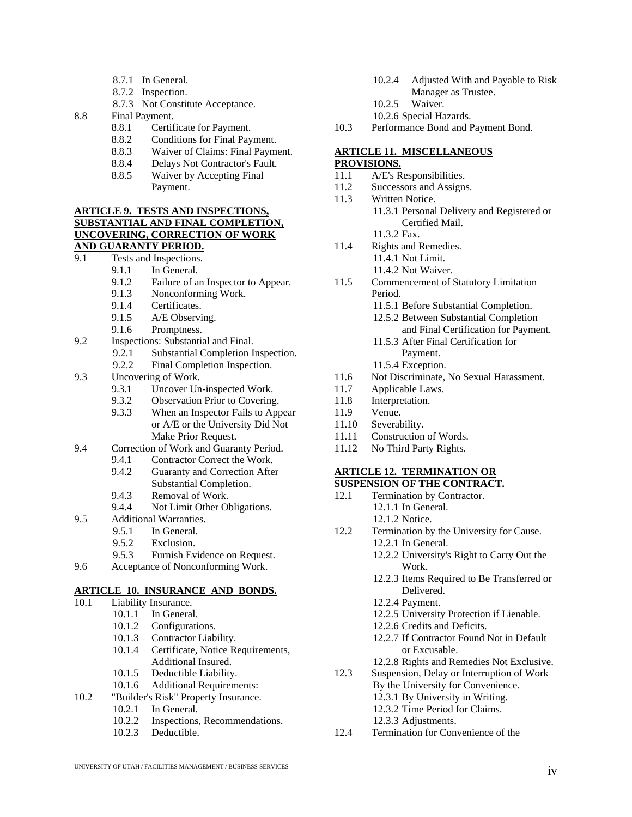- 8.7.1 In General.
- 8.7.2 Inspection.
- 8.7.3 Not Constitute Acceptance.
- 8.8 Final Payment.
	- 8.8.1 Certificate for Payment.
	- 8.8.2 Conditions for Final Payment.<br>8.8.3 Waiver of Claims: Final Paym
	- Waiver of Claims: Final Payment.
	- 8.8.4 Delays Not Contractor's Fault.
	- 8.8.5 Waiver by Accepting Final Payment.

#### **ARTICLE 9. TESTS AND INSPECTIONS, SUBSTANTIAL AND FINAL COMPLETION, UNCOVERING, CORRECTION OF WORK AND GUARANTY PERIOD.**

- 9.1 Tests and Inspections.
	- 9.1.1 In General.
	- 9.1.2 Failure of an Inspector to Appear.<br>9.1.3 Nonconforming Work.
	- Nonconforming Work.
	- 9.1.4 Certificates.<br>9.1.5 A/E Observi
	- 9.1.5 A/E Observing.<br>9.1.6 Promptness.
	- Promptness.
- 9.2 Inspections: Substantial and Final.
	- 9.2.1 Substantial Completion Inspection.<br>9.2.2 Final Completion Inspection.
	- Final Completion Inspection.
- 9.3 Uncovering of Work.
	- 9.3.1 Uncover Un-inspected Work.
	- 9.3.2 Observation Prior to Covering.
	- 9.3.3 When an Inspector Fails to Appear or A/E or the University Did Not Make Prior Request.
- 9.4 Correction of Work and Guaranty Period.
	- 9.4.1 Contractor Correct the Work.
	- 9.4.2 Guaranty and Correction After Substantial Completion.
	- 9.4.3 Removal of Work.<br>9.4.4 Not Limit Other Ol
	- Not Limit Other Obligations.
- 9.5 Additional Warranties.
	- 9.5.1 In General.
	- 9.5.2 Exclusion.
	- 9.5.3 Furnish Evidence on Request.
- 9.6 Acceptance of Nonconforming Work.

#### **ARTICLE 10. INSURANCE AND BONDS.**

- 10.1 Liability Insurance.
	- 10.1.1 In General.
	- 10.1.2 Configurations.
	- 10.1.3 Contractor Liability.
	- 10.1.4 Certificate, Notice Requirements, Additional Insured.
	- 10.1.5 Deductible Liability.
	- 10.1.6 Additional Requirements:
- 10.2 "Builder's Risk" Property Insurance.
	- 10.2.1 In General.
		- 10.2.2 Inspections, Recommendations.
		- 10.2.3 Deductible.
- 10.2.4 Adjusted With and Payable to Risk Manager as Trustee.
- 10.2.5 Waiver.
- 10.2.6 Special Hazards.
- 10.3 Performance Bond and Payment Bond.

#### **ARTICLE 11. MISCELLANEOUS**

#### **PROVISIONS.**

- 11.1 A/E's Responsibilities.<br>11.2 Successors and Assigns
- Successors and Assigns.
- 11.3 Written Notice.
	- 11.3.1 Personal Delivery and Registered or Certified Mail.
		- 11.3.2 Fax.
- 11.4 Rights and Remedies.
	- 11.4.1 Not Limit.
	- 11.4.2 Not Waiver.
- 11.5 Commencement of Statutory Limitation Period.
	- 11.5.1 Before Substantial Completion.
	- 12.5.2 Between Substantial Completion
		- and Final Certification for Payment.
	- 11.5.3 After Final Certification for Payment.
	- 11.5.4 Exception.
- 11.6 Not Discriminate, No Sexual Harassment.
- 11.7 Applicable Laws.
- 11.8 Interpretation.
- 11.9 Venue.
- 11.10 Severability.<br>11.11 Construction
- Construction of Words.
- 11.12 No Third Party Rights.

#### **ARTICLE 12. TERMINATION OR**

#### **SUSPENSION OF THE CONTRACT.**

- 12.1 Termination by Contractor.
	- 12.1.1 In General.
	- 12.1.2 Notice.
- 12.2 Termination by the University for Cause.
	- 12.2.1 In General.
		- 12.2.2 University's Right to Carry Out the Work.
		- 12.2.3 Items Required to Be Transferred or Delivered.
	- 12.2.4 Payment.
	- 12.2.5 University Protection if Lienable.
	- 12.2.6 Credits and Deficits.
	- 12.2.7 If Contractor Found Not in Default or Excusable.
	- 12.2.8 Rights and Remedies Not Exclusive.
- 12.3 Suspension, Delay or Interruption of Work
	- By the University for Convenience.
	- 12.3.1 By University in Writing.
	- 12.3.2 Time Period for Claims.
	- 12.3.3 Adjustments.
- 12.4 Termination for Convenience of the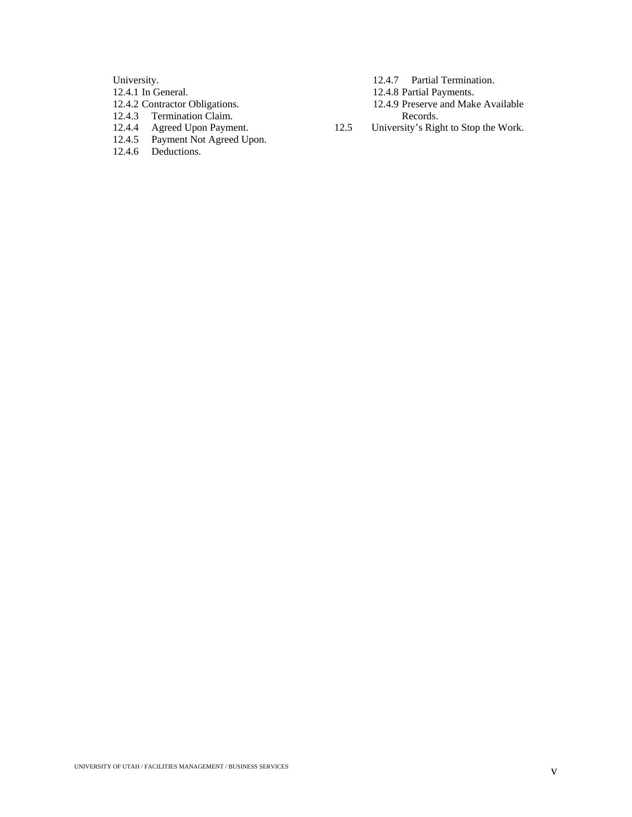University.

- 12.4.1 In General.
- 12.4.2 Contractor Obligations.
- 12.4.3 Termination Claim.
- 12.4.4 Agreed Upon Payment.
- 12.4.5 Payment Not Agreed Upon.
- 12.4.6 Deductions.
- 12.4.7 Partial Termination.
- 12.4.8 Partial Payments.
- 12.4.9 Preserve and Make Available Records.
- 12.5 University's Right to Stop the Work.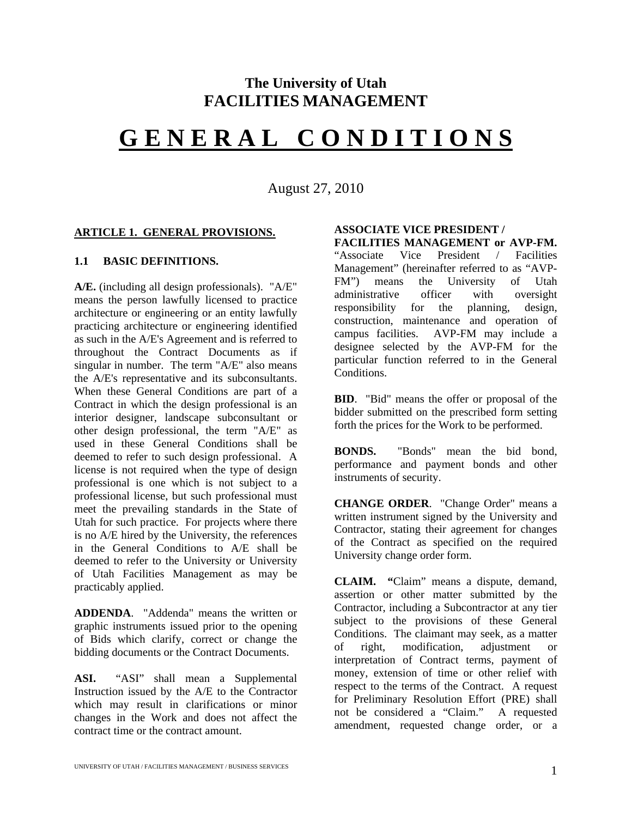# **The University of Utah FACILITIES MANAGEMENT**

# **G E N E R A L C O N D I T I O N S**

August 27, 2010

#### **ARTICLE 1. GENERAL PROVISIONS.**

#### **1.1 BASIC DEFINITIONS.**

**A/E.** (including all design professionals). "A/E" means the person lawfully licensed to practice architecture or engineering or an entity lawfully practicing architecture or engineering identified as such in the A/E's Agreement and is referred to throughout the Contract Documents as if singular in number. The term "A/E" also means the A/E's representative and its subconsultants. When these General Conditions are part of a Contract in which the design professional is an interior designer, landscape subconsultant or other design professional, the term "A/E" as used in these General Conditions shall be deemed to refer to such design professional. A license is not required when the type of design professional is one which is not subject to a professional license, but such professional must meet the prevailing standards in the State of Utah for such practice. For projects where there is no A/E hired by the University, the references in the General Conditions to A/E shall be deemed to refer to the University or University of Utah Facilities Management as may be practicably applied.

**ADDENDA**. "Addenda" means the written or graphic instruments issued prior to the opening of Bids which clarify, correct or change the bidding documents or the Contract Documents.

**ASI.** "ASI" shall mean a Supplemental Instruction issued by the A/E to the Contractor which may result in clarifications or minor changes in the Work and does not affect the contract time or the contract amount.

#### **ASSOCIATE VICE PRESIDENT / FACILITIES MANAGEMENT or AVP-FM.**

"Associate Vice President / Facilities Management" (hereinafter referred to as "AVP-FM") means the University of Utah administrative officer with oversight responsibility for the planning, design, construction, maintenance and operation of campus facilities. AVP-FM may include a designee selected by the AVP-FM for the particular function referred to in the General Conditions.

**BID**. "Bid" means the offer or proposal of the bidder submitted on the prescribed form setting forth the prices for the Work to be performed.

**BONDS.** "Bonds" mean the bid bond, performance and payment bonds and other instruments of security.

**CHANGE ORDER**. "Change Order" means a written instrument signed by the University and Contractor, stating their agreement for changes of the Contract as specified on the required University change order form.

**CLAIM. "**Claim" means a dispute, demand, assertion or other matter submitted by the Contractor, including a Subcontractor at any tier subject to the provisions of these General Conditions. The claimant may seek, as a matter of right, modification, adjustment or interpretation of Contract terms, payment of money, extension of time or other relief with respect to the terms of the Contract. A request for Preliminary Resolution Effort (PRE) shall not be considered a "Claim." A requested amendment, requested change order, or a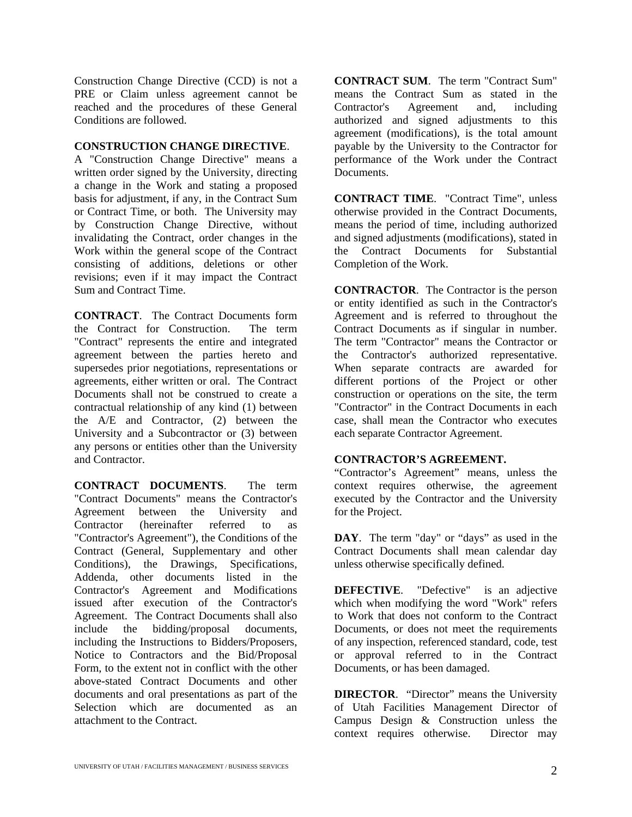Construction Change Directive (CCD) is not a PRE or Claim unless agreement cannot be reached and the procedures of these General Conditions are followed.

#### **CONSTRUCTION CHANGE DIRECTIVE**.

A "Construction Change Directive" means a written order signed by the University, directing a change in the Work and stating a proposed basis for adjustment, if any, in the Contract Sum or Contract Time, or both. The University may by Construction Change Directive, without invalidating the Contract, order changes in the Work within the general scope of the Contract consisting of additions, deletions or other revisions; even if it may impact the Contract Sum and Contract Time.

**CONTRACT**. The Contract Documents form the Contract for Construction. The term "Contract" represents the entire and integrated agreement between the parties hereto and supersedes prior negotiations, representations or agreements, either written or oral. The Contract Documents shall not be construed to create a contractual relationship of any kind (1) between the A/E and Contractor, (2) between the University and a Subcontractor or (3) between any persons or entities other than the University and Contractor.

**CONTRACT DOCUMENTS**. The term "Contract Documents" means the Contractor's Agreement between the University and Contractor (hereinafter referred to as "Contractor's Agreement"), the Conditions of the Contract (General, Supplementary and other Conditions), the Drawings, Specifications, Addenda, other documents listed in the Contractor's Agreement and Modifications issued after execution of the Contractor's Agreement. The Contract Documents shall also include the bidding/proposal documents, including the Instructions to Bidders/Proposers, Notice to Contractors and the Bid/Proposal Form, to the extent not in conflict with the other above-stated Contract Documents and other documents and oral presentations as part of the Selection which are documented as an attachment to the Contract.

**CONTRACT SUM**. The term "Contract Sum" means the Contract Sum as stated in the Contractor's Agreement and, including authorized and signed adjustments to this agreement (modifications), is the total amount payable by the University to the Contractor for performance of the Work under the Contract Documents.

**CONTRACT TIME**. "Contract Time", unless otherwise provided in the Contract Documents, means the period of time, including authorized and signed adjustments (modifications), stated in the Contract Documents for Substantial Completion of the Work.

**CONTRACTOR**. The Contractor is the person or entity identified as such in the Contractor's Agreement and is referred to throughout the Contract Documents as if singular in number. The term "Contractor" means the Contractor or the Contractor's authorized representative. When separate contracts are awarded for different portions of the Project or other construction or operations on the site, the term "Contractor" in the Contract Documents in each case, shall mean the Contractor who executes each separate Contractor Agreement.

#### **CONTRACTOR'S AGREEMENT.**

"Contractor's Agreement" means, unless the context requires otherwise, the agreement executed by the Contractor and the University for the Project.

**DAY**. The term "day" or "days" as used in the Contract Documents shall mean calendar day unless otherwise specifically defined.

**DEFECTIVE.** "Defective" is an adjective which when modifying the word "Work" refers to Work that does not conform to the Contract Documents, or does not meet the requirements of any inspection, referenced standard, code, test or approval referred to in the Contract Documents, or has been damaged.

**DIRECTOR**. "Director" means the University of Utah Facilities Management Director of Campus Design & Construction unless the context requires otherwise. Director may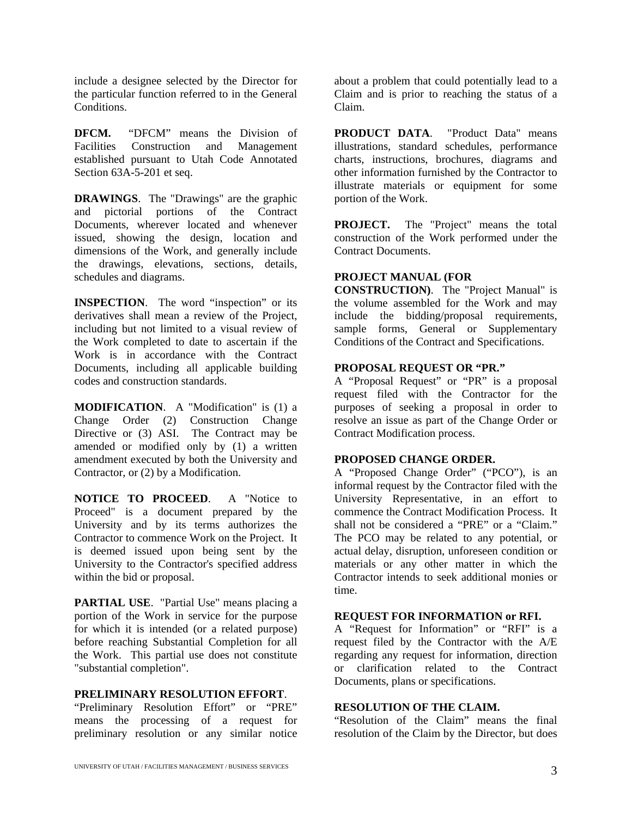include a designee selected by the Director for the particular function referred to in the General **Conditions** 

**DFCM.** "DFCM" means the Division of Facilities Construction and Management established pursuant to Utah Code Annotated Section 63A-5-201 et seq.

**DRAWINGS**. The "Drawings" are the graphic and pictorial portions of the Contract Documents, wherever located and whenever issued, showing the design, location and dimensions of the Work, and generally include the drawings, elevations, sections, details, schedules and diagrams.

**INSPECTION**. The word "inspection" or its derivatives shall mean a review of the Project, including but not limited to a visual review of the Work completed to date to ascertain if the Work is in accordance with the Contract Documents, including all applicable building codes and construction standards.

**MODIFICATION**. A "Modification" is (1) a Change Order (2) Construction Change Directive or (3) ASI. The Contract may be amended or modified only by (1) a written amendment executed by both the University and Contractor, or (2) by a Modification.

**NOTICE TO PROCEED**. A "Notice to Proceed" is a document prepared by the University and by its terms authorizes the Contractor to commence Work on the Project. It is deemed issued upon being sent by the University to the Contractor's specified address within the bid or proposal.

**PARTIAL USE**. "Partial Use" means placing a portion of the Work in service for the purpose for which it is intended (or a related purpose) before reaching Substantial Completion for all the Work. This partial use does not constitute "substantial completion".

#### **PRELIMINARY RESOLUTION EFFORT**.

"Preliminary Resolution Effort" or "PRE" means the processing of a request for preliminary resolution or any similar notice

about a problem that could potentially lead to a Claim and is prior to reaching the status of a Claim.

**PRODUCT DATA**. "Product Data" means illustrations, standard schedules, performance charts, instructions, brochures, diagrams and other information furnished by the Contractor to illustrate materials or equipment for some portion of the Work.

**PROJECT.** The "Project" means the total construction of the Work performed under the Contract Documents.

#### **PROJECT MANUAL (FOR**

**CONSTRUCTION)**. The "Project Manual" is the volume assembled for the Work and may include the bidding/proposal requirements, sample forms, General or Supplementary Conditions of the Contract and Specifications.

#### **PROPOSAL REQUEST OR "PR."**

A "Proposal Request" or "PR" is a proposal request filed with the Contractor for the purposes of seeking a proposal in order to resolve an issue as part of the Change Order or Contract Modification process.

#### **PROPOSED CHANGE ORDER.**

A "Proposed Change Order" ("PCO"), is an informal request by the Contractor filed with the University Representative, in an effort to commence the Contract Modification Process. It shall not be considered a "PRE" or a "Claim." The PCO may be related to any potential, or actual delay, disruption, unforeseen condition or materials or any other matter in which the Contractor intends to seek additional monies or time.

#### **REQUEST FOR INFORMATION or RFI.**

A "Request for Information" or "RFI" is a request filed by the Contractor with the A/E regarding any request for information, direction or clarification related to the Contract Documents, plans or specifications.

#### **RESOLUTION OF THE CLAIM.**

"Resolution of the Claim" means the final resolution of the Claim by the Director, but does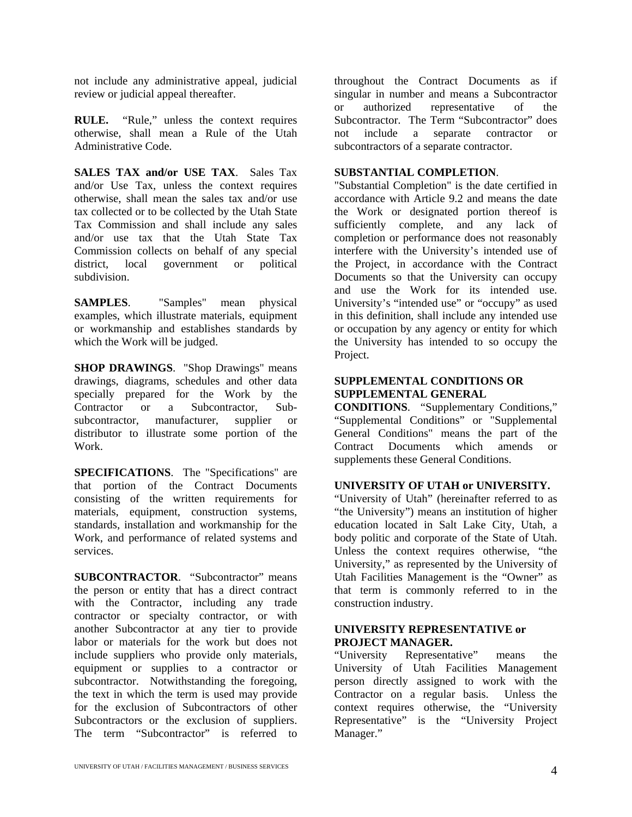not include any administrative appeal, judicial review or judicial appeal thereafter.

**RULE.** "Rule," unless the context requires otherwise, shall mean a Rule of the Utah Administrative Code.

**SALES TAX and/or USE TAX**. Sales Tax and/or Use Tax, unless the context requires otherwise, shall mean the sales tax and/or use tax collected or to be collected by the Utah State Tax Commission and shall include any sales and/or use tax that the Utah State Tax Commission collects on behalf of any special district, local government or political subdivision.

**SAMPLES**. "Samples" mean physical examples, which illustrate materials, equipment or workmanship and establishes standards by which the Work will be judged.

**SHOP DRAWINGS**. "Shop Drawings" means drawings, diagrams, schedules and other data specially prepared for the Work by the Contractor or a Subcontractor, Subsubcontractor, manufacturer, supplier or distributor to illustrate some portion of the Work.

**SPECIFICATIONS**. The "Specifications" are that portion of the Contract Documents consisting of the written requirements for materials, equipment, construction systems, standards, installation and workmanship for the Work, and performance of related systems and services.

**SUBCONTRACTOR**. "Subcontractor" means the person or entity that has a direct contract with the Contractor, including any trade contractor or specialty contractor, or with another Subcontractor at any tier to provide labor or materials for the work but does not include suppliers who provide only materials, equipment or supplies to a contractor or  $\sum_{r=1}^{N}$  subcontractor. Notwithstanding the foregoing, the text in which the term is used may provide for the exclusion of Subcontractors of other Subcontractors or the exclusion of suppliers. The term "Subcontractor" is referred to

throughout the Contract Documents as if singular in number and means a Subcontractor or authorized representative of the Subcontractor. The Term "Subcontractor" does not include a separate contractor or subcontractors of a separate contractor.

#### **SUBSTANTIAL COMPLETION**.

"Substantial Completion" is the date certified in accordance with Article 9.2 and means the date the Work or designated portion thereof is sufficiently complete, and any lack of completion or performance does not reasonably interfere with the University's intended use of the Project, in accordance with the Contract Documents so that the University can occupy and use the Work for its intended use. University's "intended use" or "occupy" as used in this definition, shall include any intended use or occupation by any agency or entity for which the University has intended to so occupy the Project.

#### **SUPPLEMENTAL CONDITIONS OR SUPPLEMENTAL GENERAL**

**CONDITIONS**. "Supplementary Conditions," "Supplemental Conditions" or "Supplemental General Conditions" means the part of the Contract Documents which amends or supplements these General Conditions.

#### **UNIVERSITY OF UTAH or UNIVERSITY.**

"University of Utah" (hereinafter referred to as "the University") means an institution of higher education located in Salt Lake City, Utah, a body politic and corporate of the State of Utah. Unless the context requires otherwise, "the University," as represented by the University of Utah Facilities Management is the "Owner" as that term is commonly referred to in the construction industry.

#### **UNIVERSITY REPRESENTATIVE or PROJECT MANAGER.**

"University Representative" means the University of Utah Facilities Management person directly assigned to work with the Contractor on a regular basis. Unless the context requires otherwise, the "University Representative" is the "University Project Manager."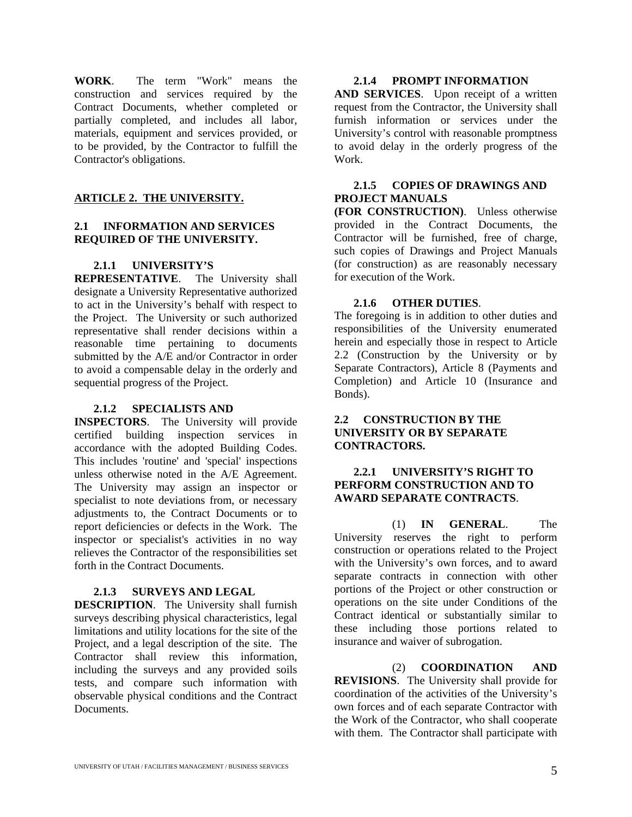**WORK**. The term "Work" means the construction and services required by the Contract Documents, whether completed or partially completed, and includes all labor, materials, equipment and services provided, or to be provided, by the Contractor to fulfill the Contractor's obligations.

#### **ARTICLE 2. THE UNIVERSITY.**

#### **2.1 INFORMATION AND SERVICES REQUIRED OF THE UNIVERSITY.**

#### **2.1.1 UNIVERSITY'S**

**REPRESENTATIVE**. The University shall designate a University Representative authorized to act in the University's behalf with respect to the Project. The University or such authorized representative shall render decisions within a reasonable time pertaining to documents submitted by the A/E and/or Contractor in order to avoid a compensable delay in the orderly and sequential progress of the Project.

#### **2.1.2 SPECIALISTS AND**

**INSPECTORS**. The University will provide certified building inspection services in accordance with the adopted Building Codes. This includes 'routine' and 'special' inspections unless otherwise noted in the A/E Agreement. The University may assign an inspector or specialist to note deviations from, or necessary adjustments to, the Contract Documents or to report deficiencies or defects in the Work. The inspector or specialist's activities in no way relieves the Contractor of the responsibilities set forth in the Contract Documents.

#### **2.1.3 SURVEYS AND LEGAL**

**DESCRIPTION**. The University shall furnish surveys describing physical characteristics, legal limitations and utility locations for the site of the Project, and a legal description of the site. The Contractor shall review this information, including the surveys and any provided soils tests, and compare such information with observable physical conditions and the Contract **Documents** 

#### **2.1.4 PROMPT INFORMATION**

**AND SERVICES**. Upon receipt of a written request from the Contractor, the University shall furnish information or services under the University's control with reasonable promptness to avoid delay in the orderly progress of the Work.

#### **2.1.5 COPIES OF DRAWINGS AND PROJECT MANUALS**

**(FOR CONSTRUCTION)**. Unless otherwise provided in the Contract Documents, the Contractor will be furnished, free of charge, such copies of Drawings and Project Manuals (for construction) as are reasonably necessary for execution of the Work.

#### **2.1.6 OTHER DUTIES**.

The foregoing is in addition to other duties and responsibilities of the University enumerated herein and especially those in respect to Article 2.2 (Construction by the University or by Separate Contractors), Article 8 (Payments and Completion) and Article 10 (Insurance and Bonds).

#### **2.2 CONSTRUCTION BY THE UNIVERSITY OR BY SEPARATE CONTRACTORS.**

#### **2.2.1 UNIVERSITY'S RIGHT TO PERFORM CONSTRUCTION AND TO AWARD SEPARATE CONTRACTS**.

(1) **IN GENERAL**. The University reserves the right to perform construction or operations related to the Project with the University's own forces, and to award separate contracts in connection with other portions of the Project or other construction or operations on the site under Conditions of the Contract identical or substantially similar to these including those portions related to insurance and waiver of subrogation.

(2) **COORDINATION AND REVISIONS**. The University shall provide for coordination of the activities of the University's own forces and of each separate Contractor with the Work of the Contractor, who shall cooperate with them. The Contractor shall participate with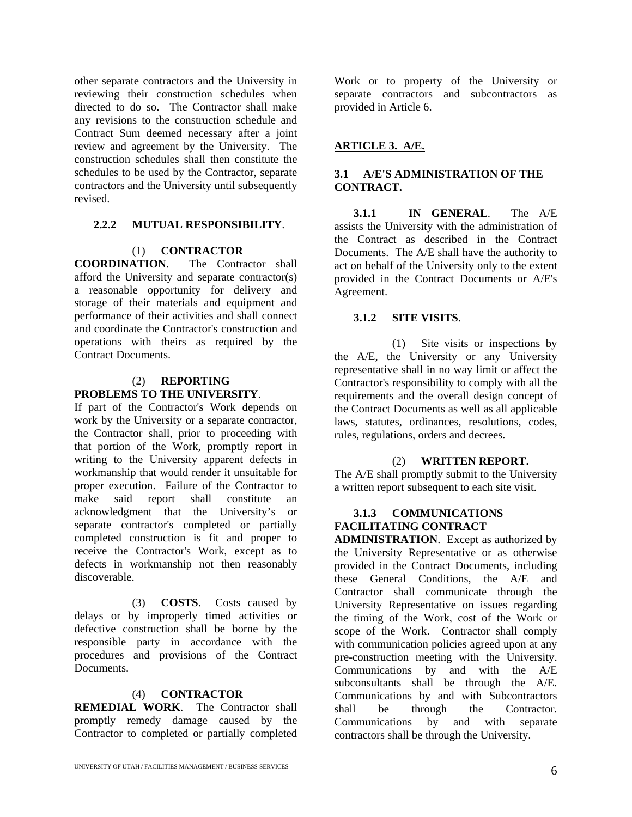other separate contractors and the University in reviewing their construction schedules when directed to do so. The Contractor shall make any revisions to the construction schedule and Contract Sum deemed necessary after a joint review and agreement by the University. The construction schedules shall then constitute the schedules to be used by the Contractor, separate contractors and the University until subsequently revised.

#### **2.2.2 MUTUAL RESPONSIBILITY**.

#### (1) **CONTRACTOR**

**COORDINATION**. The Contractor shall afford the University and separate contractor(s) a reasonable opportunity for delivery and storage of their materials and equipment and performance of their activities and shall connect and coordinate the Contractor's construction and operations with theirs as required by the Contract Documents.

#### (2) **REPORTING PROBLEMS TO THE UNIVERSITY**.

If part of the Contractor's Work depends on work by the University or a separate contractor, the Contractor shall, prior to proceeding with that portion of the Work, promptly report in writing to the University apparent defects in workmanship that would render it unsuitable for proper execution. Failure of the Contractor to make said report shall constitute an acknowledgment that the University's or separate contractor's completed or partially completed construction is fit and proper to receive the Contractor's Work, except as to defects in workmanship not then reasonably discoverable.

(3) **COSTS**. Costs caused by delays or by improperly timed activities or defective construction shall be borne by the responsible party in accordance with the procedures and provisions of the Contract Documents.

#### (4) **CONTRACTOR**

**REMEDIAL WORK**. The Contractor shall promptly remedy damage caused by the Contractor to completed or partially completed

Work or to property of the University or separate contractors and subcontractors as provided in Article 6.

#### **ARTICLE 3. A/E.**

#### **3.1 A/E'S ADMINISTRATION OF THE CONTRACT.**

**3.1.1 IN GENERAL**. The A/E assists the University with the administration of the Contract as described in the Contract Documents. The A/E shall have the authority to act on behalf of the University only to the extent provided in the Contract Documents or A/E's Agreement.

#### **3.1.2 SITE VISITS**.

(1) Site visits or inspections by the A/E, the University or any University representative shall in no way limit or affect the Contractor's responsibility to comply with all the requirements and the overall design concept of the Contract Documents as well as all applicable laws, statutes, ordinances, resolutions, codes, rules, regulations, orders and decrees.

#### (2) **WRITTEN REPORT.**

The A/E shall promptly submit to the University a written report subsequent to each site visit.

#### **3.1.3 COMMUNICATIONS FACILITATING CONTRACT**

**ADMINISTRATION**. Except as authorized by the University Representative or as otherwise provided in the Contract Documents, including these General Conditions, the A/E and Contractor shall communicate through the University Representative on issues regarding the timing of the Work, cost of the Work or scope of the Work. Contractor shall comply with communication policies agreed upon at any pre-construction meeting with the University. Communications by and with the A/E subconsultants shall be through the A/E. Communications by and with Subcontractors shall be through the Contractor. Communications by and with separate contractors shall be through the University.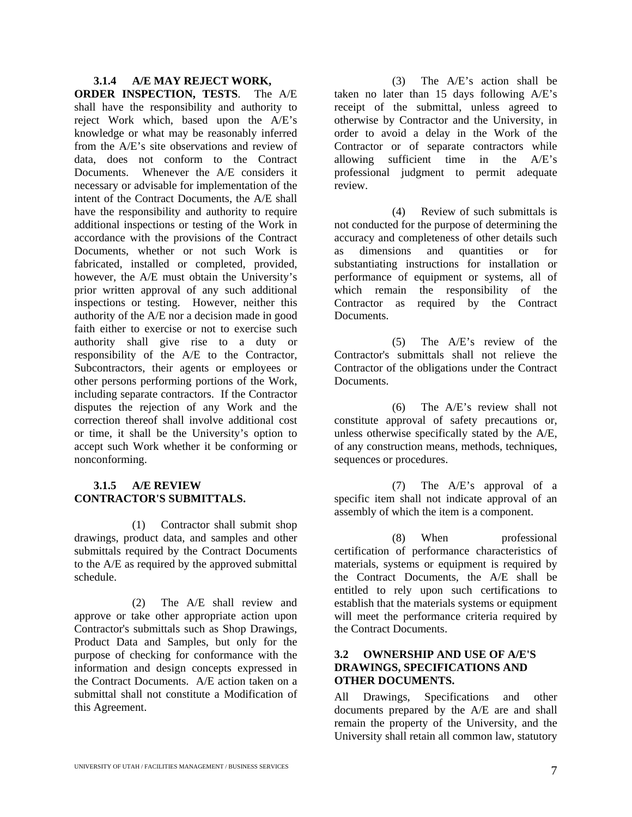#### **3.1.4 A/E MAY REJECT WORK,**

**ORDER INSPECTION, TESTS**. The A/E shall have the responsibility and authority to reject Work which, based upon the A/E's knowledge or what may be reasonably inferred from the A/E's site observations and review of data, does not conform to the Contract Documents. Whenever the A/E considers it necessary or advisable for implementation of the intent of the Contract Documents, the A/E shall have the responsibility and authority to require additional inspections or testing of the Work in accordance with the provisions of the Contract Documents, whether or not such Work is fabricated, installed or completed, provided, however, the A/E must obtain the University's prior written approval of any such additional inspections or testing. However, neither this authority of the A/E nor a decision made in good faith either to exercise or not to exercise such authority shall give rise to a duty or responsibility of the A/E to the Contractor, Subcontractors, their agents or employees or other persons performing portions of the Work, including separate contractors. If the Contractor disputes the rejection of any Work and the correction thereof shall involve additional cost or time, it shall be the University's option to accept such Work whether it be conforming or nonconforming.

#### **3.1.5 A/E REVIEW CONTRACTOR'S SUBMITTALS.**

(1) Contractor shall submit shop drawings, product data, and samples and other submittals required by the Contract Documents to the A/E as required by the approved submittal schedule.

(2) The A/E shall review and approve or take other appropriate action upon Contractor's submittals such as Shop Drawings, Product Data and Samples, but only for the purpose of checking for conformance with the information and design concepts expressed in the Contract Documents. A/E action taken on a submittal shall not constitute a Modification of this Agreement.

(3) The A/E's action shall be taken no later than 15 days following A/E's receipt of the submittal, unless agreed to otherwise by Contractor and the University, in order to avoid a delay in the Work of the Contractor or of separate contractors while allowing sufficient time in the A/E's professional judgment to permit adequate review.

(4) Review of such submittals is not conducted for the purpose of determining the accuracy and completeness of other details such as dimensions and quantities or for substantiating instructions for installation or performance of equipment or systems, all of which remain the responsibility of the Contractor as required by the Contract Documents.

(5) The A/E's review of the Contractor's submittals shall not relieve the Contractor of the obligations under the Contract Documents.

(6) The A/E's review shall not constitute approval of safety precautions or, unless otherwise specifically stated by the A/E, of any construction means, methods, techniques, sequences or procedures.

(7) The A/E's approval of a specific item shall not indicate approval of an assembly of which the item is a component.

(8) When professional certification of performance characteristics of materials, systems or equipment is required by the Contract Documents, the A/E shall be entitled to rely upon such certifications to establish that the materials systems or equipment will meet the performance criteria required by the Contract Documents.

#### **3.2 OWNERSHIP AND USE OF A/E'S DRAWINGS, SPECIFICATIONS AND OTHER DOCUMENTS.**

All Drawings, Specifications and other documents prepared by the A/E are and shall remain the property of the University, and the University shall retain all common law, statutory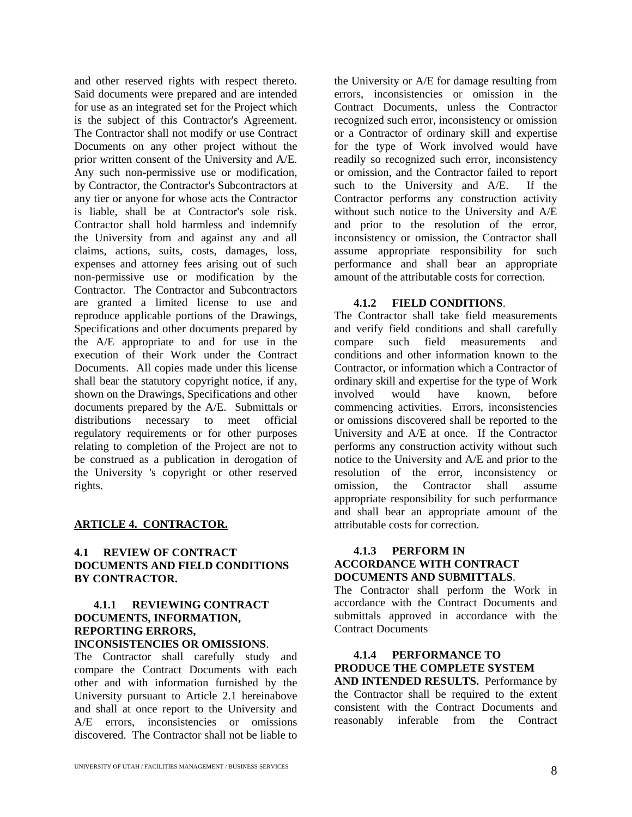and other reserved rights with respect thereto. Said documents were prepared and are intended for use as an integrated set for the Project which is the subject of this Contractor's Agreement. The Contractor shall not modify or use Contract Documents on any other project without the prior written consent of the University and A/E. Any such non-permissive use or modification, by Contractor, the Contractor's Subcontractors at any tier or anyone for whose acts the Contractor is liable, shall be at Contractor's sole risk. Contractor shall hold harmless and indemnify the University from and against any and all claims, actions, suits, costs, damages, loss, expenses and attorney fees arising out of such non-permissive use or modification by the Contractor. The Contractor and Subcontractors are granted a limited license to use and reproduce applicable portions of the Drawings, Specifications and other documents prepared by the A/E appropriate to and for use in the execution of their Work under the Contract Documents. All copies made under this license shall bear the statutory copyright notice, if any, shown on the Drawings, Specifications and other documents prepared by the A/E. Submittals or distributions necessary to meet official regulatory requirements or for other purposes relating to completion of the Project are not to be construed as a publication in derogation of the University 's copyright or other reserved rights.

#### **ARTICLE 4. CONTRACTOR.**

#### **4.1 REVIEW OF CONTRACT DOCUMENTS AND FIELD CONDITIONS BY CONTRACTOR.**

#### **4.1.1 REVIEWING CONTRACT DOCUMENTS, INFORMATION, REPORTING ERRORS, INCONSISTENCIES OR OMISSIONS**.

The Contractor shall carefully study and compare the Contract Documents with each other and with information furnished by the University pursuant to Article 2.1 hereinabove and shall at once report to the University and A/E errors, inconsistencies or omissions discovered. The Contractor shall not be liable to

the University or A/E for damage resulting from errors, inconsistencies or omission in the Contract Documents, unless the Contractor recognized such error, inconsistency or omission or a Contractor of ordinary skill and expertise for the type of Work involved would have readily so recognized such error, inconsistency or omission, and the Contractor failed to report such to the University and A/E. If the Contractor performs any construction activity without such notice to the University and A/E and prior to the resolution of the error, inconsistency or omission, the Contractor shall assume appropriate responsibility for such performance and shall bear an appropriate amount of the attributable costs for correction.

#### **4.1.2 FIELD CONDITIONS**.

The Contractor shall take field measurements and verify field conditions and shall carefully compare such field measurements and conditions and other information known to the Contractor, or information which a Contractor of ordinary skill and expertise for the type of Work involved would have known, before commencing activities. Errors, inconsistencies or omissions discovered shall be reported to the University and A/E at once. If the Contractor performs any construction activity without such notice to the University and A/E and prior to the resolution of the error, inconsistency or omission, the Contractor shall assume appropriate responsibility for such performance and shall bear an appropriate amount of the attributable costs for correction.

#### **4.1.3 PERFORM IN ACCORDANCE WITH CONTRACT DOCUMENTS AND SUBMITTALS**.

The Contractor shall perform the Work in accordance with the Contract Documents and submittals approved in accordance with the Contract Documents

### **4.1.4 PERFORMANCE TO PRODUCE THE COMPLETE SYSTEM**

**AND INTENDED RESULTS.** Performance by the Contractor shall be required to the extent consistent with the Contract Documents and reasonably inferable from the Contract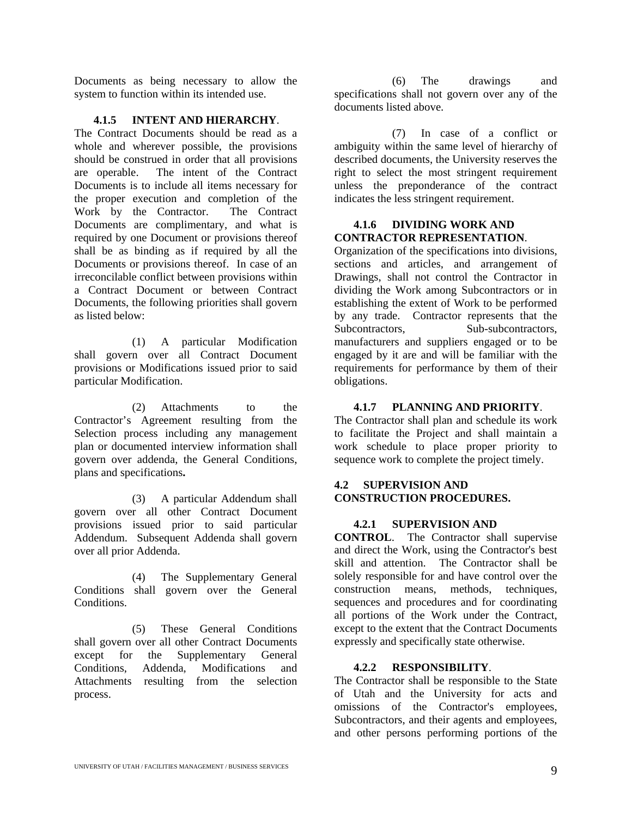Documents as being necessary to allow the system to function within its intended use.

#### **4.1.5 INTENT AND HIERARCHY**.

The Contract Documents should be read as a whole and wherever possible, the provisions should be construed in order that all provisions are operable. The intent of the Contract Documents is to include all items necessary for the proper execution and completion of the Work by the Contractor. The Contract Documents are complimentary, and what is required by one Document or provisions thereof shall be as binding as if required by all the Documents or provisions thereof. In case of an irreconcilable conflict between provisions within a Contract Document or between Contract Documents, the following priorities shall govern as listed below:

(1) A particular Modification shall govern over all Contract Document provisions or Modifications issued prior to said particular Modification.

(2) Attachments to the Contractor's Agreement resulting from the Selection process including any management plan or documented interview information shall govern over addenda, the General Conditions, plans and specifications**.**

(3) A particular Addendum shall govern over all other Contract Document provisions issued prior to said particular Addendum. Subsequent Addenda shall govern over all prior Addenda.

(4) The Supplementary General Conditions shall govern over the General Conditions.

(5) These General Conditions shall govern over all other Contract Documents except for the Supplementary General Conditions, Addenda, Modifications and Attachments resulting from the selection process.

(6) The drawings and specifications shall not govern over any of the documents listed above.

(7) In case of a conflict or ambiguity within the same level of hierarchy of described documents, the University reserves the right to select the most stringent requirement unless the preponderance of the contract indicates the less stringent requirement.

#### **4.1.6 DIVIDING WORK AND CONTRACTOR REPRESENTATION**.

Organization of the specifications into divisions, sections and articles, and arrangement of Drawings, shall not control the Contractor in dividing the Work among Subcontractors or in establishing the extent of Work to be performed by any trade. Contractor represents that the Subcontractors, Sub-subcontractors, manufacturers and suppliers engaged or to be engaged by it are and will be familiar with the requirements for performance by them of their obligations.

#### **4.1.7 PLANNING AND PRIORITY**.

The Contractor shall plan and schedule its work to facilitate the Project and shall maintain a work schedule to place proper priority to sequence work to complete the project timely.

#### **4.2 SUPERVISION AND CONSTRUCTION PROCEDURES.**

#### **4.2.1 SUPERVISION AND**

**CONTROL**. The Contractor shall supervise and direct the Work, using the Contractor's best skill and attention. The Contractor shall be solely responsible for and have control over the construction means, methods, techniques, sequences and procedures and for coordinating all portions of the Work under the Contract, except to the extent that the Contract Documents expressly and specifically state otherwise.

#### **4.2.2 RESPONSIBILITY**.

The Contractor shall be responsible to the State of Utah and the University for acts and omissions of the Contractor's employees, Subcontractors, and their agents and employees, and other persons performing portions of the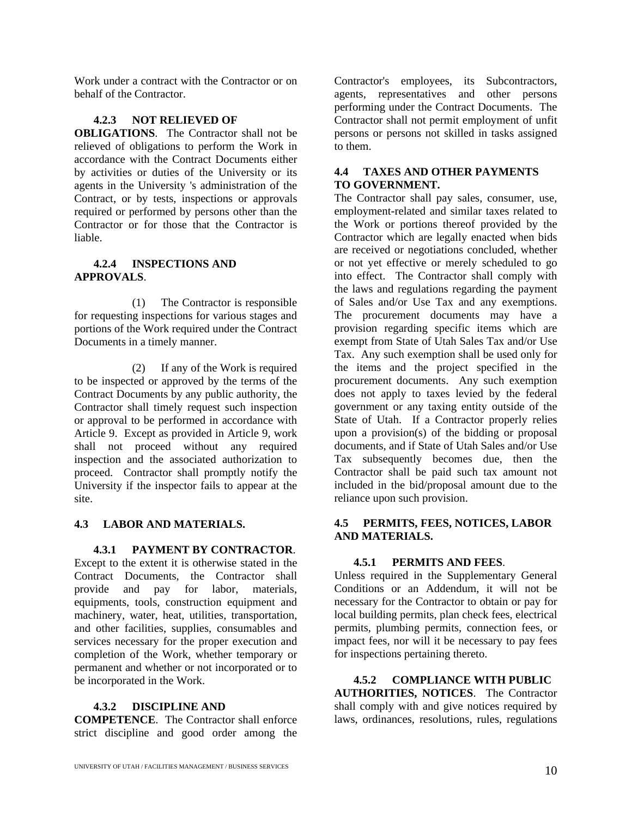Work under a contract with the Contractor or on behalf of the Contractor.

#### **4.2.3 NOT RELIEVED OF**

**OBLIGATIONS**. The Contractor shall not be relieved of obligations to perform the Work in accordance with the Contract Documents either by activities or duties of the University or its agents in the University 's administration of the Contract, or by tests, inspections or approvals required or performed by persons other than the Contractor or for those that the Contractor is liable.

#### **4.2.4 INSPECTIONS AND APPROVALS**.

(1) The Contractor is responsible for requesting inspections for various stages and portions of the Work required under the Contract Documents in a timely manner.

(2) If any of the Work is required to be inspected or approved by the terms of the Contract Documents by any public authority, the Contractor shall timely request such inspection or approval to be performed in accordance with Article 9. Except as provided in Article 9, work shall not proceed without any required inspection and the associated authorization to proceed. Contractor shall promptly notify the University if the inspector fails to appear at the site.

#### **4.3 LABOR AND MATERIALS.**

**4.3.1 PAYMENT BY CONTRACTOR**.

Except to the extent it is otherwise stated in the Contract Documents, the Contractor shall provide and pay for labor, materials, equipments, tools, construction equipment and machinery, water, heat, utilities, transportation, and other facilities, supplies, consumables and services necessary for the proper execution and completion of the Work, whether temporary or permanent and whether or not incorporated or to be incorporated in the Work.

#### **4.3.2 DISCIPLINE AND**

**COMPETENCE**. The Contractor shall enforce strict discipline and good order among the

Contractor's employees, its Subcontractors, agents, representatives and other persons performing under the Contract Documents. The Contractor shall not permit employment of unfit persons or persons not skilled in tasks assigned to them.

#### **4.4 TAXES AND OTHER PAYMENTS TO GOVERNMENT.**

The Contractor shall pay sales, consumer, use, employment-related and similar taxes related to the Work or portions thereof provided by the Contractor which are legally enacted when bids are received or negotiations concluded, whether or not yet effective or merely scheduled to go into effect. The Contractor shall comply with the laws and regulations regarding the payment of Sales and/or Use Tax and any exemptions. The procurement documents may have a provision regarding specific items which are exempt from State of Utah Sales Tax and/or Use Tax. Any such exemption shall be used only for the items and the project specified in the procurement documents. Any such exemption does not apply to taxes levied by the federal government or any taxing entity outside of the State of Utah. If a Contractor properly relies upon a provision(s) of the bidding or proposal documents, and if State of Utah Sales and/or Use Tax subsequently becomes due, then the Contractor shall be paid such tax amount not included in the bid/proposal amount due to the reliance upon such provision.

#### **4.5 PERMITS, FEES, NOTICES, LABOR AND MATERIALS.**

#### **4.5.1 PERMITS AND FEES**.

Unless required in the Supplementary General Conditions or an Addendum, it will not be necessary for the Contractor to obtain or pay for local building permits, plan check fees, electrical permits, plumbing permits, connection fees, or impact fees, nor will it be necessary to pay fees for inspections pertaining thereto.

**4.5.2 COMPLIANCE WITH PUBLIC AUTHORITIES, NOTICES**. The Contractor shall comply with and give notices required by laws, ordinances, resolutions, rules, regulations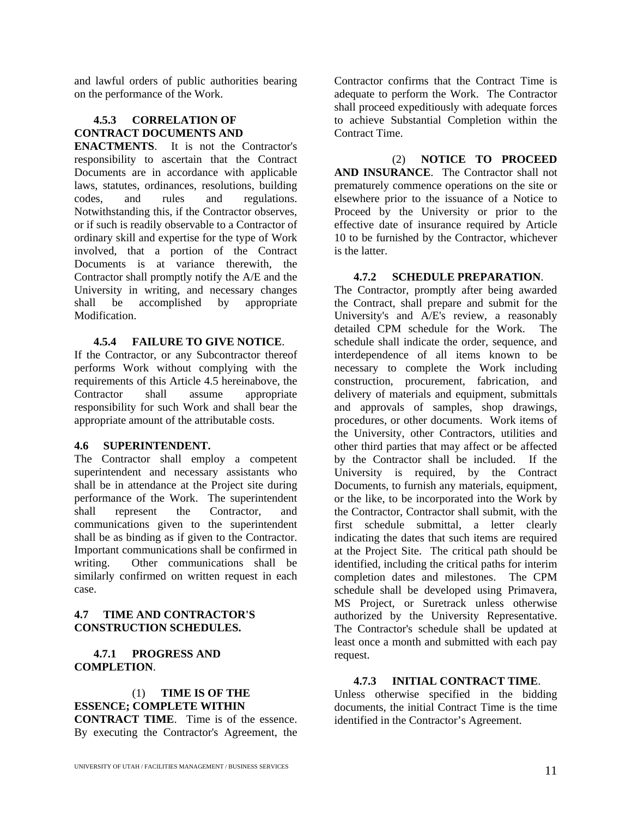and lawful orders of public authorities bearing on the performance of the Work.

#### **4.5.3 CORRELATION OF CONTRACT DOCUMENTS AND**

**ENACTMENTS**. It is not the Contractor's responsibility to ascertain that the Contract Documents are in accordance with applicable laws, statutes, ordinances, resolutions, building codes, and rules and regulations. Notwithstanding this, if the Contractor observes, or if such is readily observable to a Contractor of ordinary skill and expertise for the type of Work involved, that a portion of the Contract Documents is at variance therewith, the Contractor shall promptly notify the A/E and the University in writing, and necessary changes shall be accomplished by appropriate Modification.

#### **4.5.4 FAILURE TO GIVE NOTICE**.

If the Contractor, or any Subcontractor thereof performs Work without complying with the requirements of this Article 4.5 hereinabove, the Contractor shall assume appropriate responsibility for such Work and shall bear the appropriate amount of the attributable costs.

#### **4.6 SUPERINTENDENT.**

The Contractor shall employ a competent superintendent and necessary assistants who shall be in attendance at the Project site during performance of the Work. The superintendent shall represent the Contractor, and communications given to the superintendent shall be as binding as if given to the Contractor. Important communications shall be confirmed in writing. Other communications shall be similarly confirmed on written request in each case.

#### **4.7 TIME AND CONTRACTOR'S CONSTRUCTION SCHEDULES.**

#### **4.7.1 PROGRESS AND COMPLETION**.

### (1) **TIME IS OF THE ESSENCE; COMPLETE WITHIN**

**CONTRACT TIME**. Time is of the essence. By executing the Contractor's Agreement, the Contractor confirms that the Contract Time is adequate to perform the Work. The Contractor shall proceed expeditiously with adequate forces to achieve Substantial Completion within the Contract Time.

(2) **NOTICE TO PROCEED AND INSURANCE**. The Contractor shall not prematurely commence operations on the site or elsewhere prior to the issuance of a Notice to Proceed by the University or prior to the effective date of insurance required by Article 10 to be furnished by the Contractor, whichever is the latter.

#### **4.7.2 SCHEDULE PREPARATION**.

The Contractor, promptly after being awarded the Contract, shall prepare and submit for the University's and A/E's review, a reasonably detailed CPM schedule for the Work. The schedule shall indicate the order, sequence, and interdependence of all items known to be necessary to complete the Work including construction, procurement, fabrication, and delivery of materials and equipment, submittals and approvals of samples, shop drawings, procedures, or other documents. Work items of the University, other Contractors, utilities and other third parties that may affect or be affected by the Contractor shall be included. If the University is required, by the Contract Documents, to furnish any materials, equipment, or the like, to be incorporated into the Work by the Contractor, Contractor shall submit, with the first schedule submittal, a letter clearly indicating the dates that such items are required at the Project Site. The critical path should be identified, including the critical paths for interim completion dates and milestones. The CPM schedule shall be developed using Primavera, MS Project, or Suretrack unless otherwise authorized by the University Representative. The Contractor's schedule shall be updated at least once a month and submitted with each pay request.

#### **4.7.3 INITIAL CONTRACT TIME**.

Unless otherwise specified in the bidding documents, the initial Contract Time is the time identified in the Contractor's Agreement.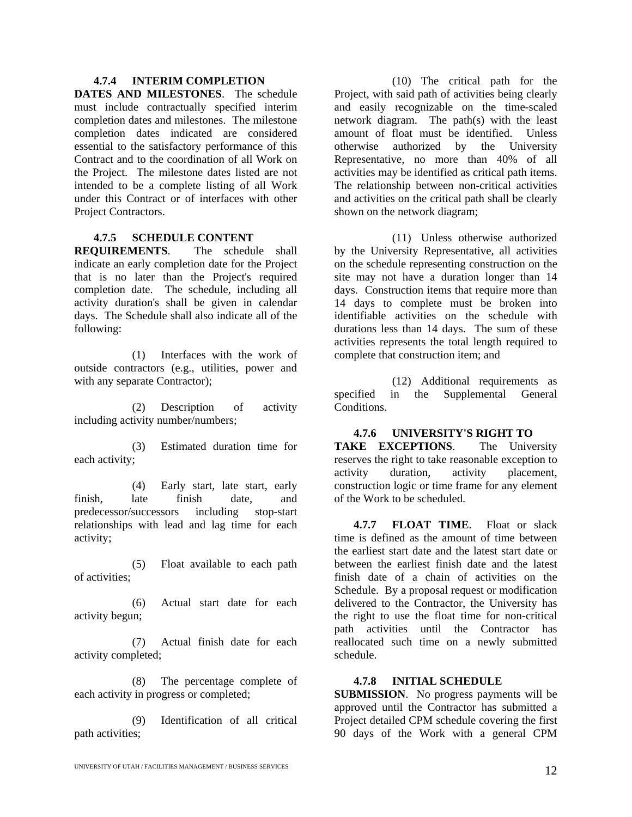#### **4.7.4 INTERIM COMPLETION**

**DATES AND MILESTONES**. The schedule must include contractually specified interim completion dates and milestones. The milestone completion dates indicated are considered essential to the satisfactory performance of this Contract and to the coordination of all Work on the Project. The milestone dates listed are not intended to be a complete listing of all Work under this Contract or of interfaces with other Project Contractors.

#### **4.7.5 SCHEDULE CONTENT**

**REQUIREMENTS**. The schedule shall indicate an early completion date for the Project that is no later than the Project's required completion date. The schedule, including all activity duration's shall be given in calendar days. The Schedule shall also indicate all of the following:

(1) Interfaces with the work of outside contractors (e.g., utilities, power and with any separate Contractor);

(2) Description of activity including activity number/numbers;

(3) Estimated duration time for each activity;

(4) Early start, late start, early finish, late finish date, and predecessor/successors including stop-start relationships with lead and lag time for each activity;

(5) Float available to each path of activities;

(6) Actual start date for each activity begun;

(7) Actual finish date for each activity completed;

(8) The percentage complete of each activity in progress or completed;

(9) Identification of all critical path activities;

(10) The critical path for the Project, with said path of activities being clearly and easily recognizable on the time-scaled network diagram. The path(s) with the least amount of float must be identified. Unless otherwise authorized by the University Representative, no more than 40% of all activities may be identified as critical path items. The relationship between non-critical activities and activities on the critical path shall be clearly shown on the network diagram;

(11) Unless otherwise authorized by the University Representative, all activities on the schedule representing construction on the site may not have a duration longer than 14 days. Construction items that require more than 14 days to complete must be broken into identifiable activities on the schedule with durations less than 14 days. The sum of these activities represents the total length required to complete that construction item; and

(12) Additional requirements as specified in the Supplemental General Conditions.

#### **4.7.6 UNIVERSITY'S RIGHT TO**

**TAKE EXCEPTIONS**. The University reserves the right to take reasonable exception to activity duration, activity placement, construction logic or time frame for any element of the Work to be scheduled.

**4.7.7 FLOAT TIME**. Float or slack time is defined as the amount of time between the earliest start date and the latest start date or between the earliest finish date and the latest finish date of a chain of activities on the Schedule. By a proposal request or modification delivered to the Contractor, the University has the right to use the float time for non-critical path activities until the Contractor has reallocated such time on a newly submitted schedule.

#### **4.7.8 INITIAL SCHEDULE**

**SUBMISSION**. No progress payments will be approved until the Contractor has submitted a Project detailed CPM schedule covering the first 90 days of the Work with a general CPM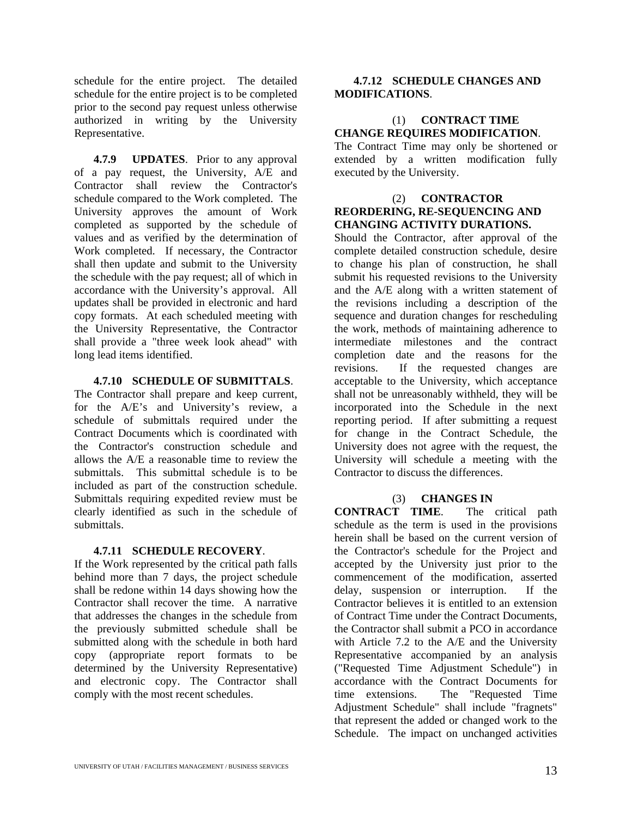schedule for the entire project. The detailed schedule for the entire project is to be completed prior to the second pay request unless otherwise authorized in writing by the University Representative.

**4.7.9 UPDATES**. Prior to any approval of a pay request, the University, A/E and Contractor shall review the Contractor's schedule compared to the Work completed. The University approves the amount of Work completed as supported by the schedule of values and as verified by the determination of Work completed. If necessary, the Contractor shall then update and submit to the University the schedule with the pay request; all of which in accordance with the University's approval. All updates shall be provided in electronic and hard copy formats. At each scheduled meeting with the University Representative, the Contractor shall provide a "three week look ahead" with long lead items identified.

#### **4.7.10 SCHEDULE OF SUBMITTALS**.

The Contractor shall prepare and keep current, for the A/E's and University's review, a schedule of submittals required under the Contract Documents which is coordinated with the Contractor's construction schedule and allows the A/E a reasonable time to review the submittals. This submittal schedule is to be included as part of the construction schedule. Submittals requiring expedited review must be clearly identified as such in the schedule of submittals.

#### **4.7.11 SCHEDULE RECOVERY**.

If the Work represented by the critical path falls behind more than 7 days, the project schedule shall be redone within 14 days showing how the Contractor shall recover the time. A narrative that addresses the changes in the schedule from the previously submitted schedule shall be submitted along with the schedule in both hard copy (appropriate report formats to be determined by the University Representative) and electronic copy. The Contractor shall comply with the most recent schedules.

#### **4.7.12 SCHEDULE CHANGES AND MODIFICATIONS**.

#### (1) **CONTRACT TIME CHANGE REQUIRES MODIFICATION**.

The Contract Time may only be shortened or extended by a written modification fully executed by the University.

#### (2) **CONTRACTOR REORDERING, RE-SEQUENCING AND CHANGING ACTIVITY DURATIONS.**

Should the Contractor, after approval of the complete detailed construction schedule, desire to change his plan of construction, he shall submit his requested revisions to the University and the A/E along with a written statement of the revisions including a description of the sequence and duration changes for rescheduling the work, methods of maintaining adherence to intermediate milestones and the contract completion date and the reasons for the revisions. If the requested changes are acceptable to the University, which acceptance shall not be unreasonably withheld, they will be incorporated into the Schedule in the next reporting period. If after submitting a request for change in the Contract Schedule, the University does not agree with the request, the University will schedule a meeting with the Contractor to discuss the differences.

#### (3) **CHANGES IN**

**CONTRACT TIME**. The critical path schedule as the term is used in the provisions herein shall be based on the current version of the Contractor's schedule for the Project and accepted by the University just prior to the commencement of the modification, asserted delay, suspension or interruption. If the Contractor believes it is entitled to an extension of Contract Time under the Contract Documents, the Contractor shall submit a PCO in accordance with Article 7.2 to the A/E and the University Representative accompanied by an analysis ("Requested Time Adjustment Schedule") in accordance with the Contract Documents for time extensions. The "Requested Time Adjustment Schedule" shall include "fragnets" that represent the added or changed work to the Schedule. The impact on unchanged activities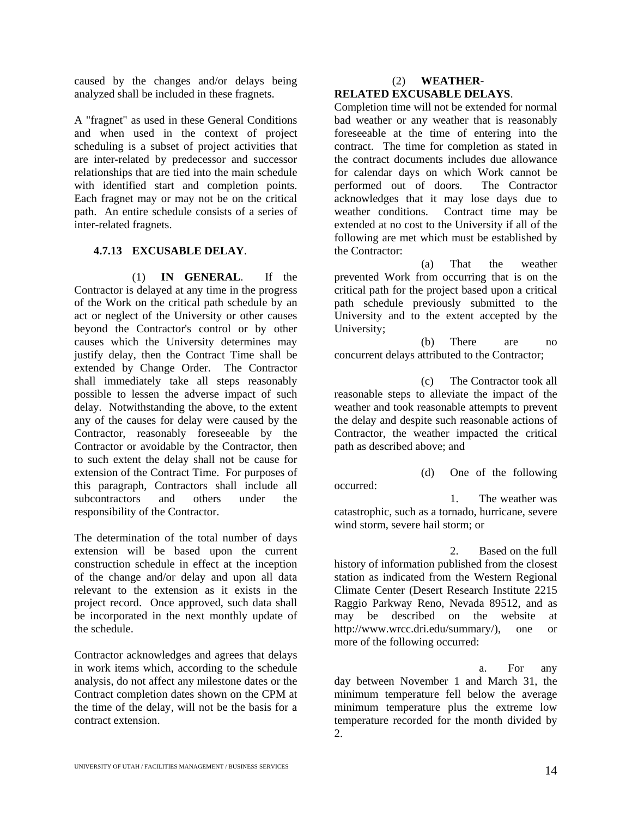caused by the changes and/or delays being analyzed shall be included in these fragnets.

A "fragnet" as used in these General Conditions and when used in the context of project scheduling is a subset of project activities that are inter-related by predecessor and successor relationships that are tied into the main schedule with identified start and completion points. Each fragnet may or may not be on the critical path. An entire schedule consists of a series of inter-related fragnets.

#### **4.7.13 EXCUSABLE DELAY**.

(1) **IN GENERAL**. If the Contractor is delayed at any time in the progress of the Work on the critical path schedule by an act or neglect of the University or other causes beyond the Contractor's control or by other causes which the University determines may justify delay, then the Contract Time shall be extended by Change Order. The Contractor shall immediately take all steps reasonably possible to lessen the adverse impact of such delay. Notwithstanding the above, to the extent any of the causes for delay were caused by the Contractor, reasonably foreseeable by the Contractor or avoidable by the Contractor, then to such extent the delay shall not be cause for extension of the Contract Time. For purposes of this paragraph, Contractors shall include all subcontractors and others under the responsibility of the Contractor.

The determination of the total number of days extension will be based upon the current construction schedule in effect at the inception of the change and/or delay and upon all data relevant to the extension as it exists in the project record. Once approved, such data shall be incorporated in the next monthly update of the schedule.

Contractor acknowledges and agrees that delays in work items which, according to the schedule analysis, do not affect any milestone dates or the Contract completion dates shown on the CPM at the time of the delay, will not be the basis for a contract extension.

#### (2) **WEATHER-RELATED EXCUSABLE DELAYS**.

Completion time will not be extended for normal bad weather or any weather that is reasonably foreseeable at the time of entering into the contract. The time for completion as stated in the contract documents includes due allowance for calendar days on which Work cannot be performed out of doors. The Contractor acknowledges that it may lose days due to weather conditions. Contract time may be extended at no cost to the University if all of the following are met which must be established by the Contractor:

(a) That the weather prevented Work from occurring that is on the critical path for the project based upon a critical path schedule previously submitted to the University and to the extent accepted by the University;

(b) There are no concurrent delays attributed to the Contractor;

(c) The Contractor took all reasonable steps to alleviate the impact of the weather and took reasonable attempts to prevent the delay and despite such reasonable actions of Contractor, the weather impacted the critical path as described above; and

(d) One of the following occurred: 1. The weather was catastrophic, such as a tornado, hurricane, severe wind storm, severe hail storm; or

2. Based on the full history of information published from the closest station as indicated from the Western Regional Climate Center (Desert Research Institute 2215 Raggio Parkway Reno, Nevada 89512, and as may be described on the website at http://www.wrcc.dri.edu/summary/), one or more of the following occurred:

a. For any day between November 1 and March 31, the minimum temperature fell below the average minimum temperature plus the extreme low temperature recorded for the month divided by 2.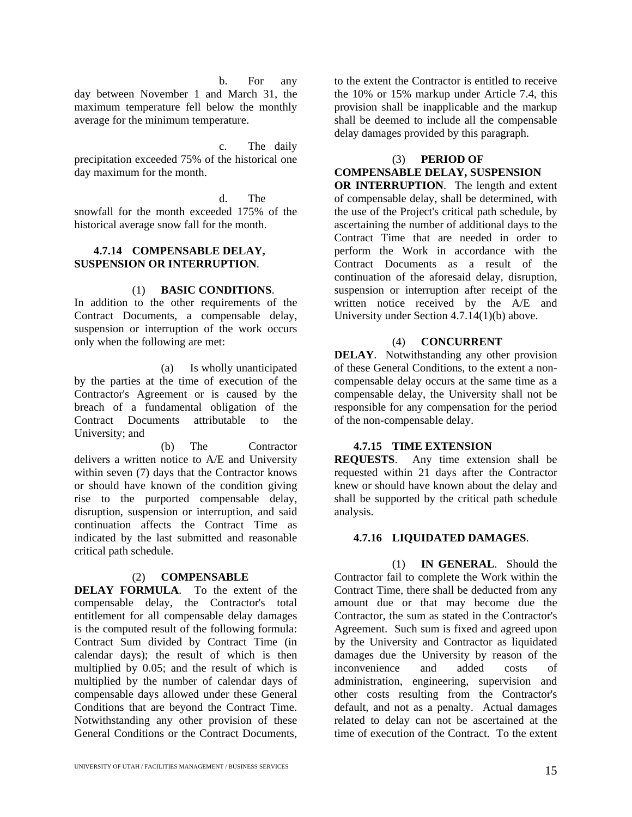b. For any

day between November 1 and March 31, the maximum temperature fell below the monthly average for the minimum temperature.

c. The daily precipitation exceeded 75% of the historical one day maximum for the month.

d. The

snowfall for the month exceeded 175% of the historical average snow fall for the month.

#### **4.7.14 COMPENSABLE DELAY, SUSPENSION OR INTERRUPTION**.

#### (1) **BASIC CONDITIONS**.

In addition to the other requirements of the Contract Documents, a compensable delay, suspension or interruption of the work occurs only when the following are met:

(a) Is wholly unanticipated by the parties at the time of execution of the Contractor's Agreement or is caused by the breach of a fundamental obligation of the Contract Documents attributable to the University; and

(b) The Contractor delivers a written notice to A/E and University within seven (7) days that the Contractor knows or should have known of the condition giving rise to the purported compensable delay, disruption, suspension or interruption, and said continuation affects the Contract Time as indicated by the last submitted and reasonable critical path schedule.

#### (2) **COMPENSABLE**

**DELAY FORMULA**. To the extent of the compensable delay, the Contractor's total entitlement for all compensable delay damages is the computed result of the following formula: Contract Sum divided by Contract Time (in calendar days); the result of which is then multiplied by 0.05; and the result of which is multiplied by the number of calendar days of compensable days allowed under these General Conditions that are beyond the Contract Time. Notwithstanding any other provision of these General Conditions or the Contract Documents,

to the extent the Contractor is entitled to receive the 10% or 15% markup under Article 7.4, this provision shall be inapplicable and the markup shall be deemed to include all the compensable delay damages provided by this paragraph.

#### (3) **PERIOD OF**

**COMPENSABLE DELAY, SUSPENSION** 

**OR INTERRUPTION**. The length and extent of compensable delay, shall be determined, with the use of the Project's critical path schedule, by ascertaining the number of additional days to the Contract Time that are needed in order to perform the Work in accordance with the Contract Documents as a result of the continuation of the aforesaid delay, disruption, suspension or interruption after receipt of the written notice received by the A/E and University under Section 4.7.14(1)(b) above.

#### (4) **CONCURRENT**

**DELAY**. Notwithstanding any other provision of these General Conditions, to the extent a noncompensable delay occurs at the same time as a compensable delay, the University shall not be responsible for any compensation for the period of the non-compensable delay.

#### **4.7.15 TIME EXTENSION**

**REQUESTS**. Any time extension shall be requested within 21 days after the Contractor knew or should have known about the delay and shall be supported by the critical path schedule analysis.

#### **4.7.16 LIQUIDATED DAMAGES**.

(1) **IN GENERAL**. Should the Contractor fail to complete the Work within the Contract Time, there shall be deducted from any amount due or that may become due the Contractor, the sum as stated in the Contractor's Agreement. Such sum is fixed and agreed upon by the University and Contractor as liquidated damages due the University by reason of the inconvenience and added costs of administration, engineering, supervision and other costs resulting from the Contractor's default, and not as a penalty. Actual damages related to delay can not be ascertained at the time of execution of the Contract. To the extent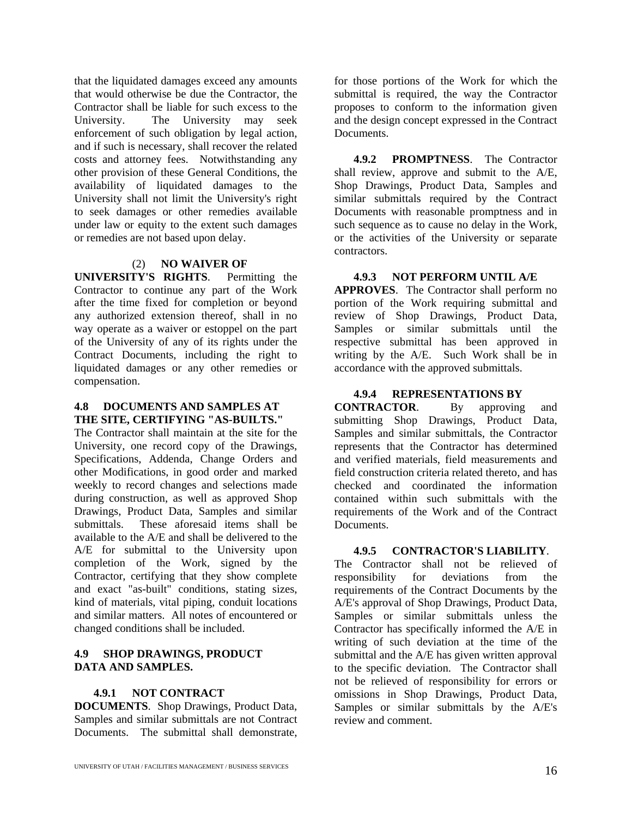that the liquidated damages exceed any amounts that would otherwise be due the Contractor, the Contractor shall be liable for such excess to the University. The University may seek enforcement of such obligation by legal action, and if such is necessary, shall recover the related costs and attorney fees. Notwithstanding any other provision of these General Conditions, the availability of liquidated damages to the University shall not limit the University's right to seek damages or other remedies available under law or equity to the extent such damages or remedies are not based upon delay.

#### (2) **NO WAIVER OF**

**UNIVERSITY'S RIGHTS**. Permitting the Contractor to continue any part of the Work after the time fixed for completion or beyond any authorized extension thereof, shall in no way operate as a waiver or estoppel on the part of the University of any of its rights under the Contract Documents, including the right to liquidated damages or any other remedies or compensation.

#### **4.8 DOCUMENTS AND SAMPLES AT THE SITE, CERTIFYING "AS-BUILTS."**

The Contractor shall maintain at the site for the University, one record copy of the Drawings, Specifications, Addenda, Change Orders and other Modifications, in good order and marked weekly to record changes and selections made during construction, as well as approved Shop Drawings, Product Data, Samples and similar submittals. These aforesaid items shall be available to the A/E and shall be delivered to the A/E for submittal to the University upon completion of the Work, signed by the Contractor, certifying that they show complete and exact "as-built" conditions, stating sizes, kind of materials, vital piping, conduit locations and similar matters. All notes of encountered or changed conditions shall be included.

#### **4.9 SHOP DRAWINGS, PRODUCT DATA AND SAMPLES.**

#### **4.9.1 NOT CONTRACT**

**DOCUMENTS**. Shop Drawings, Product Data, Samples and similar submittals are not Contract Documents. The submittal shall demonstrate,

for those portions of the Work for which the submittal is required, the way the Contractor proposes to conform to the information given and the design concept expressed in the Contract Documents.

**4.9.2 PROMPTNESS**. The Contractor shall review, approve and submit to the A/E, Shop Drawings, Product Data, Samples and similar submittals required by the Contract Documents with reasonable promptness and in such sequence as to cause no delay in the Work, or the activities of the University or separate contractors.

#### **4.9.3 NOT PERFORM UNTIL A/E**

**APPROVES**. The Contractor shall perform no portion of the Work requiring submittal and review of Shop Drawings, Product Data, Samples or similar submittals until the respective submittal has been approved in writing by the A/E. Such Work shall be in accordance with the approved submittals.

#### **4.9.4 REPRESENTATIONS BY**

**CONTRACTOR**. By approving and submitting Shop Drawings, Product Data, Samples and similar submittals, the Contractor represents that the Contractor has determined and verified materials, field measurements and field construction criteria related thereto, and has checked and coordinated the information contained within such submittals with the requirements of the Work and of the Contract Documents.

#### **4.9.5 CONTRACTOR'S LIABILITY**.

The Contractor shall not be relieved of responsibility for deviations from the requirements of the Contract Documents by the A/E's approval of Shop Drawings, Product Data, Samples or similar submittals unless the Contractor has specifically informed the A/E in writing of such deviation at the time of the submittal and the A/E has given written approval to the specific deviation. The Contractor shall not be relieved of responsibility for errors or omissions in Shop Drawings, Product Data, Samples or similar submittals by the A/E's review and comment.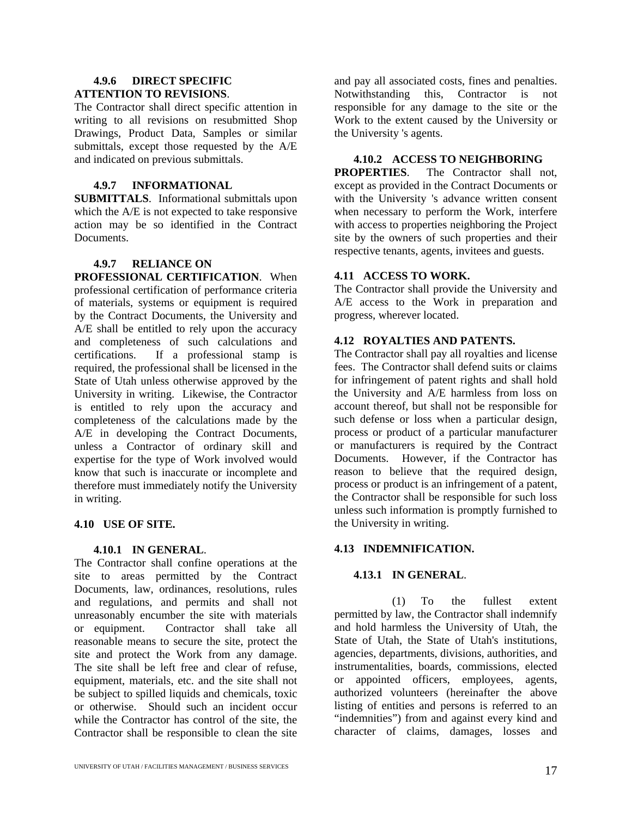#### **4.9.6 DIRECT SPECIFIC ATTENTION TO REVISIONS**.

The Contractor shall direct specific attention in writing to all revisions on resubmitted Shop Drawings, Product Data, Samples or similar submittals, except those requested by the A/E and indicated on previous submittals.

#### **4.9.7 INFORMATIONAL**

**SUBMITTALS**. Informational submittals upon which the A/E is not expected to take responsive action may be so identified in the Contract Documents.

#### **4.9.7 RELIANCE ON**

**PROFESSIONAL CERTIFICATION**. When professional certification of performance criteria of materials, systems or equipment is required by the Contract Documents, the University and A/E shall be entitled to rely upon the accuracy and completeness of such calculations and certifications. If a professional stamp is required, the professional shall be licensed in the State of Utah unless otherwise approved by the University in writing. Likewise, the Contractor is entitled to rely upon the accuracy and completeness of the calculations made by the A/E in developing the Contract Documents, unless a Contractor of ordinary skill and expertise for the type of Work involved would know that such is inaccurate or incomplete and therefore must immediately notify the University in writing.

#### **4.10 USE OF SITE.**

#### **4.10.1 IN GENERAL**.

The Contractor shall confine operations at the site to areas permitted by the Contract Documents, law, ordinances, resolutions, rules and regulations, and permits and shall not unreasonably encumber the site with materials or equipment. Contractor shall take all reasonable means to secure the site, protect the site and protect the Work from any damage. The site shall be left free and clear of refuse, equipment, materials, etc. and the site shall not be subject to spilled liquids and chemicals, toxic or otherwise. Should such an incident occur while the Contractor has control of the site, the Contractor shall be responsible to clean the site

and pay all associated costs, fines and penalties. Notwithstanding this, Contractor is not responsible for any damage to the site or the Work to the extent caused by the University or the University 's agents.

#### **4.10.2 ACCESS TO NEIGHBORING**

**PROPERTIES**. The Contractor shall not, except as provided in the Contract Documents or with the University 's advance written consent when necessary to perform the Work, interfere with access to properties neighboring the Project site by the owners of such properties and their respective tenants, agents, invitees and guests.

#### **4.11 ACCESS TO WORK.**

The Contractor shall provide the University and A/E access to the Work in preparation and progress, wherever located.

#### **4.12 ROYALTIES AND PATENTS.**

The Contractor shall pay all royalties and license fees. The Contractor shall defend suits or claims for infringement of patent rights and shall hold the University and A/E harmless from loss on account thereof, but shall not be responsible for such defense or loss when a particular design, process or product of a particular manufacturer or manufacturers is required by the Contract Documents. However, if the Contractor has reason to believe that the required design, process or product is an infringement of a patent, the Contractor shall be responsible for such loss unless such information is promptly furnished to the University in writing.

#### **4.13 INDEMNIFICATION.**

#### **4.13.1 IN GENERAL**.

(1) To the fullest extent permitted by law, the Contractor shall indemnify and hold harmless the University of Utah, the State of Utah, the State of Utah's institutions, agencies, departments, divisions, authorities, and instrumentalities, boards, commissions, elected or appointed officers, employees, agents, authorized volunteers (hereinafter the above listing of entities and persons is referred to an "indemnities") from and against every kind and character of claims, damages, losses and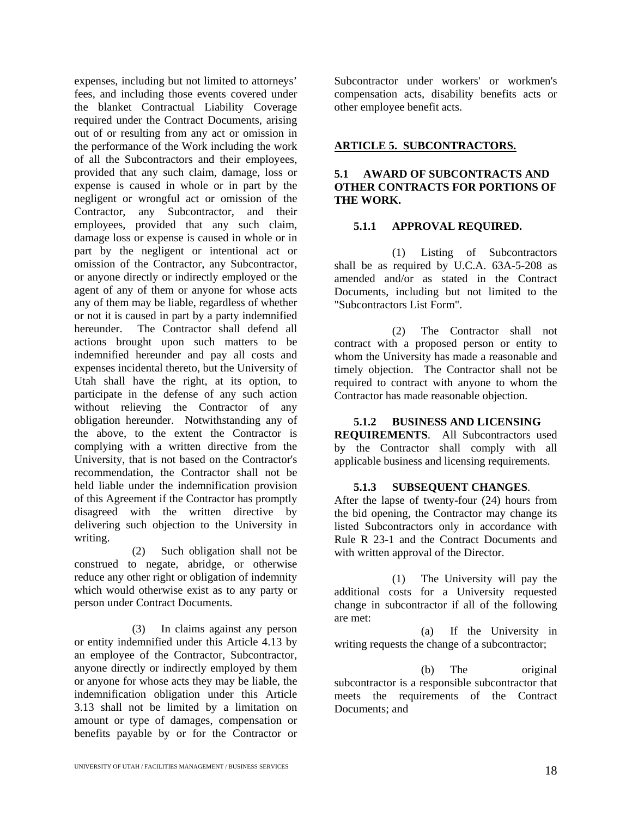expenses, including but not limited to attorneys' fees, and including those events covered under the blanket Contractual Liability Coverage required under the Contract Documents, arising out of or resulting from any act or omission in the performance of the Work including the work of all the Subcontractors and their employees, provided that any such claim, damage, loss or expense is caused in whole or in part by the negligent or wrongful act or omission of the Contractor, any Subcontractor, and their employees, provided that any such claim, damage loss or expense is caused in whole or in part by the negligent or intentional act or omission of the Contractor, any Subcontractor, or anyone directly or indirectly employed or the agent of any of them or anyone for whose acts any of them may be liable, regardless of whether or not it is caused in part by a party indemnified hereunder. The Contractor shall defend all actions brought upon such matters to be indemnified hereunder and pay all costs and expenses incidental thereto, but the University of Utah shall have the right, at its option, to participate in the defense of any such action without relieving the Contractor of any obligation hereunder. Notwithstanding any of the above, to the extent the Contractor is complying with a written directive from the University, that is not based on the Contractor's recommendation, the Contractor shall not be held liable under the indemnification provision of this Agreement if the Contractor has promptly disagreed with the written directive by delivering such objection to the University in writing.

(2) Such obligation shall not be construed to negate, abridge, or otherwise reduce any other right or obligation of indemnity which would otherwise exist as to any party or person under Contract Documents.

(3) In claims against any person or entity indemnified under this Article 4.13 by an employee of the Contractor, Subcontractor, anyone directly or indirectly employed by them or anyone for whose acts they may be liable, the indemnification obligation under this Article 3.13 shall not be limited by a limitation on amount or type of damages, compensation or benefits payable by or for the Contractor or

Subcontractor under workers' or workmen's compensation acts, disability benefits acts or other employee benefit acts.

#### **ARTICLE 5. SUBCONTRACTORS.**

#### **5.1 AWARD OF SUBCONTRACTS AND OTHER CONTRACTS FOR PORTIONS OF THE WORK.**

#### **5.1.1 APPROVAL REQUIRED.**

(1) Listing of Subcontractors shall be as required by U.C.A. 63A-5-208 as amended and/or as stated in the Contract Documents, including but not limited to the "Subcontractors List Form".

(2) The Contractor shall not contract with a proposed person or entity to whom the University has made a reasonable and timely objection. The Contractor shall not be required to contract with anyone to whom the Contractor has made reasonable objection.

#### **5.1.2 BUSINESS AND LICENSING**

**REQUIREMENTS**. All Subcontractors used by the Contractor shall comply with all applicable business and licensing requirements.

#### **5.1.3 SUBSEQUENT CHANGES**.

After the lapse of twenty-four (24) hours from the bid opening, the Contractor may change its listed Subcontractors only in accordance with Rule R 23-1 and the Contract Documents and with written approval of the Director.

(1) The University will pay the additional costs for a University requested change in subcontractor if all of the following are met:

(a) If the University in writing requests the change of a subcontractor;

(b) The original subcontractor is a responsible subcontractor that meets the requirements of the Contract Documents; and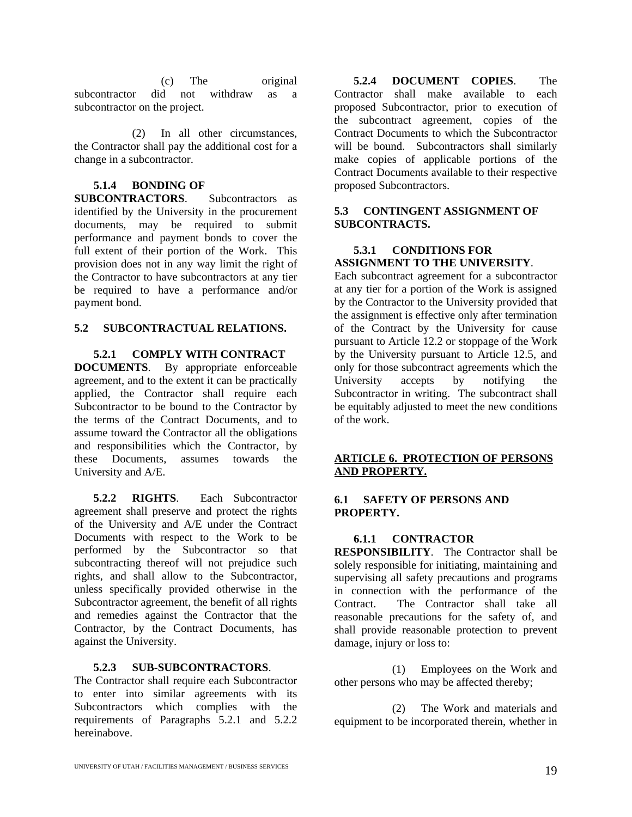(c) The original subcontractor did not withdraw as a subcontractor on the project.

(2) In all other circumstances, the Contractor shall pay the additional cost for a change in a subcontractor.

# **5.1.4 BONDING OF**

**SUBCONTRACTORS**. Subcontractors as identified by the University in the procurement documents, may be required to submit performance and payment bonds to cover the full extent of their portion of the Work. This provision does not in any way limit the right of the Contractor to have subcontractors at any tier be required to have a performance and/or payment bond.

#### **5.2 SUBCONTRACTUAL RELATIONS.**

#### **5.2.1 COMPLY WITH CONTRACT**

**DOCUMENTS**. By appropriate enforceable agreement, and to the extent it can be practically applied, the Contractor shall require each Subcontractor to be bound to the Contractor by the terms of the Contract Documents, and to assume toward the Contractor all the obligations and responsibilities which the Contractor, by these Documents, assumes towards the University and A/E.

**5.2.2 RIGHTS**. Each Subcontractor agreement shall preserve and protect the rights of the University and A/E under the Contract Documents with respect to the Work to be performed by the Subcontractor so that subcontracting thereof will not prejudice such rights, and shall allow to the Subcontractor, unless specifically provided otherwise in the Subcontractor agreement, the benefit of all rights and remedies against the Contractor that the Contractor, by the Contract Documents, has against the University.

#### **5.2.3 SUB-SUBCONTRACTORS**.

The Contractor shall require each Subcontractor to enter into similar agreements with its Subcontractors which complies with the requirements of Paragraphs 5.2.1 and 5.2.2 hereinabove.

**5.2.4 DOCUMENT COPIES**. The Contractor shall make available to each proposed Subcontractor, prior to execution of the subcontract agreement, copies of the Contract Documents to which the Subcontractor will be bound. Subcontractors shall similarly make copies of applicable portions of the Contract Documents available to their respective proposed Subcontractors.

#### **5.3 CONTINGENT ASSIGNMENT OF SUBCONTRACTS.**

#### **5.3.1 CONDITIONS FOR ASSIGNMENT TO THE UNIVERSITY**.

Each subcontract agreement for a subcontractor at any tier for a portion of the Work is assigned by the Contractor to the University provided that the assignment is effective only after termination of the Contract by the University for cause pursuant to Article 12.2 or stoppage of the Work by the University pursuant to Article 12.5, and only for those subcontract agreements which the University accepts by notifying the Subcontractor in writing. The subcontract shall be equitably adjusted to meet the new conditions of the work.

#### **ARTICLE 6. PROTECTION OF PERSONS AND PROPERTY.**

#### **6.1 SAFETY OF PERSONS AND PROPERTY.**

#### **6.1.1 CONTRACTOR**

**RESPONSIBILITY**. The Contractor shall be solely responsible for initiating, maintaining and supervising all safety precautions and programs in connection with the performance of the Contract. The Contractor shall take all reasonable precautions for the safety of, and shall provide reasonable protection to prevent damage, injury or loss to:

(1) Employees on the Work and other persons who may be affected thereby;

(2) The Work and materials and equipment to be incorporated therein, whether in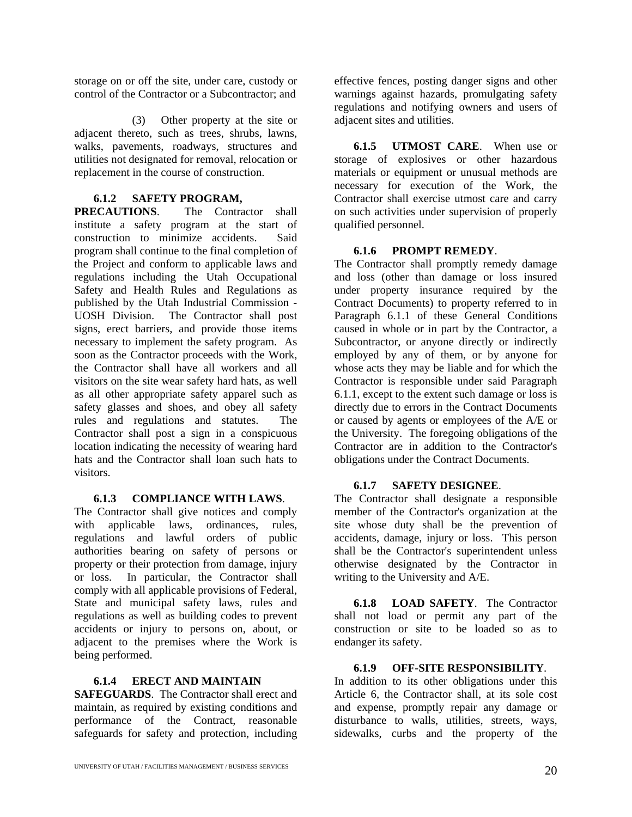storage on or off the site, under care, custody or control of the Contractor or a Subcontractor; and

(3) Other property at the site or adjacent thereto, such as trees, shrubs, lawns, walks, pavements, roadways, structures and utilities not designated for removal, relocation or replacement in the course of construction.

#### **6.1.2 SAFETY PROGRAM,**

**PRECAUTIONS**. The Contractor shall institute a safety program at the start of construction to minimize accidents. Said program shall continue to the final completion of the Project and conform to applicable laws and regulations including the Utah Occupational Safety and Health Rules and Regulations as published by the Utah Industrial Commission - UOSH Division. The Contractor shall post signs, erect barriers, and provide those items necessary to implement the safety program. As soon as the Contractor proceeds with the Work, the Contractor shall have all workers and all visitors on the site wear safety hard hats, as well as all other appropriate safety apparel such as safety glasses and shoes, and obey all safety rules and regulations and statutes. The Contractor shall post a sign in a conspicuous location indicating the necessity of wearing hard hats and the Contractor shall loan such hats to visitors.

#### **6.1.3 COMPLIANCE WITH LAWS**.

The Contractor shall give notices and comply with applicable laws, ordinances, rules, regulations and lawful orders of public authorities bearing on safety of persons or property or their protection from damage, injury or loss. In particular, the Contractor shall comply with all applicable provisions of Federal, State and municipal safety laws, rules and regulations as well as building codes to prevent accidents or injury to persons on, about, or adjacent to the premises where the Work is being performed.

#### **6.1.4 ERECT AND MAINTAIN**

**SAFEGUARDS**. The Contractor shall erect and maintain, as required by existing conditions and performance of the Contract, reasonable safeguards for safety and protection, including

effective fences, posting danger signs and other warnings against hazards, promulgating safety regulations and notifying owners and users of adjacent sites and utilities.

**6.1.5 UTMOST CARE**. When use or storage of explosives or other hazardous materials or equipment or unusual methods are necessary for execution of the Work, the Contractor shall exercise utmost care and carry on such activities under supervision of properly qualified personnel.

#### **6.1.6 PROMPT REMEDY**.

The Contractor shall promptly remedy damage and loss (other than damage or loss insured under property insurance required by the Contract Documents) to property referred to in Paragraph 6.1.1 of these General Conditions caused in whole or in part by the Contractor, a Subcontractor, or anyone directly or indirectly employed by any of them, or by anyone for whose acts they may be liable and for which the Contractor is responsible under said Paragraph 6.1.1, except to the extent such damage or loss is directly due to errors in the Contract Documents or caused by agents or employees of the A/E or the University. The foregoing obligations of the Contractor are in addition to the Contractor's obligations under the Contract Documents.

#### **6.1.7 SAFETY DESIGNEE**.

The Contractor shall designate a responsible member of the Contractor's organization at the site whose duty shall be the prevention of accidents, damage, injury or loss. This person shall be the Contractor's superintendent unless otherwise designated by the Contractor in writing to the University and A/E.

**6.1.8 LOAD SAFETY**. The Contractor shall not load or permit any part of the construction or site to be loaded so as to endanger its safety.

#### **6.1.9 OFF-SITE RESPONSIBILITY**.

In addition to its other obligations under this Article 6, the Contractor shall, at its sole cost and expense, promptly repair any damage or disturbance to walls, utilities, streets, ways, sidewalks, curbs and the property of the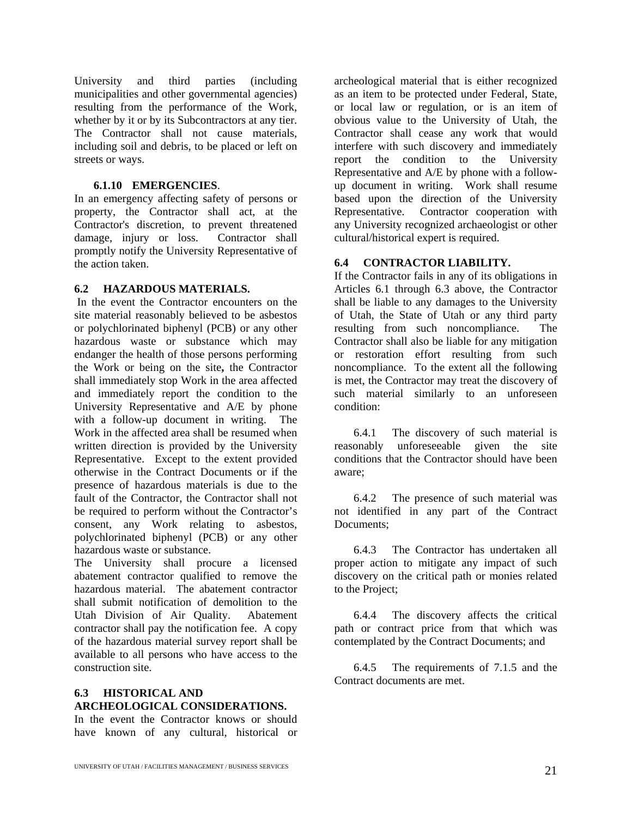University and third parties (including municipalities and other governmental agencies) resulting from the performance of the Work, whether by it or by its Subcontractors at any tier. The Contractor shall not cause materials, including soil and debris, to be placed or left on streets or ways.

#### **6.1.10 EMERGENCIES**.

In an emergency affecting safety of persons or property, the Contractor shall act, at the Contractor's discretion, to prevent threatened damage, injury or loss. Contractor shall promptly notify the University Representative of the action taken.

#### **6.2 HAZARDOUS MATERIALS.**

In the event the Contractor encounters on the site material reasonably believed to be asbestos or polychlorinated biphenyl (PCB) or any other hazardous waste or substance which may endanger the health of those persons performing the Work or being on the site**,** the Contractor shall immediately stop Work in the area affected and immediately report the condition to the University Representative and A/E by phone with a follow-up document in writing. The Work in the affected area shall be resumed when written direction is provided by the University Representative. Except to the extent provided otherwise in the Contract Documents or if the presence of hazardous materials is due to the fault of the Contractor, the Contractor shall not be required to perform without the Contractor's consent, any Work relating to asbestos, polychlorinated biphenyl (PCB) or any other hazardous waste or substance.

The University shall procure a licensed abatement contractor qualified to remove the hazardous material. The abatement contractor shall submit notification of demolition to the Utah Division of Air Quality. Abatement contractor shall pay the notification fee. A copy of the hazardous material survey report shall be available to all persons who have access to the construction site.

#### **6.3 HISTORICAL AND ARCHEOLOGICAL CONSIDERATIONS.**

In the event the Contractor knows or should have known of any cultural, historical or

archeological material that is either recognized as an item to be protected under Federal, State, or local law or regulation, or is an item of obvious value to the University of Utah, the Contractor shall cease any work that would interfere with such discovery and immediately report the condition to the University Representative and A/E by phone with a followup document in writing. Work shall resume based upon the direction of the University Representative. Contractor cooperation with any University recognized archaeologist or other cultural/historical expert is required.

#### **6.4 CONTRACTOR LIABILITY.**

If the Contractor fails in any of its obligations in Articles 6.1 through 6.3 above, the Contractor shall be liable to any damages to the University of Utah, the State of Utah or any third party resulting from such noncompliance. The Contractor shall also be liable for any mitigation or restoration effort resulting from such noncompliance. To the extent all the following is met, the Contractor may treat the discovery of such material similarly to an unforeseen condition:

6.4.1 The discovery of such material is reasonably unforeseeable given the site conditions that the Contractor should have been aware;

6.4.2 The presence of such material was not identified in any part of the Contract Documents<sup>:</sup>

6.4.3 The Contractor has undertaken all proper action to mitigate any impact of such discovery on the critical path or monies related to the Project;

6.4.4 The discovery affects the critical path or contract price from that which was contemplated by the Contract Documents; and

6.4.5 The requirements of 7.1.5 and the Contract documents are met.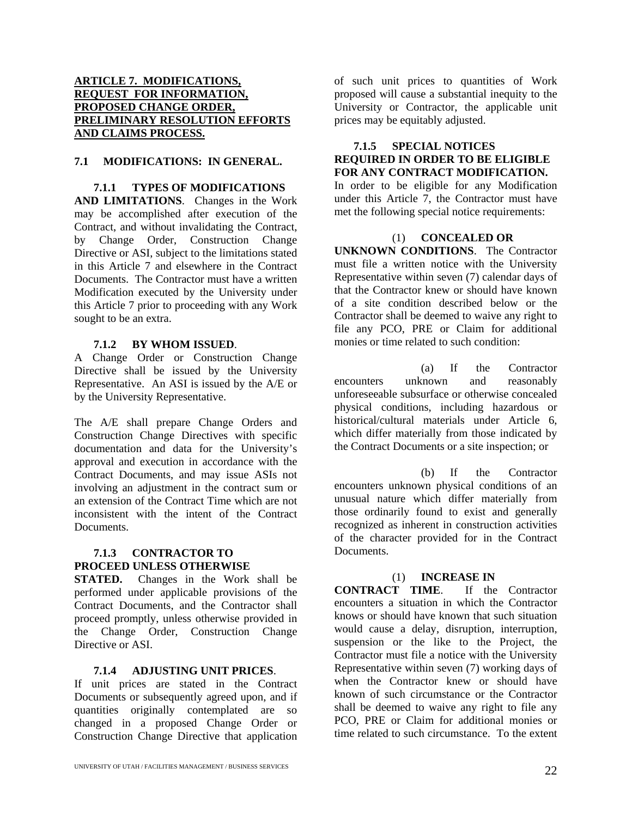#### **ARTICLE 7. MODIFICATIONS, REQUEST FOR INFORMATION, PROPOSED CHANGE ORDER, PRELIMINARY RESOLUTION EFFORTS AND CLAIMS PROCESS.**

#### **7.1 MODIFICATIONS: IN GENERAL.**

#### **7.1.1 TYPES OF MODIFICATIONS**

**AND LIMITATIONS**. Changes in the Work may be accomplished after execution of the Contract, and without invalidating the Contract, by Change Order, Construction Change Directive or ASI, subject to the limitations stated in this Article 7 and elsewhere in the Contract Documents. The Contractor must have a written Modification executed by the University under this Article 7 prior to proceeding with any Work sought to be an extra.

#### **7.1.2 BY WHOM ISSUED**.

A Change Order or Construction Change Directive shall be issued by the University Representative. An ASI is issued by the A/E or by the University Representative.

The A/E shall prepare Change Orders and Construction Change Directives with specific documentation and data for the University's approval and execution in accordance with the Contract Documents, and may issue ASIs not involving an adjustment in the contract sum or an extension of the Contract Time which are not inconsistent with the intent of the Contract **Documents** 

#### **7.1.3 CONTRACTOR TO PROCEED UNLESS OTHERWISE**

**STATED.** Changes in the Work shall be performed under applicable provisions of the Contract Documents, and the Contractor shall proceed promptly, unless otherwise provided in the Change Order, Construction Change Directive or ASI.

#### **7.1.4 ADJUSTING UNIT PRICES**.

If unit prices are stated in the Contract Documents or subsequently agreed upon, and if quantities originally contemplated are so changed in a proposed Change Order or Construction Change Directive that application of such unit prices to quantities of Work proposed will cause a substantial inequity to the University or Contractor, the applicable unit prices may be equitably adjusted.

#### **7.1.5 SPECIAL NOTICES REQUIRED IN ORDER TO BE ELIGIBLE FOR ANY CONTRACT MODIFICATION.**

In order to be eligible for any Modification under this Article 7, the Contractor must have met the following special notice requirements:

#### (1) **CONCEALED OR**

**UNKNOWN CONDITIONS**. The Contractor must file a written notice with the University Representative within seven (7) calendar days of that the Contractor knew or should have known of a site condition described below or the Contractor shall be deemed to waive any right to file any PCO, PRE or Claim for additional monies or time related to such condition:

(a) If the Contractor encounters unknown and reasonably unforeseeable subsurface or otherwise concealed physical conditions, including hazardous or historical/cultural materials under Article 6, which differ materially from those indicated by the Contract Documents or a site inspection; or

(b) If the Contractor encounters unknown physical conditions of an unusual nature which differ materially from those ordinarily found to exist and generally recognized as inherent in construction activities of the character provided for in the Contract Documents.

(1) **INCREASE IN CONTRACT TIME.** encounters a situation in which the Contractor knows or should have known that such situation would cause a delay, disruption, interruption, suspension or the like to the Project, the Contractor must file a notice with the University Representative within seven (7) working days of when the Contractor knew or should have known of such circumstance or the Contractor shall be deemed to waive any right to file any PCO, PRE or Claim for additional monies or time related to such circumstance. To the extent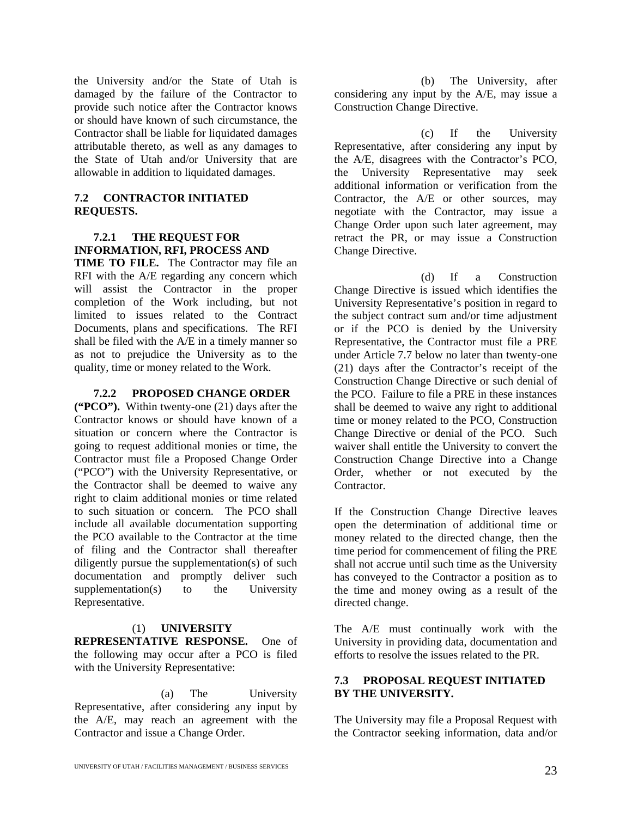the University and/or the State of Utah is damaged by the failure of the Contractor to provide such notice after the Contractor knows or should have known of such circumstance, the Contractor shall be liable for liquidated damages attributable thereto, as well as any damages to the State of Utah and/or University that are allowable in addition to liquidated damages.

#### **7.2 CONTRACTOR INITIATED REQUESTS.**

#### **7.2.1 THE REQUEST FOR INFORMATION, RFI, PROCESS AND**

**TIME TO FILE.** The Contractor may file an RFI with the A/E regarding any concern which will assist the Contractor in the proper completion of the Work including, but not limited to issues related to the Contract Documents, plans and specifications. The RFI shall be filed with the A/E in a timely manner so as not to prejudice the University as to the quality, time or money related to the Work.

#### **7.2.2 PROPOSED CHANGE ORDER**

**("PCO").** Within twenty-one (21) days after the Contractor knows or should have known of a situation or concern where the Contractor is going to request additional monies or time, the Contractor must file a Proposed Change Order ("PCO") with the University Representative, or the Contractor shall be deemed to waive any right to claim additional monies or time related to such situation or concern. The PCO shall include all available documentation supporting the PCO available to the Contractor at the time of filing and the Contractor shall thereafter diligently pursue the supplementation(s) of such documentation and promptly deliver such supplementation(s) to the University Representative.

#### (1) **UNIVERSITY**

**REPRESENTATIVE RESPONSE.** One of the following may occur after a PCO is filed with the University Representative:

(a) The University Representative, after considering any input by the A/E, may reach an agreement with the Contractor and issue a Change Order.

(b) The University, after considering any input by the A/E, may issue a Construction Change Directive.

(c) If the University Representative, after considering any input by the A/E, disagrees with the Contractor's PCO, the University Representative may seek additional information or verification from the Contractor, the A/E or other sources, may negotiate with the Contractor, may issue a Change Order upon such later agreement, may retract the PR, or may issue a Construction Change Directive.

(d) If a Construction Change Directive is issued which identifies the University Representative's position in regard to the subject contract sum and/or time adjustment or if the PCO is denied by the University Representative, the Contractor must file a PRE under Article 7.7 below no later than twenty-one (21) days after the Contractor's receipt of the Construction Change Directive or such denial of the PCO. Failure to file a PRE in these instances shall be deemed to waive any right to additional time or money related to the PCO, Construction Change Directive or denial of the PCO. Such waiver shall entitle the University to convert the Construction Change Directive into a Change Order, whether or not executed by the **Contractor** 

If the Construction Change Directive leaves open the determination of additional time or money related to the directed change, then the time period for commencement of filing the PRE shall not accrue until such time as the University has conveyed to the Contractor a position as to the time and money owing as a result of the directed change.

The A/E must continually work with the University in providing data, documentation and efforts to resolve the issues related to the PR.

#### **7.3 PROPOSAL REQUEST INITIATED BY THE UNIVERSITY.**

The University may file a Proposal Request with the Contractor seeking information, data and/or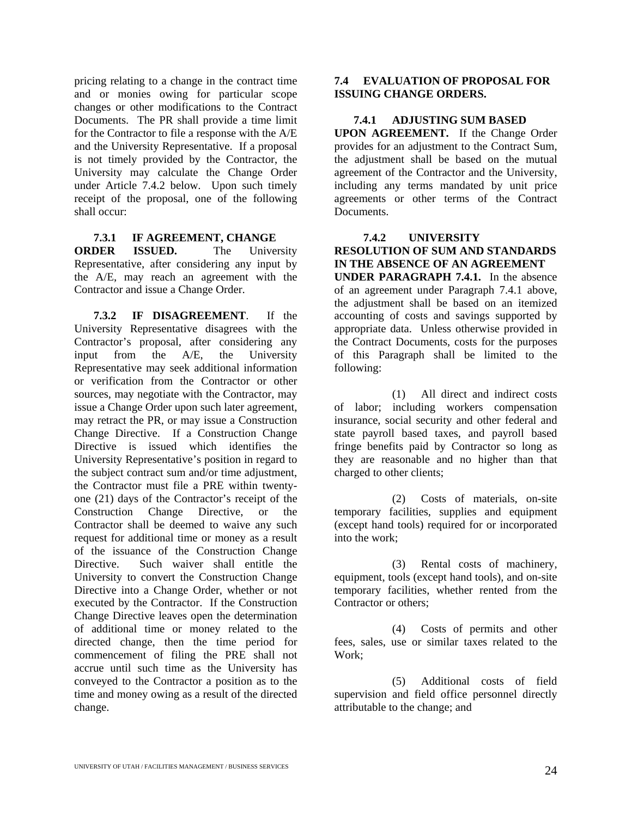pricing relating to a change in the contract time and or monies owing for particular scope changes or other modifications to the Contract Documents. The PR shall provide a time limit for the Contractor to file a response with the A/E and the University Representative. If a proposal is not timely provided by the Contractor, the University may calculate the Change Order under Article 7.4.2 below. Upon such timely receipt of the proposal, one of the following shall occur:

#### **7.3.1 IF AGREEMENT, CHANGE**

**ORDER ISSUED.** The University Representative, after considering any input by the A/E, may reach an agreement with the Contractor and issue a Change Order.

**7.3.2 IF DISAGREEMENT**. If the University Representative disagrees with the Contractor's proposal, after considering any input from the A/E, the University Representative may seek additional information or verification from the Contractor or other sources, may negotiate with the Contractor, may issue a Change Order upon such later agreement, may retract the PR, or may issue a Construction Change Directive. If a Construction Change Directive is issued which identifies the University Representative's position in regard to the subject contract sum and/or time adjustment, the Contractor must file a PRE within twentyone (21) days of the Contractor's receipt of the Construction Change Directive, or the Contractor shall be deemed to waive any such request for additional time or money as a result of the issuance of the Construction Change Directive. Such waiver shall entitle the University to convert the Construction Change Directive into a Change Order, whether or not executed by the Contractor. If the Construction Change Directive leaves open the determination of additional time or money related to the directed change, then the time period for commencement of filing the PRE shall not accrue until such time as the University has conveyed to the Contractor a position as to the time and money owing as a result of the directed change.

#### **7.4 EVALUATION OF PROPOSAL FOR ISSUING CHANGE ORDERS.**

#### **7.4.1 ADJUSTING SUM BASED**

**UPON AGREEMENT.** If the Change Order provides for an adjustment to the Contract Sum, the adjustment shall be based on the mutual agreement of the Contractor and the University, including any terms mandated by unit price agreements or other terms of the Contract Documents.

#### **7.4.2 UNIVERSITY**

#### **RESOLUTION OF SUM AND STANDARDS IN THE ABSENCE OF AN AGREEMENT**

**UNDER PARAGRAPH 7.4.1.** In the absence of an agreement under Paragraph 7.4.1 above, the adjustment shall be based on an itemized accounting of costs and savings supported by appropriate data. Unless otherwise provided in the Contract Documents, costs for the purposes of this Paragraph shall be limited to the following:

(1) All direct and indirect costs of labor; including workers compensation insurance, social security and other federal and state payroll based taxes, and payroll based fringe benefits paid by Contractor so long as they are reasonable and no higher than that charged to other clients;

(2) Costs of materials, on-site temporary facilities, supplies and equipment (except hand tools) required for or incorporated into the work;

(3) Rental costs of machinery, equipment, tools (except hand tools), and on-site temporary facilities, whether rented from the Contractor or others;

(4) Costs of permits and other fees, sales, use or similar taxes related to the Work;

(5) Additional costs of field supervision and field office personnel directly attributable to the change; and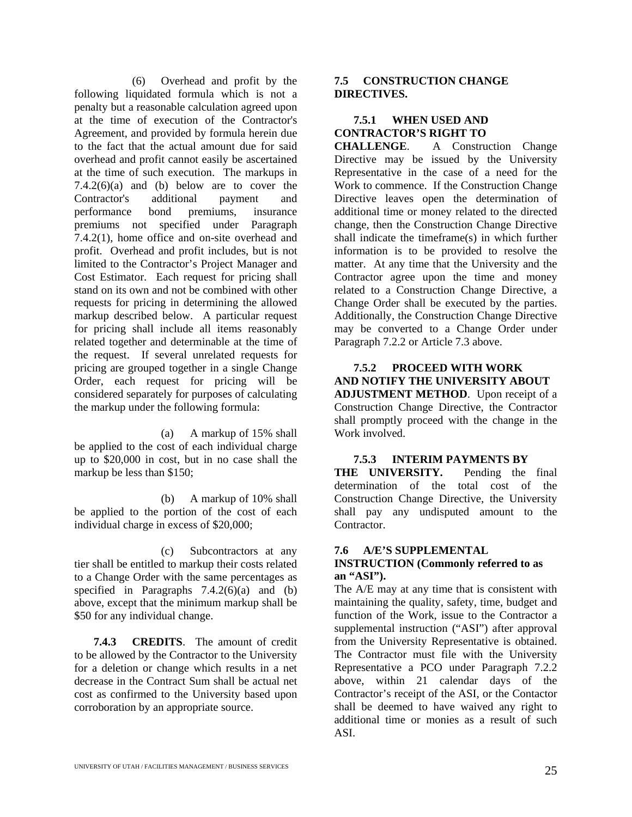(6) Overhead and profit by the following liquidated formula which is not a penalty but a reasonable calculation agreed upon at the time of execution of the Contractor's Agreement, and provided by formula herein due to the fact that the actual amount due for said overhead and profit cannot easily be ascertained at the time of such execution. The markups in 7.4.2 $(6)(a)$  and  $(b)$  below are to cover the Contractor's additional payment and performance bond premiums, insurance premiums not specified under Paragraph 7.4.2(1), home office and on-site overhead and profit. Overhead and profit includes, but is not limited to the Contractor's Project Manager and Cost Estimator. Each request for pricing shall stand on its own and not be combined with other requests for pricing in determining the allowed markup described below. A particular request for pricing shall include all items reasonably related together and determinable at the time of the request. If several unrelated requests for pricing are grouped together in a single Change Order, each request for pricing will be considered separately for purposes of calculating the markup under the following formula:

(a) A markup of 15% shall be applied to the cost of each individual charge up to \$20,000 in cost, but in no case shall the markup be less than \$150;

(b) A markup of 10% shall be applied to the portion of the cost of each individual charge in excess of \$20,000;

(c) Subcontractors at any tier shall be entitled to markup their costs related to a Change Order with the same percentages as specified in Paragraphs  $7.4.2(6)(a)$  and (b) above, except that the minimum markup shall be \$50 for any individual change.

**7.4.3 CREDITS**. The amount of credit to be allowed by the Contractor to the University for a deletion or change which results in a net decrease in the Contract Sum shall be actual net cost as confirmed to the University based upon corroboration by an appropriate source.

#### **7.5 CONSTRUCTION CHANGE DIRECTIVES.**

#### **7.5.1 WHEN USED AND CONTRACTOR'S RIGHT TO**

**CHALLENGE**. A Construction Change Directive may be issued by the University Representative in the case of a need for the Work to commence. If the Construction Change Directive leaves open the determination of additional time or money related to the directed change, then the Construction Change Directive shall indicate the timeframe(s) in which further information is to be provided to resolve the matter. At any time that the University and the Contractor agree upon the time and money related to a Construction Change Directive, a Change Order shall be executed by the parties. Additionally, the Construction Change Directive may be converted to a Change Order under Paragraph 7.2.2 or Article 7.3 above.

#### **7.5.2 PROCEED WITH WORK AND NOTIFY THE UNIVERSITY ABOUT ADJUSTMENT METHOD**. Upon receipt of a Construction Change Directive, the Contractor shall promptly proceed with the change in the Work involved.

#### **7.5.3 INTERIM PAYMENTS BY**

**THE UNIVERSITY.** Pending the final determination of the total cost of the Construction Change Directive, the University shall pay any undisputed amount to the Contractor.

#### **7.6 A/E'S SUPPLEMENTAL INSTRUCTION (Commonly referred to as an "ASI").**

The A/E may at any time that is consistent with maintaining the quality, safety, time, budget and function of the Work, issue to the Contractor a supplemental instruction ("ASI") after approval from the University Representative is obtained. The Contractor must file with the University Representative a PCO under Paragraph 7.2.2 above, within 21 calendar days of the Contractor's receipt of the ASI, or the Contactor shall be deemed to have waived any right to additional time or monies as a result of such ASI.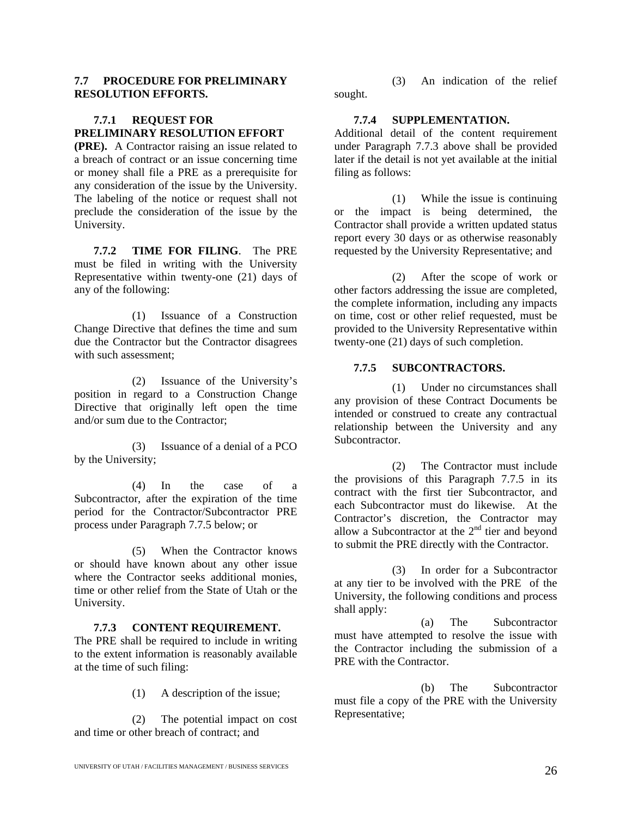#### **7.7 PROCEDURE FOR PRELIMINARY RESOLUTION EFFORTS.**

#### **7.7.1 REQUEST FOR PRELIMINARY RESOLUTION EFFORT**

**(PRE).** A Contractor raising an issue related to a breach of contract or an issue concerning time or money shall file a PRE as a prerequisite for any consideration of the issue by the University. The labeling of the notice or request shall not preclude the consideration of the issue by the University.

**7.7.2 TIME FOR FILING**. The PRE must be filed in writing with the University Representative within twenty-one (21) days of any of the following:

(1) Issuance of a Construction Change Directive that defines the time and sum due the Contractor but the Contractor disagrees with such assessment;

(2) Issuance of the University's position in regard to a Construction Change Directive that originally left open the time and/or sum due to the Contractor;

(3) Issuance of a denial of a PCO by the University;

(4) In the case of a Subcontractor, after the expiration of the time period for the Contractor/Subcontractor PRE process under Paragraph 7.7.5 below; or

(5) When the Contractor knows or should have known about any other issue where the Contractor seeks additional monies, time or other relief from the State of Utah or the University.

#### **7.7.3 CONTENT REQUIREMENT.**

The PRE shall be required to include in writing to the extent information is reasonably available at the time of such filing:

(1) A description of the issue;

(2) The potential impact on cost and time or other breach of contract; and

(3) An indication of the relief sought.

#### **7.7.4 SUPPLEMENTATION.**

Additional detail of the content requirement under Paragraph 7.7.3 above shall be provided later if the detail is not yet available at the initial filing as follows:

(1) While the issue is continuing or the impact is being determined, the Contractor shall provide a written updated status report every 30 days or as otherwise reasonably requested by the University Representative; and

(2) After the scope of work or other factors addressing the issue are completed, the complete information, including any impacts on time, cost or other relief requested, must be provided to the University Representative within twenty-one (21) days of such completion.

#### **7.7.5 SUBCONTRACTORS.**

(1) Under no circumstances shall any provision of these Contract Documents be intended or construed to create any contractual relationship between the University and any **Subcontractor** 

(2) The Contractor must include the provisions of this Paragraph 7.7.5 in its contract with the first tier Subcontractor, and each Subcontractor must do likewise. At the Contractor's discretion, the Contractor may allow a Subcontractor at the  $2<sup>nd</sup>$  tier and beyond to submit the PRE directly with the Contractor.

(3) In order for a Subcontractor at any tier to be involved with the PRE of the University, the following conditions and process shall apply:

(a) The Subcontractor must have attempted to resolve the issue with the Contractor including the submission of a PRE with the Contractor.

(b) The Subcontractor must file a copy of the PRE with the University Representative;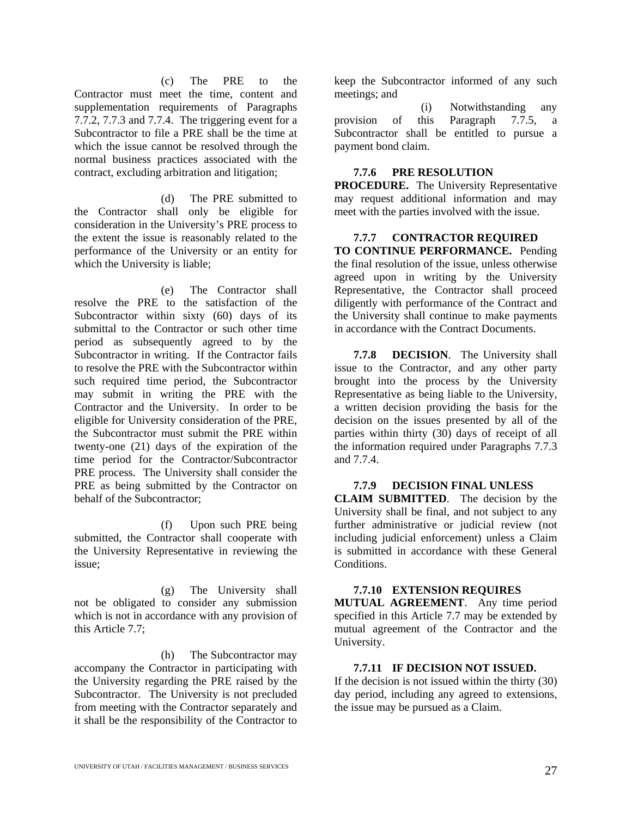(c) The PRE to the Contractor must meet the time, content and supplementation requirements of Paragraphs  $7.\overline{7}.\overline{2}$ ,  $7.\overline{7}.\overline{3}$  and  $7.\overline{7}.\overline{4}$ . The triggering event for a Subcontractor to file a PRE shall be the time at which the issue cannot be resolved through the normal business practices associated with the contract, excluding arbitration and litigation;

(d) The PRE submitted to the Contractor shall only be eligible for consideration in the University's PRE process to the extent the issue is reasonably related to the performance of the University or an entity for which the University is liable;

(e) The Contractor shall resolve the PRE to the satisfaction of the Subcontractor within sixty (60) days of its submittal to the Contractor or such other time period as subsequently agreed to by the Subcontractor in writing. If the Contractor fails to resolve the PRE with the Subcontractor within such required time period, the Subcontractor may submit in writing the PRE with the Contractor and the University. In order to be eligible for University consideration of the PRE, the Subcontractor must submit the PRE within twenty-one (21) days of the expiration of the time period for the Contractor/Subcontractor PRE process. The University shall consider the PRE as being submitted by the Contractor on behalf of the Subcontractor;

(f) Upon such PRE being submitted, the Contractor shall cooperate with the University Representative in reviewing the issue;

(g) The University shall not be obligated to consider any submission which is not in accordance with any provision of this Article 7.7;

(h) The Subcontractor may accompany the Contractor in participating with the University regarding the PRE raised by the Subcontractor. The University is not precluded from meeting with the Contractor separately and it shall be the responsibility of the Contractor to

keep the Subcontractor informed of any such meetings; and

(i) Notwithstanding any provision of this Paragraph 7.7.5, a Subcontractor shall be entitled to pursue a payment bond claim.

#### **7.7.6 PRE RESOLUTION**

**PROCEDURE.** The University Representative may request additional information and may meet with the parties involved with the issue.

#### **7.7.7 CONTRACTOR REQUIRED**

**TO CONTINUE PERFORMANCE.** Pending the final resolution of the issue, unless otherwise agreed upon in writing by the University Representative, the Contractor shall proceed diligently with performance of the Contract and the University shall continue to make payments in accordance with the Contract Documents.

**7.7.8 DECISION**. The University shall issue to the Contractor, and any other party brought into the process by the University Representative as being liable to the University, a written decision providing the basis for the decision on the issues presented by all of the parties within thirty (30) days of receipt of all the information required under Paragraphs 7.7.3 and 7.7.4.

#### **7.7.9 DECISION FINAL UNLESS**

**CLAIM SUBMITTED**. The decision by the University shall be final, and not subject to any further administrative or judicial review (not including judicial enforcement) unless a Claim is submitted in accordance with these General Conditions.

#### **7.7.10 EXTENSION REQUIRES**

**MUTUAL AGREEMENT**. Any time period specified in this Article 7.7 may be extended by mutual agreement of the Contractor and the University.

#### **7.7.11 IF DECISION NOT ISSUED.**

If the decision is not issued within the thirty (30) day period, including any agreed to extensions, the issue may be pursued as a Claim.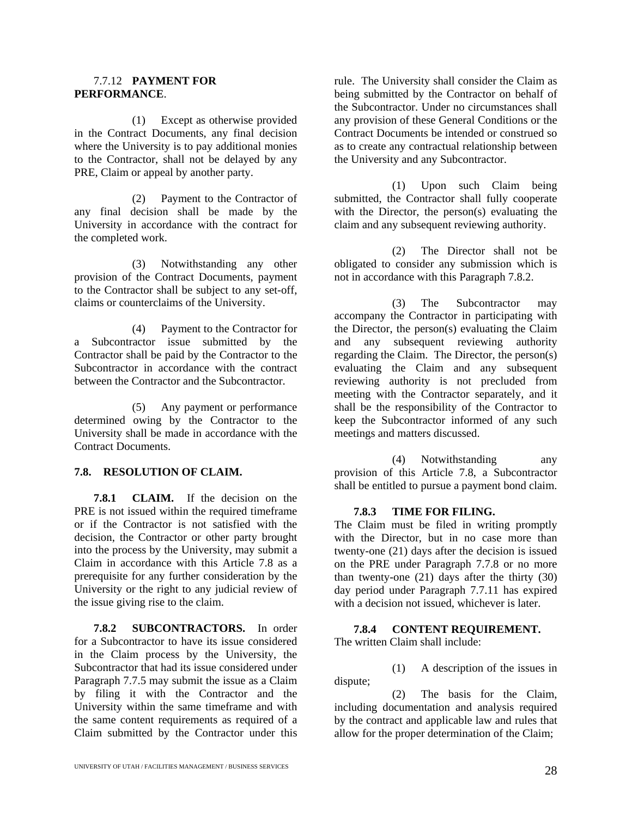#### 7.7.12 **PAYMENT FOR PERFORMANCE**.

(1) Except as otherwise provided in the Contract Documents, any final decision where the University is to pay additional monies to the Contractor, shall not be delayed by any PRE, Claim or appeal by another party.

(2) Payment to the Contractor of any final decision shall be made by the University in accordance with the contract for the completed work.

(3) Notwithstanding any other provision of the Contract Documents, payment to the Contractor shall be subject to any set-off, claims or counterclaims of the University.

(4) Payment to the Contractor for a Subcontractor issue submitted by the Contractor shall be paid by the Contractor to the Subcontractor in accordance with the contract between the Contractor and the Subcontractor.

(5) Any payment or performance determined owing by the Contractor to the University shall be made in accordance with the Contract Documents.

#### **7.8. RESOLUTION OF CLAIM.**

**7.8.1 CLAIM.** If the decision on the PRE is not issued within the required timeframe or if the Contractor is not satisfied with the decision, the Contractor or other party brought into the process by the University, may submit a Claim in accordance with this Article 7.8 as a prerequisite for any further consideration by the University or the right to any judicial review of the issue giving rise to the claim.

**7.8.2 SUBCONTRACTORS.** In order for a Subcontractor to have its issue considered in the Claim process by the University, the Subcontractor that had its issue considered under Paragraph 7.7.5 may submit the issue as a Claim by filing it with the Contractor and the University within the same timeframe and with the same content requirements as required of a Claim submitted by the Contractor under this

rule. The University shall consider the Claim as being submitted by the Contractor on behalf of the Subcontractor. Under no circumstances shall any provision of these General Conditions or the Contract Documents be intended or construed so as to create any contractual relationship between the University and any Subcontractor.

(1) Upon such Claim being submitted, the Contractor shall fully cooperate with the Director, the person(s) evaluating the claim and any subsequent reviewing authority.

(2) The Director shall not be obligated to consider any submission which is not in accordance with this Paragraph 7.8.2.

(3) The Subcontractor may accompany the Contractor in participating with the Director, the person(s) evaluating the Claim and any subsequent reviewing authority regarding the Claim. The Director, the person(s) evaluating the Claim and any subsequent reviewing authority is not precluded from meeting with the Contractor separately, and it shall be the responsibility of the Contractor to keep the Subcontractor informed of any such meetings and matters discussed.

(4) Notwithstanding any provision of this Article 7.8, a Subcontractor shall be entitled to pursue a payment bond claim.

#### **7.8.3 TIME FOR FILING.**

The Claim must be filed in writing promptly with the Director, but in no case more than twenty-one (21) days after the decision is issued on the PRE under Paragraph 7.7.8 or no more than twenty-one (21) days after the thirty (30) day period under Paragraph 7.7.11 has expired with a decision not issued, whichever is later.

#### **7.8.4 CONTENT REQUIREMENT.**

The written Claim shall include:

(1) A description of the issues in dispute;

(2) The basis for the Claim, including documentation and analysis required by the contract and applicable law and rules that allow for the proper determination of the Claim;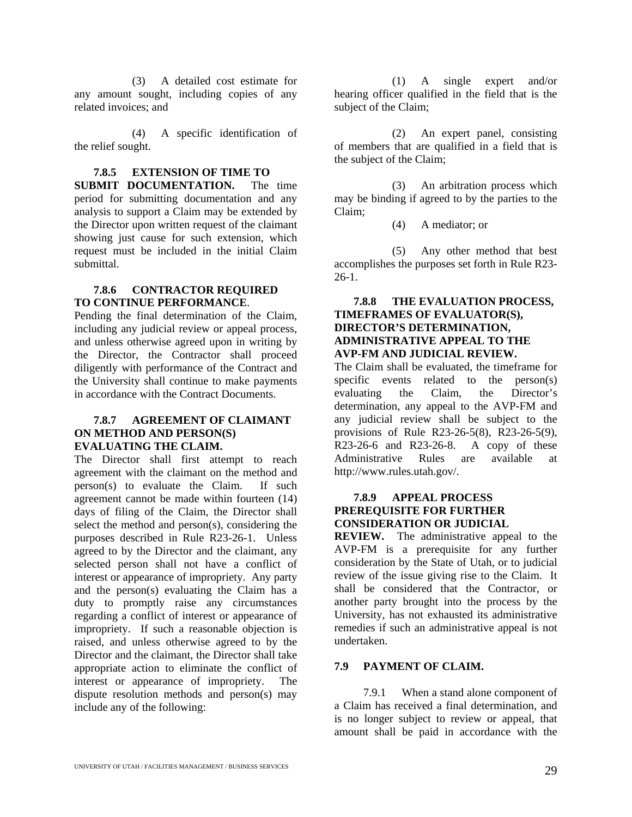(3) A detailed cost estimate for any amount sought, including copies of any related invoices; and

(4) A specific identification of the relief sought.

#### **7.8.5 EXTENSION OF TIME TO**

**SUBMIT DOCUMENTATION.** The time period for submitting documentation and any analysis to support a Claim may be extended by the Director upon written request of the claimant showing just cause for such extension, which request must be included in the initial Claim submittal.

#### **7.8.6 CONTRACTOR REQUIRED TO CONTINUE PERFORMANCE**.

Pending the final determination of the Claim, including any judicial review or appeal process, and unless otherwise agreed upon in writing by the Director, the Contractor shall proceed diligently with performance of the Contract and the University shall continue to make payments in accordance with the Contract Documents.

#### **7.8.7 AGREEMENT OF CLAIMANT ON METHOD AND PERSON(S) EVALUATING THE CLAIM.**

The Director shall first attempt to reach agreement with the claimant on the method and person(s) to evaluate the Claim. If such agreement cannot be made within fourteen (14) days of filing of the Claim, the Director shall select the method and person(s), considering the purposes described in Rule R23-26-1.Unless agreed to by the Director and the claimant, any selected person shall not have a conflict of interest or appearance of impropriety. Any party and the person(s) evaluating the Claim has a duty to promptly raise any circumstances regarding a conflict of interest or appearance of impropriety. If such a reasonable objection is raised, and unless otherwise agreed to by the Director and the claimant, the Director shall take appropriate action to eliminate the conflict of interest or appearance of impropriety. The dispute resolution methods and person(s) may include any of the following:

(1) A single expert and/or hearing officer qualified in the field that is the subject of the Claim;

(2) An expert panel, consisting of members that are qualified in a field that is the subject of the Claim;

(3) An arbitration process which may be binding if agreed to by the parties to the Claim;

(4) A mediator; or

(5) Any other method that best accomplishes the purposes set forth in Rule R23- 26-1.

#### **7.8.8 THE EVALUATION PROCESS, TIMEFRAMES OF EVALUATOR(S), DIRECTOR'S DETERMINATION, ADMINISTRATIVE APPEAL TO THE AVP-FM AND JUDICIAL REVIEW.**

The Claim shall be evaluated, the timeframe for specific events related to the person(s) evaluating the Claim, the Director's determination, any appeal to the AVP-FM and any judicial review shall be subject to the provisions of Rule R23-26-5(8), R23-26-5(9),  $R23-26-6$  and  $R23-26-8$ . A copy of these Administrative Rules are available at http://www.rules.utah.gov/.

#### **7.8.9 APPEAL PROCESS PREREQUISITE FOR FURTHER CONSIDERATION OR JUDICIAL**

**REVIEW.** The administrative appeal to the AVP-FM is a prerequisite for any further consideration by the State of Utah, or to judicial review of the issue giving rise to the Claim. It shall be considered that the Contractor, or another party brought into the process by the University, has not exhausted its administrative remedies if such an administrative appeal is not undertaken.

#### **7.9 PAYMENT OF CLAIM.**

7.9.1 When a stand alone component of a Claim has received a final determination, and is no longer subject to review or appeal, that amount shall be paid in accordance with the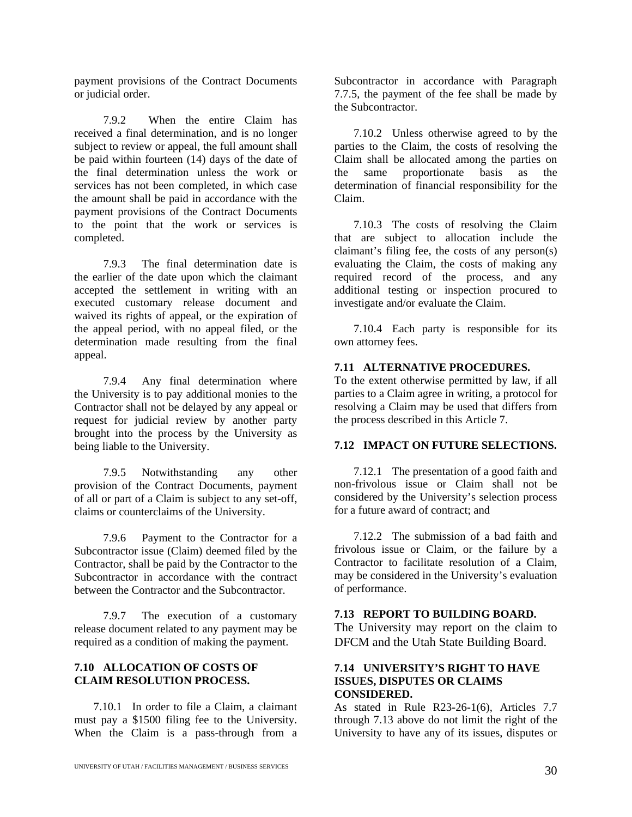payment provisions of the Contract Documents or judicial order.

7.9.2 When the entire Claim has received a final determination, and is no longer subject to review or appeal, the full amount shall be paid within fourteen (14) days of the date of the final determination unless the work or services has not been completed, in which case the amount shall be paid in accordance with the payment provisions of the Contract Documents to the point that the work or services is completed.

7.9.3 The final determination date is the earlier of the date upon which the claimant accepted the settlement in writing with an executed customary release document and waived its rights of appeal, or the expiration of the appeal period, with no appeal filed, or the determination made resulting from the final appeal.

7.9.4 Any final determination where the University is to pay additional monies to the Contractor shall not be delayed by any appeal or request for judicial review by another party brought into the process by the University as being liable to the University.

7.9.5 Notwithstanding any other provision of the Contract Documents, payment of all or part of a Claim is subject to any set-off, claims or counterclaims of the University.

7.9.6 Payment to the Contractor for a Subcontractor issue (Claim) deemed filed by the Contractor, shall be paid by the Contractor to the Subcontractor in accordance with the contract between the Contractor and the Subcontractor.

7.9.7 The execution of a customary release document related to any payment may be required as a condition of making the payment.

#### **7.10 ALLOCATION OF COSTS OF CLAIM RESOLUTION PROCESS.**

7.10.1 In order to file a Claim, a claimant must pay a \$1500 filing fee to the University. When the Claim is a pass-through from a

Subcontractor in accordance with Paragraph 7.7.5, the payment of the fee shall be made by the Subcontractor.

7.10.2 Unless otherwise agreed to by the parties to the Claim, the costs of resolving the Claim shall be allocated among the parties on the same proportionate basis as the determination of financial responsibility for the Claim.

7.10.3 The costs of resolving the Claim that are subject to allocation include the claimant's filing fee, the costs of any person(s) evaluating the Claim, the costs of making any required record of the process, and any additional testing or inspection procured to investigate and/or evaluate the Claim.

7.10.4 Each party is responsible for its own attorney fees.

#### **7.11 ALTERNATIVE PROCEDURES.**

To the extent otherwise permitted by law, if all parties to a Claim agree in writing, a protocol for resolving a Claim may be used that differs from the process described in this Article 7.

#### **7.12 IMPACT ON FUTURE SELECTIONS.**

7.12.1 The presentation of a good faith and non-frivolous issue or Claim shall not be considered by the University's selection process for a future award of contract; and

7.12.2 The submission of a bad faith and frivolous issue or Claim, or the failure by a Contractor to facilitate resolution of a Claim, may be considered in the University's evaluation of performance.

#### **7.13 REPORT TO BUILDING BOARD.**

The University may report on the claim to DFCM and the Utah State Building Board.

#### **7.14 UNIVERSITY'S RIGHT TO HAVE ISSUES, DISPUTES OR CLAIMS CONSIDERED.**

As stated in Rule R23-26-1(6), Articles 7.7 through 7.13 above do not limit the right of the University to have any of its issues, disputes or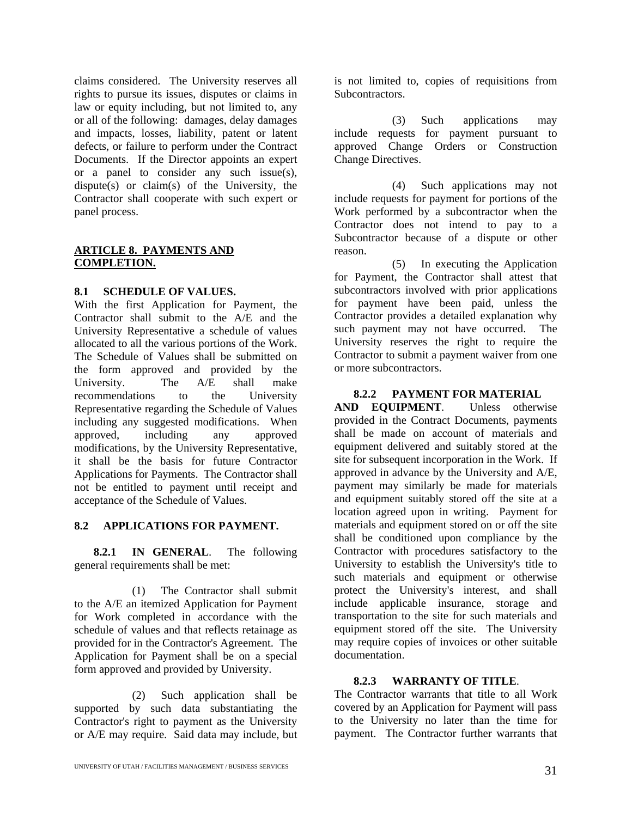claims considered. The University reserves all rights to pursue its issues, disputes or claims in law or equity including, but not limited to, any or all of the following: damages, delay damages and impacts, losses, liability, patent or latent defects, or failure to perform under the Contract Documents. If the Director appoints an expert or a panel to consider any such issue(s), dispute(s) or claim(s) of the University, the Contractor shall cooperate with such expert or panel process.

#### **ARTICLE 8. PAYMENTS AND COMPLETION.**

#### **8.1 SCHEDULE OF VALUES.**

With the first Application for Payment, the Contractor shall submit to the A/E and the University Representative a schedule of values allocated to all the various portions of the Work. The Schedule of Values shall be submitted on the form approved and provided by the<br>University. The A/E shall make University. The A/E shall make recommendations to the University Representative regarding the Schedule of Values including any suggested modifications. When approved, including any approved modifications, by the University Representative, it shall be the basis for future Contractor Applications for Payments. The Contractor shall not be entitled to payment until receipt and acceptance of the Schedule of Values.

#### **8.2 APPLICATIONS FOR PAYMENT.**

**8.2.1 IN GENERAL**. The following general requirements shall be met:

(1) The Contractor shall submit to the A/E an itemized Application for Payment for Work completed in accordance with the schedule of values and that reflects retainage as provided for in the Contractor's Agreement. The Application for Payment shall be on a special form approved and provided by University.

(2) Such application shall be supported by such data substantiating the Contractor's right to payment as the University or A/E may require. Said data may include, but is not limited to, copies of requisitions from Subcontractors.

(3) Such applications may include requests for payment pursuant to approved Change Orders or Construction Change Directives.

(4) Such applications may not include requests for payment for portions of the Work performed by a subcontractor when the Contractor does not intend to pay to a Subcontractor because of a dispute or other reason.

(5) In executing the Application for Payment, the Contractor shall attest that subcontractors involved with prior applications for payment have been paid, unless the Contractor provides a detailed explanation why such payment may not have occurred. The University reserves the right to require the Contractor to submit a payment waiver from one or more subcontractors.

#### **8.2.2 PAYMENT FOR MATERIAL**

**AND EQUIPMENT**. Unless otherwise provided in the Contract Documents, payments shall be made on account of materials and equipment delivered and suitably stored at the site for subsequent incorporation in the Work. If approved in advance by the University and A/E, payment may similarly be made for materials and equipment suitably stored off the site at a location agreed upon in writing. Payment for materials and equipment stored on or off the site shall be conditioned upon compliance by the Contractor with procedures satisfactory to the University to establish the University's title to such materials and equipment or otherwise protect the University's interest, and shall include applicable insurance, storage and transportation to the site for such materials and equipment stored off the site. The University may require copies of invoices or other suitable documentation.

#### **8.2.3 WARRANTY OF TITLE**.

The Contractor warrants that title to all Work covered by an Application for Payment will pass to the University no later than the time for payment. The Contractor further warrants that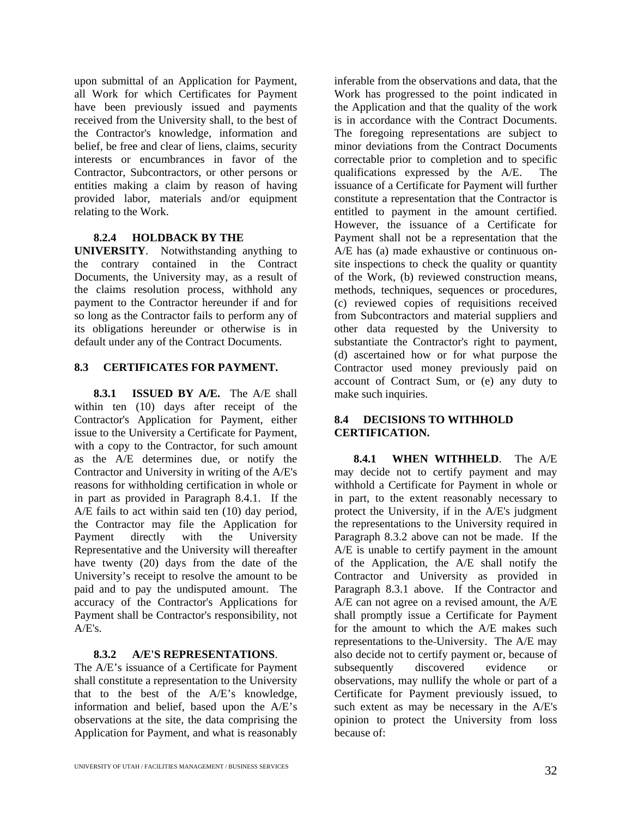upon submittal of an Application for Payment, all Work for which Certificates for Payment have been previously issued and payments received from the University shall, to the best of the Contractor's knowledge, information and belief, be free and clear of liens, claims, security interests or encumbrances in favor of the Contractor, Subcontractors, or other persons or entities making a claim by reason of having provided labor, materials and/or equipment relating to the Work.

#### **8.2.4 HOLDBACK BY THE**

**UNIVERSITY**. Notwithstanding anything to the contrary contained in the Contract Documents, the University may, as a result of the claims resolution process, withhold any payment to the Contractor hereunder if and for so long as the Contractor fails to perform any of its obligations hereunder or otherwise is in default under any of the Contract Documents.

#### **8.3 CERTIFICATES FOR PAYMENT.**

**8.3.1 ISSUED BY A/E.** The A/E shall within ten (10) days after receipt of the Contractor's Application for Payment, either issue to the University a Certificate for Payment, with a copy to the Contractor, for such amount as the A/E determines due, or notify the Contractor and University in writing of the A/E's reasons for withholding certification in whole or in part as provided in Paragraph 8.4.1. If the A/E fails to act within said ten (10) day period, the Contractor may file the Application for Payment directly with the University Representative and the University will thereafter have twenty (20) days from the date of the University's receipt to resolve the amount to be paid and to pay the undisputed amount. The accuracy of the Contractor's Applications for Payment shall be Contractor's responsibility, not  $A/E's.$ 

#### **8.3.2 A/E'S REPRESENTATIONS**.

The A/E's issuance of a Certificate for Payment shall constitute a representation to the University that to the best of the A/E's knowledge, information and belief, based upon the A/E's observations at the site, the data comprising the Application for Payment, and what is reasonably

inferable from the observations and data, that the Work has progressed to the point indicated in the Application and that the quality of the work is in accordance with the Contract Documents. The foregoing representations are subject to minor deviations from the Contract Documents correctable prior to completion and to specific qualifications expressed by the A/E. The issuance of a Certificate for Payment will further constitute a representation that the Contractor is entitled to payment in the amount certified. However, the issuance of a Certificate for Payment shall not be a representation that the A/E has (a) made exhaustive or continuous onsite inspections to check the quality or quantity of the Work, (b) reviewed construction means, methods, techniques, sequences or procedures, (c) reviewed copies of requisitions received from Subcontractors and material suppliers and other data requested by the University to substantiate the Contractor's right to payment, (d) ascertained how or for what purpose the Contractor used money previously paid on account of Contract Sum, or (e) any duty to make such inquiries.

#### **8.4 DECISIONS TO WITHHOLD CERTIFICATION.**

**8.4.1 WHEN WITHHELD**. The A/E may decide not to certify payment and may withhold a Certificate for Payment in whole or in part, to the extent reasonably necessary to protect the University, if in the A/E's judgment the representations to the University required in Paragraph 8.3.2 above can not be made. If the A/E is unable to certify payment in the amount of the Application, the A/E shall notify the Contractor and University as provided in Paragraph 8.3.1 above. If the Contractor and A/E can not agree on a revised amount, the A/E shall promptly issue a Certificate for Payment for the amount to which the A/E makes such representations to the University. The A/E may also decide not to certify payment or, because of subsequently discovered evidence or observations, may nullify the whole or part of a Certificate for Payment previously issued, to such extent as may be necessary in the A/E's opinion to protect the University from loss because of: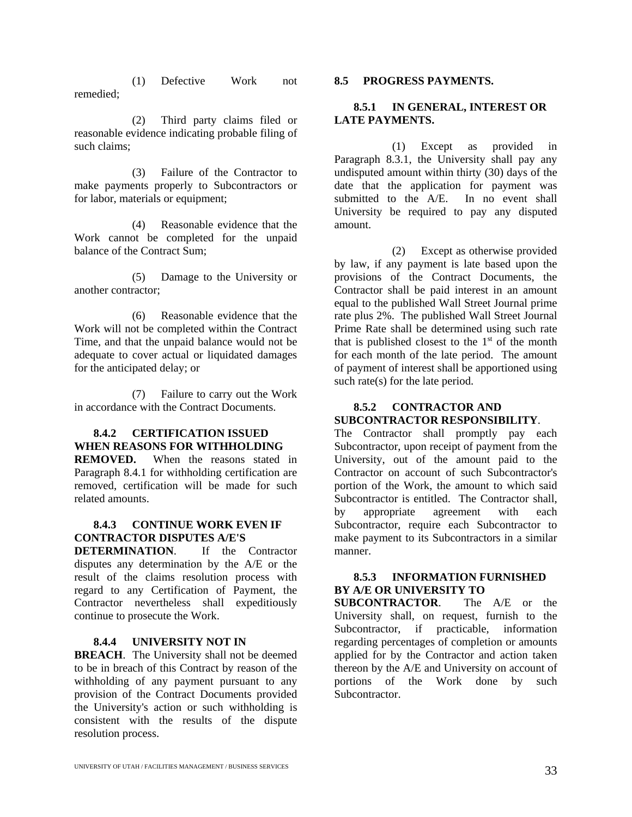(1) Defective Work not remedied;

(2) Third party claims filed or reasonable evidence indicating probable filing of such claims;

(3) Failure of the Contractor to make payments properly to Subcontractors or for labor, materials or equipment;

(4) Reasonable evidence that the Work cannot be completed for the unpaid balance of the Contract Sum;

(5) Damage to the University or another contractor;

(6) Reasonable evidence that the Work will not be completed within the Contract Time, and that the unpaid balance would not be adequate to cover actual or liquidated damages for the anticipated delay; or

(7) Failure to carry out the Work in accordance with the Contract Documents.

#### **8.4.2 CERTIFICATION ISSUED WHEN REASONS FOR WITHHOLDING**

**REMOVED.** When the reasons stated in Paragraph 8.4.1 for withholding certification are removed, certification will be made for such related amounts.

#### **8.4.3 CONTINUE WORK EVEN IF CONTRACTOR DISPUTES A/E'S**

**DETERMINATION**. If the Contractor disputes any determination by the A/E or the result of the claims resolution process with regard to any Certification of Payment, the Contractor nevertheless shall expeditiously continue to prosecute the Work.

#### **8.4.4 UNIVERSITY NOT IN**

**BREACH**. The University shall not be deemed to be in breach of this Contract by reason of the withholding of any payment pursuant to any provision of the Contract Documents provided the University's action or such withholding is consistent with the results of the dispute resolution process.

#### **8.5 PROGRESS PAYMENTS.**

#### **8.5.1 IN GENERAL, INTEREST OR LATE PAYMENTS.**

(1) Except as provided in Paragraph 8.3.1, the University shall pay any undisputed amount within thirty (30) days of the date that the application for payment was submitted to the A/E. In no event shall University be required to pay any disputed amount.

(2) Except as otherwise provided by law, if any payment is late based upon the provisions of the Contract Documents, the Contractor shall be paid interest in an amount equal to the published Wall Street Journal prime rate plus 2%. The published Wall Street Journal Prime Rate shall be determined using such rate that is published closest to the  $1<sup>st</sup>$  of the month for each month of the late period. The amount of payment of interest shall be apportioned using such rate(s) for the late period.

#### **8.5.2 CONTRACTOR AND SUBCONTRACTOR RESPONSIBILITY**.

The Contractor shall promptly pay each Subcontractor, upon receipt of payment from the University, out of the amount paid to the Contractor on account of such Subcontractor's portion of the Work, the amount to which said Subcontractor is entitled. The Contractor shall, by appropriate agreement with each Subcontractor, require each Subcontractor to make payment to its Subcontractors in a similar manner.

#### **8.5.3 INFORMATION FURNISHED BY A/E OR UNIVERSITY TO**

**SUBCONTRACTOR**. The A/E or the University shall, on request, furnish to the Subcontractor, if practicable, information regarding percentages of completion or amounts applied for by the Contractor and action taken thereon by the A/E and University on account of portions of the Work done by such Subcontractor.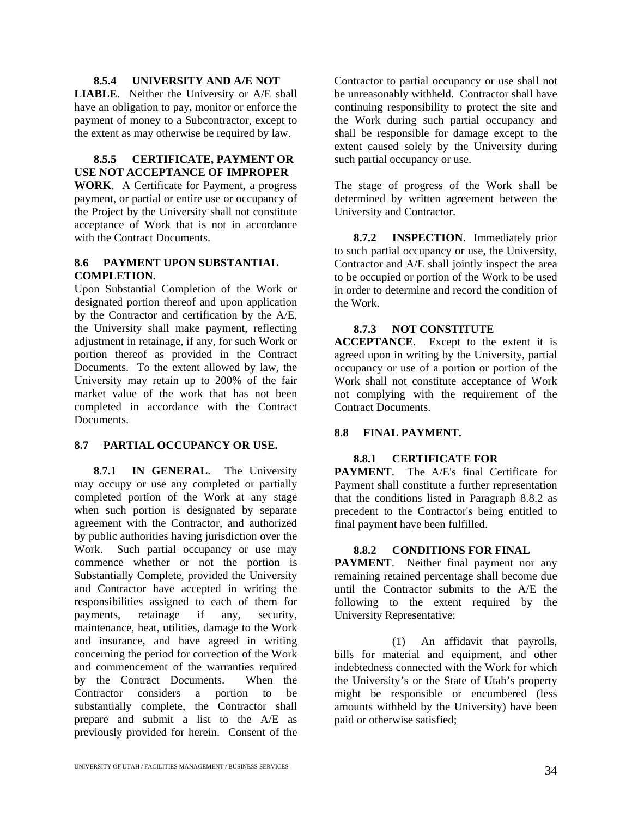#### **8.5.4 UNIVERSITY AND A/E NOT**

**LIABLE**. Neither the University or A/E shall have an obligation to pay, monitor or enforce the payment of money to a Subcontractor, except to the extent as may otherwise be required by law.

#### **8.5.5 CERTIFICATE, PAYMENT OR USE NOT ACCEPTANCE OF IMPROPER**

**WORK**. A Certificate for Payment, a progress payment, or partial or entire use or occupancy of the Project by the University shall not constitute acceptance of Work that is not in accordance with the Contract Documents.

#### **8.6 PAYMENT UPON SUBSTANTIAL COMPLETION.**

Upon Substantial Completion of the Work or designated portion thereof and upon application by the Contractor and certification by the A/E, the University shall make payment, reflecting adjustment in retainage, if any, for such Work or portion thereof as provided in the Contract Documents. To the extent allowed by law, the University may retain up to 200% of the fair market value of the work that has not been completed in accordance with the Contract Documents.

#### **8.7 PARTIAL OCCUPANCY OR USE.**

**8.7.1 IN GENERAL**. The University may occupy or use any completed or partially completed portion of the Work at any stage when such portion is designated by separate agreement with the Contractor, and authorized by public authorities having jurisdiction over the Work. Such partial occupancy or use may commence whether or not the portion is Substantially Complete, provided the University and Contractor have accepted in writing the responsibilities assigned to each of them for payments, retainage if any, security, maintenance, heat, utilities, damage to the Work and insurance, and have agreed in writing concerning the period for correction of the Work and commencement of the warranties required by the Contract Documents. When the<br>Contractor considers a portion to be Contractor considers a portion to be substantially complete, the Contractor shall prepare and submit a list to the A/E as previously provided for herein. Consent of the

Contractor to partial occupancy or use shall not be unreasonably withheld. Contractor shall have continuing responsibility to protect the site and the Work during such partial occupancy and shall be responsible for damage except to the extent caused solely by the University during such partial occupancy or use.

The stage of progress of the Work shall be determined by written agreement between the University and Contractor.

**8.7.2 INSPECTION**. Immediately prior to such partial occupancy or use, the University, Contractor and A/E shall jointly inspect the area to be occupied or portion of the Work to be used in order to determine and record the condition of the Work.

#### **8.7.3 NOT CONSTITUTE**

**ACCEPTANCE**. Except to the extent it is agreed upon in writing by the University, partial occupancy or use of a portion or portion of the Work shall not constitute acceptance of Work not complying with the requirement of the Contract Documents.

#### **8.8 FINAL PAYMENT.**

#### **8.8.1 CERTIFICATE FOR**

**PAYMENT**. The A/E's final Certificate for Payment shall constitute a further representation that the conditions listed in Paragraph 8.8.2 as precedent to the Contractor's being entitled to final payment have been fulfilled.

#### **8.8.2 CONDITIONS FOR FINAL**

**PAYMENT**. Neither final payment nor any remaining retained percentage shall become due until the Contractor submits to the A/E the following to the extent required by the University Representative:

(1) An affidavit that payrolls, bills for material and equipment, and other indebtedness connected with the Work for which the University's or the State of Utah's property might be responsible or encumbered (less amounts withheld by the University) have been paid or otherwise satisfied;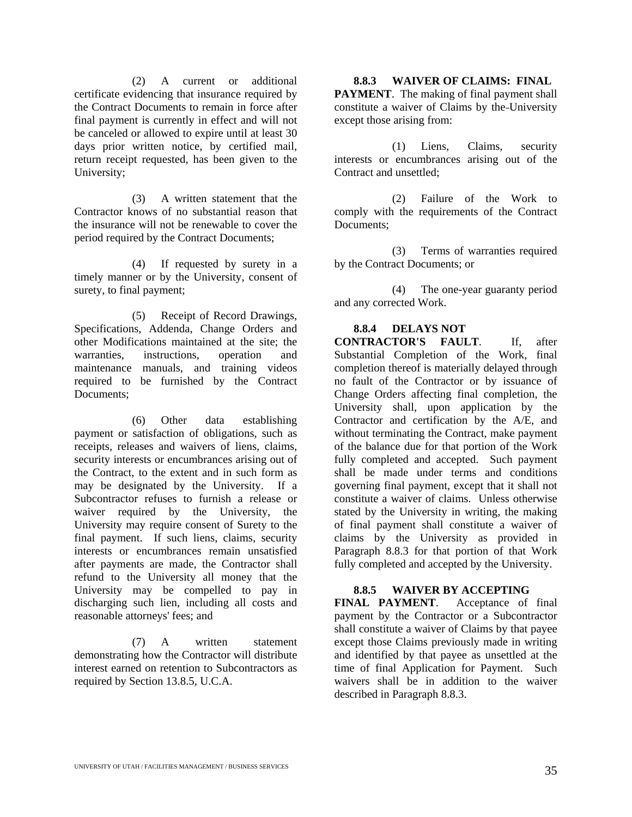(2) A current or additional certificate evidencing that insurance required by the Contract Documents to remain in force after final payment is currently in effect and will not be canceled or allowed to expire until at least 30 days prior written notice, by certified mail, return receipt requested, has been given to the University;

(3) A written statement that the Contractor knows of no substantial reason that the insurance will not be renewable to cover the period required by the Contract Documents;

(4) If requested by surety in a timely manner or by the University, consent of surety, to final payment;

(5) Receipt of Record Drawings, Specifications, Addenda, Change Orders and other Modifications maintained at the site; the warranties, instructions, operation and maintenance manuals, and training videos required to be furnished by the Contract Documents<sup>\*</sup>

(6) Other data establishing payment or satisfaction of obligations, such as receipts, releases and waivers of liens, claims, security interests or encumbrances arising out of the Contract, to the extent and in such form as may be designated by the University. If a Subcontractor refuses to furnish a release or waiver required by the University, the University may require consent of Surety to the final payment. If such liens, claims, security interests or encumbrances remain unsatisfied after payments are made, the Contractor shall refund to the University all money that the University may be compelled to pay in discharging such lien, including all costs and reasonable attorneys' fees; and

(7) A written statement demonstrating how the Contractor will distribute interest earned on retention to Subcontractors as required by Section 13.8.5, U.C.A.

**8.8.3 WAIVER OF CLAIMS: FINAL PAYMENT**. The making of final payment shall constitute a waiver of Claims by the University except those arising from:

(1) Liens, Claims, security interests or encumbrances arising out of the Contract and unsettled;

(2) Failure of the Work to comply with the requirements of the Contract Documents;

(3) Terms of warranties required by the Contract Documents; or

(4) The one-year guaranty period and any corrected Work.

#### **8.8.4 DELAYS NOT**

**CONTRACTOR'S FAULT**. If, after Substantial Completion of the Work, final completion thereof is materially delayed through no fault of the Contractor or by issuance of Change Orders affecting final completion, the University shall, upon application by the Contractor and certification by the A/E, and without terminating the Contract, make payment of the balance due for that portion of the Work fully completed and accepted. Such payment shall be made under terms and conditions governing final payment, except that it shall not constitute a waiver of claims. Unless otherwise stated by the University in writing, the making of final payment shall constitute a waiver of claims by the University as provided in Paragraph 8.8.3 for that portion of that Work fully completed and accepted by the University.

#### **8.8.5 WAIVER BY ACCEPTING**

**FINAL PAYMENT**. Acceptance of final payment by the Contractor or a Subcontractor shall constitute a waiver of Claims by that payee except those Claims previously made in writing and identified by that payee as unsettled at the time of final Application for Payment. Such waivers shall be in addition to the waiver described in Paragraph 8.8.3.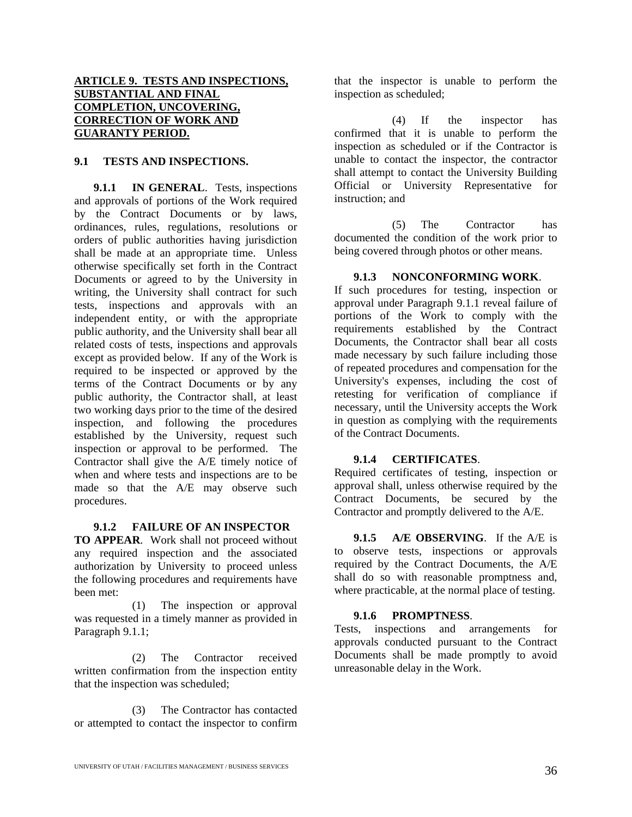#### **ARTICLE 9. TESTS AND INSPECTIONS, SUBSTANTIAL AND FINAL COMPLETION, UNCOVERING, CORRECTION OF WORK AND GUARANTY PERIOD.**

#### **9.1 TESTS AND INSPECTIONS.**

**9.1.1 IN GENERAL**. Tests, inspections and approvals of portions of the Work required by the Contract Documents or by laws, ordinances, rules, regulations, resolutions or orders of public authorities having jurisdiction shall be made at an appropriate time. Unless otherwise specifically set forth in the Contract Documents or agreed to by the University in writing, the University shall contract for such tests, inspections and approvals with an independent entity, or with the appropriate public authority, and the University shall bear all related costs of tests, inspections and approvals except as provided below. If any of the Work is required to be inspected or approved by the terms of the Contract Documents or by any public authority, the Contractor shall, at least two working days prior to the time of the desired inspection, and following the procedures established by the University, request such inspection or approval to be performed. The Contractor shall give the A/E timely notice of when and where tests and inspections are to be made so that the A/E may observe such procedures.

#### **9.1.2 FAILURE OF AN INSPECTOR**

**TO APPEAR**. Work shall not proceed without any required inspection and the associated authorization by University to proceed unless the following procedures and requirements have been met:

(1) The inspection or approval was requested in a timely manner as provided in Paragraph 9.1.1;

(2) The Contractor received written confirmation from the inspection entity that the inspection was scheduled;

(3) The Contractor has contacted or attempted to contact the inspector to confirm that the inspector is unable to perform the inspection as scheduled;

(4) If the inspector has confirmed that it is unable to perform the inspection as scheduled or if the Contractor is unable to contact the inspector, the contractor shall attempt to contact the University Building Official or University Representative for instruction; and

(5) The Contractor has documented the condition of the work prior to being covered through photos or other means.

#### **9.1.3 NONCONFORMING WORK**.

If such procedures for testing, inspection or approval under Paragraph 9.1.1 reveal failure of portions of the Work to comply with the requirements established by the Contract Documents, the Contractor shall bear all costs made necessary by such failure including those of repeated procedures and compensation for the University's expenses, including the cost of retesting for verification of compliance if necessary, until the University accepts the Work in question as complying with the requirements of the Contract Documents.

#### **9.1.4 CERTIFICATES**.

Required certificates of testing, inspection or approval shall, unless otherwise required by the Contract Documents, be secured by the Contractor and promptly delivered to the A/E.

**9.1.5 A/E OBSERVING**. If the A/E is to observe tests, inspections or approvals required by the Contract Documents, the A/E shall do so with reasonable promptness and, where practicable, at the normal place of testing.

#### **9.1.6 PROMPTNESS**.

Tests, inspections and arrangements for approvals conducted pursuant to the Contract Documents shall be made promptly to avoid unreasonable delay in the Work.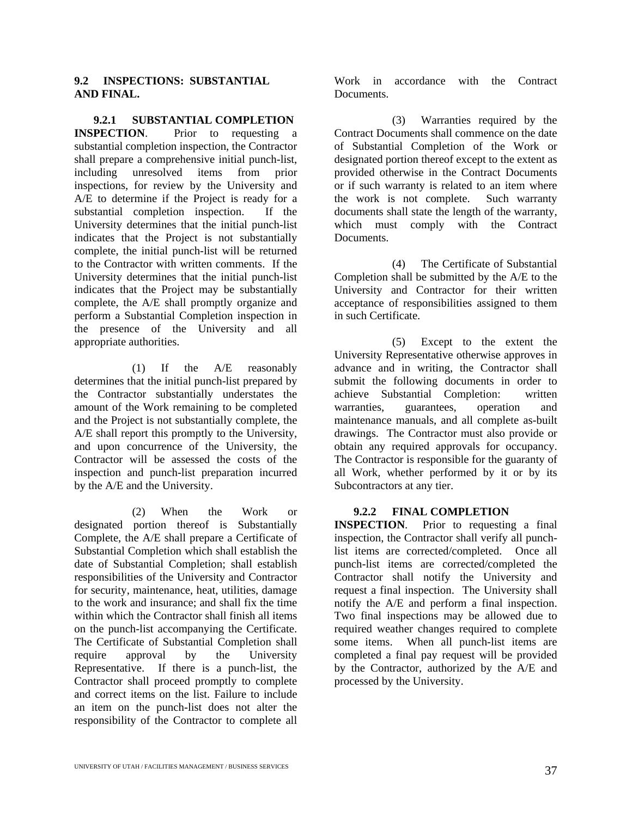#### **9.2 INSPECTIONS: SUBSTANTIAL AND FINAL.**

**9.2.1 SUBSTANTIAL COMPLETION INSPECTION**. Prior to requesting a substantial completion inspection, the Contractor shall prepare a comprehensive initial punch-list,<br>including unresolved items from prior unresolved items from prior inspections, for review by the University and A/E to determine if the Project is ready for a substantial completion inspection. If the University determines that the initial punch-list indicates that the Project is not substantially complete, the initial punch-list will be returned to the Contractor with written comments. If the University determines that the initial punch-list indicates that the Project may be substantially complete, the A/E shall promptly organize and perform a Substantial Completion inspection in the presence of the University and all appropriate authorities.

(1) If the A/E reasonably determines that the initial punch-list prepared by the Contractor substantially understates the amount of the Work remaining to be completed and the Project is not substantially complete, the A/E shall report this promptly to the University, and upon concurrence of the University, the Contractor will be assessed the costs of the inspection and punch-list preparation incurred by the A/E and the University.

(2) When the Work or designated portion thereof is Substantially Complete, the A/E shall prepare a Certificate of Substantial Completion which shall establish the date of Substantial Completion; shall establish responsibilities of the University and Contractor for security, maintenance, heat, utilities, damage to the work and insurance; and shall fix the time within which the Contractor shall finish all items on the punch-list accompanying the Certificate. The Certificate of Substantial Completion shall require approval by the University Representative. If there is a punch-list, the Contractor shall proceed promptly to complete and correct items on the list. Failure to include an item on the punch-list does not alter the responsibility of the Contractor to complete all

Work in accordance with the Contract Documents.

(3) Warranties required by the Contract Documents shall commence on the date of Substantial Completion of the Work or designated portion thereof except to the extent as provided otherwise in the Contract Documents or if such warranty is related to an item where the work is not complete. Such warranty documents shall state the length of the warranty, which must comply with the Contract Documents.

(4) The Certificate of Substantial Completion shall be submitted by the A/E to the University and Contractor for their written acceptance of responsibilities assigned to them in such Certificate.

(5) Except to the extent the University Representative otherwise approves in advance and in writing, the Contractor shall submit the following documents in order to achieve Substantial Completion: written warranties, guarantees, operation and maintenance manuals, and all complete as-built drawings. The Contractor must also provide or obtain any required approvals for occupancy. The Contractor is responsible for the guaranty of all Work, whether performed by it or by its Subcontractors at any tier.

#### **9.2.2 FINAL COMPLETION**

**INSPECTION**. Prior to requesting a final inspection, the Contractor shall verify all punchlist items are corrected/completed. Once all punch-list items are corrected/completed the Contractor shall notify the University and request a final inspection. The University shall notify the A/E and perform a final inspection. Two final inspections may be allowed due to required weather changes required to complete some items. When all punch-list items are completed a final pay request will be provided by the Contractor, authorized by the A/E and processed by the University.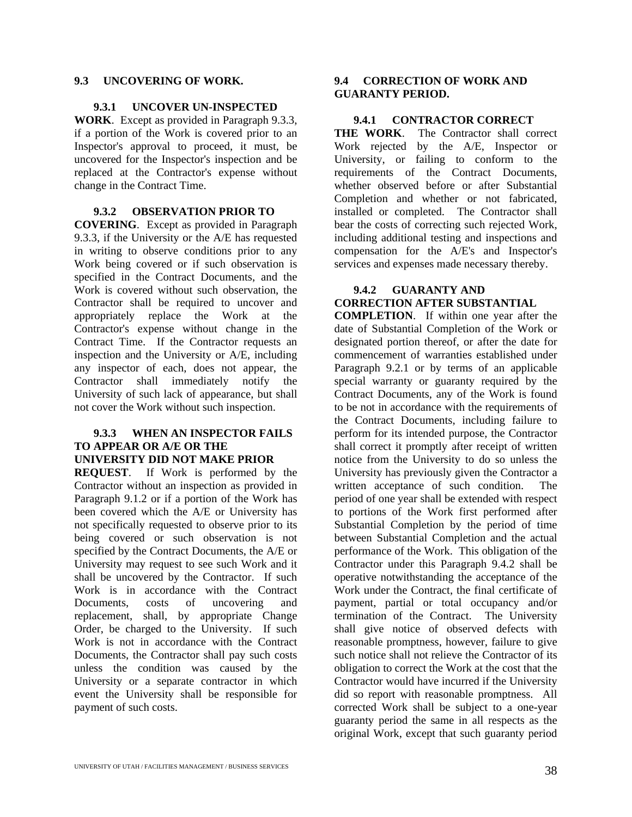#### **9.3 UNCOVERING OF WORK.**

#### **9.3.1 UNCOVER UN-INSPECTED**

**WORK**. Except as provided in Paragraph 9.3.3, if a portion of the Work is covered prior to an Inspector's approval to proceed, it must, be uncovered for the Inspector's inspection and be replaced at the Contractor's expense without change in the Contract Time.

#### **9.3.2 OBSERVATION PRIOR TO**

**COVERING**. Except as provided in Paragraph 9.3.3, if the University or the A/E has requested in writing to observe conditions prior to any Work being covered or if such observation is specified in the Contract Documents, and the Work is covered without such observation, the Contractor shall be required to uncover and appropriately replace the Work at the Contractor's expense without change in the Contract Time. If the Contractor requests an inspection and the University or A/E, including any inspector of each, does not appear, the Contractor shall immediately notify the University of such lack of appearance, but shall not cover the Work without such inspection.

#### **9.3.3 WHEN AN INSPECTOR FAILS TO APPEAR OR A/E OR THE UNIVERSITY DID NOT MAKE PRIOR**

**REQUEST**. If Work is performed by the Contractor without an inspection as provided in Paragraph 9.1.2 or if a portion of the Work has been covered which the A/E or University has not specifically requested to observe prior to its being covered or such observation is not specified by the Contract Documents, the A/E or University may request to see such Work and it shall be uncovered by the Contractor. If such Work is in accordance with the Contract Documents, costs of uncovering and replacement, shall, by appropriate Change Order, be charged to the University. If such Work is not in accordance with the Contract Documents, the Contractor shall pay such costs unless the condition was caused by the University or a separate contractor in which event the University shall be responsible for payment of such costs.

#### **9.4 CORRECTION OF WORK AND GUARANTY PERIOD.**

#### **9.4.1 CONTRACTOR CORRECT**

**THE WORK**. The Contractor shall correct Work rejected by the A/E, Inspector or University, or failing to conform to the requirements of the Contract Documents, whether observed before or after Substantial Completion and whether or not fabricated, installed or completed. The Contractor shall bear the costs of correcting such rejected Work, including additional testing and inspections and compensation for the A/E's and Inspector's services and expenses made necessary thereby.

#### **9.4.2 GUARANTY AND CORRECTION AFTER SUBSTANTIAL**

**COMPLETION**. If within one year after the date of Substantial Completion of the Work or designated portion thereof, or after the date for commencement of warranties established under Paragraph 9.2.1 or by terms of an applicable special warranty or guaranty required by the Contract Documents, any of the Work is found to be not in accordance with the requirements of the Contract Documents, including failure to perform for its intended purpose, the Contractor shall correct it promptly after receipt of written notice from the University to do so unless the University has previously given the Contractor a written acceptance of such condition. The period of one year shall be extended with respect to portions of the Work first performed after Substantial Completion by the period of time between Substantial Completion and the actual performance of the Work. This obligation of the Contractor under this Paragraph 9.4.2 shall be operative notwithstanding the acceptance of the Work under the Contract, the final certificate of payment, partial or total occupancy and/or termination of the Contract. The University shall give notice of observed defects with reasonable promptness, however, failure to give such notice shall not relieve the Contractor of its obligation to correct the Work at the cost that the Contractor would have incurred if the University did so report with reasonable promptness. All corrected Work shall be subject to a one-year guaranty period the same in all respects as the original Work, except that such guaranty period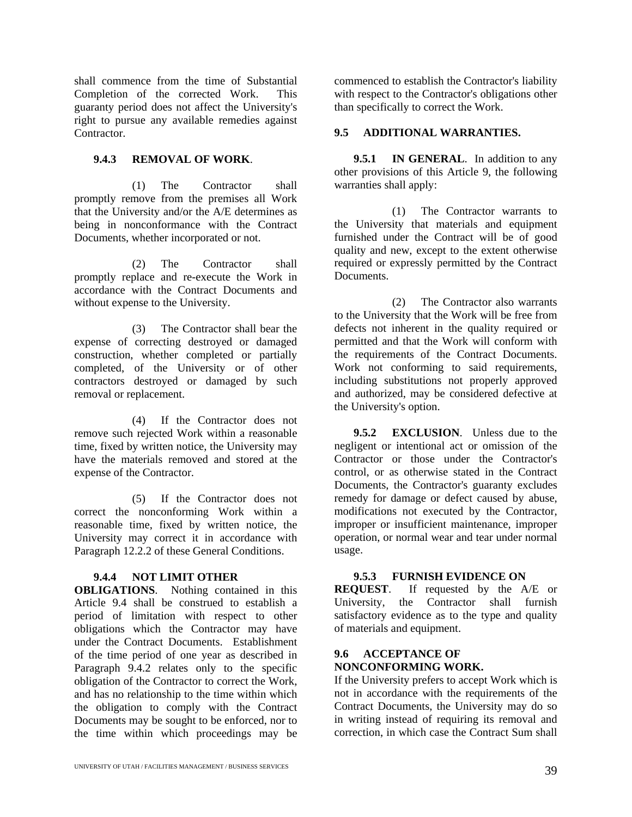shall commence from the time of Substantial Completion of the corrected Work. This guaranty period does not affect the University's right to pursue any available remedies against Contractor.

#### **9.4.3 REMOVAL OF WORK**.

(1) The Contractor shall promptly remove from the premises all Work that the University and/or the A/E determines as being in nonconformance with the Contract Documents, whether incorporated or not.

(2) The Contractor shall promptly replace and re-execute the Work in accordance with the Contract Documents and without expense to the University.

(3) The Contractor shall bear the expense of correcting destroyed or damaged construction, whether completed or partially completed, of the University or of other contractors destroyed or damaged by such removal or replacement.

(4) If the Contractor does not remove such rejected Work within a reasonable time, fixed by written notice, the University may have the materials removed and stored at the expense of the Contractor.

(5) If the Contractor does not correct the nonconforming Work within a reasonable time, fixed by written notice, the University may correct it in accordance with Paragraph 12.2.2 of these General Conditions.

#### **9.4.4 NOT LIMIT OTHER**

**OBLIGATIONS**. Nothing contained in this Article 9.4 shall be construed to establish a period of limitation with respect to other obligations which the Contractor may have under the Contract Documents. Establishment of the time period of one year as described in Paragraph 9.4.2 relates only to the specific obligation of the Contractor to correct the Work, and has no relationship to the time within which the obligation to comply with the Contract Documents may be sought to be enforced, nor to the time within which proceedings may be

commenced to establish the Contractor's liability with respect to the Contractor's obligations other than specifically to correct the Work.

#### **9.5 ADDITIONAL WARRANTIES.**

**9.5.1 IN GENERAL**. In addition to any other provisions of this Article 9, the following warranties shall apply:

(1) The Contractor warrants to the University that materials and equipment furnished under the Contract will be of good quality and new, except to the extent otherwise required or expressly permitted by the Contract Documents.

(2) The Contractor also warrants to the University that the Work will be free from defects not inherent in the quality required or permitted and that the Work will conform with the requirements of the Contract Documents. Work not conforming to said requirements, including substitutions not properly approved and authorized, may be considered defective at the University's option.

**9.5.2 EXCLUSION**. Unless due to the negligent or intentional act or omission of the Contractor or those under the Contractor's control, or as otherwise stated in the Contract Documents, the Contractor's guaranty excludes remedy for damage or defect caused by abuse, modifications not executed by the Contractor, improper or insufficient maintenance, improper operation, or normal wear and tear under normal usage.

#### **9.5.3 FURNISH EVIDENCE ON**

**REQUEST**. If requested by the A/E or University, the Contractor shall furnish satisfactory evidence as to the type and quality of materials and equipment.

#### **9.6 ACCEPTANCE OF NONCONFORMING WORK.**

If the University prefers to accept Work which is not in accordance with the requirements of the Contract Documents, the University may do so in writing instead of requiring its removal and correction, in which case the Contract Sum shall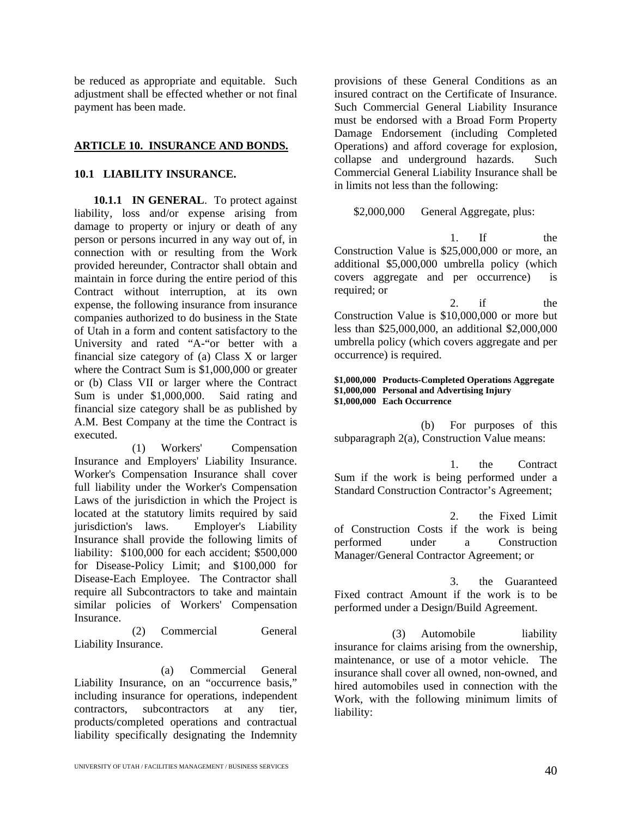be reduced as appropriate and equitable. Such adjustment shall be effected whether or not final payment has been made.

#### **ARTICLE 10. INSURANCE AND BONDS.**

#### **10.1 LIABILITY INSURANCE.**

**10.1.1 IN GENERAL**. To protect against liability, loss and/or expense arising from damage to property or injury or death of any person or persons incurred in any way out of, in connection with or resulting from the Work provided hereunder, Contractor shall obtain and maintain in force during the entire period of this Contract without interruption, at its own expense, the following insurance from insurance companies authorized to do business in the State of Utah in a form and content satisfactory to the University and rated "A-"or better with a financial size category of (a) Class X or larger where the Contract Sum is \$1,000,000 or greater or (b) Class VII or larger where the Contract Sum is under \$1,000,000. Said rating and financial size category shall be as published by A.M. Best Company at the time the Contract is executed.

(1) Workers' Compensation Insurance and Employers' Liability Insurance. Worker's Compensation Insurance shall cover full liability under the Worker's Compensation Laws of the jurisdiction in which the Project is located at the statutory limits required by said jurisdiction's laws. Employer's Liability Insurance shall provide the following limits of liability: \$100,000 for each accident; \$500,000 for Disease-Policy Limit; and \$100,000 for Disease-Each Employee. The Contractor shall require all Subcontractors to take and maintain similar policies of Workers' Compensation Insurance.

(2) Commercial General Liability Insurance.

(a) Commercial General Liability Insurance, on an "occurrence basis," including insurance for operations, independent contractors, subcontractors at any tier, products/completed operations and contractual liability specifically designating the Indemnity

provisions of these General Conditions as an insured contract on the Certificate of Insurance. Such Commercial General Liability Insurance must be endorsed with a Broad Form Property Damage Endorsement (including Completed Operations) and afford coverage for explosion, collapse and underground hazards. Such Commercial General Liability Insurance shall be in limits not less than the following:

\$2,000,000 General Aggregate, plus:

1. If the Construction Value is \$25,000,000 or more, an additional \$5,000,000 umbrella policy (which covers aggregate and per occurrence) is required; or

2. if the Construction Value is \$10,000,000 or more but less than \$25,000,000, an additional \$2,000,000 umbrella policy (which covers aggregate and per occurrence) is required.

#### **\$1,000,000 Products-Completed Operations Aggregate \$1,000,000 Personal and Advertising Injury \$1,000,000 Each Occurrence**

(b) For purposes of this subparagraph 2(a), Construction Value means:

1. the Contract Sum if the work is being performed under a Standard Construction Contractor's Agreement;

2. the Fixed Limit of Construction Costs if the work is being performed under a Construction Manager/General Contractor Agreement; or

3. the Guaranteed Fixed contract Amount if the work is to be performed under a Design/Build Agreement.

(3) Automobile liability insurance for claims arising from the ownership, maintenance, or use of a motor vehicle. The insurance shall cover all owned, non-owned, and hired automobiles used in connection with the Work, with the following minimum limits of liability: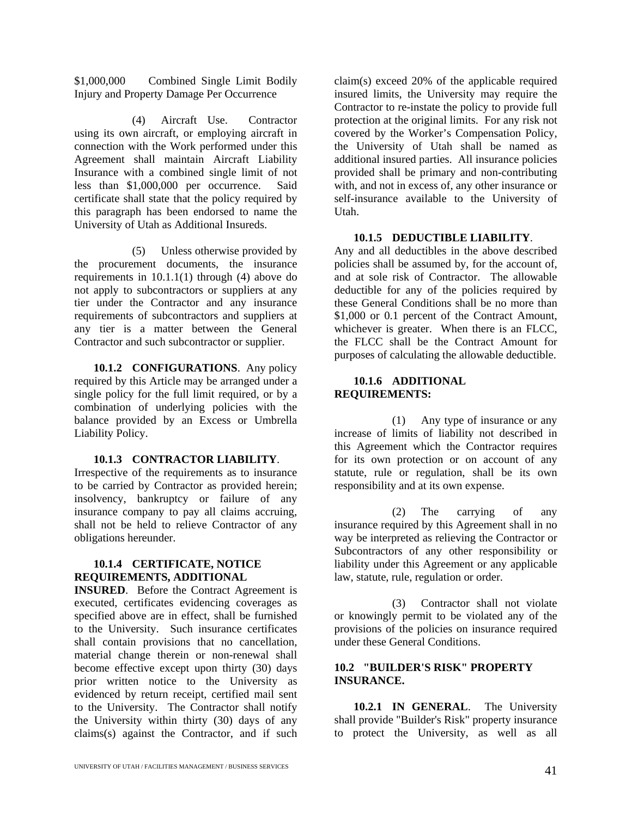\$1,000,000 Combined Single Limit Bodily Injury and Property Damage Per Occurrence

(4) Aircraft Use. Contractor using its own aircraft, or employing aircraft in connection with the Work performed under this Agreement shall maintain Aircraft Liability Insurance with a combined single limit of not less than \$1,000,000 per occurrence. Said certificate shall state that the policy required by this paragraph has been endorsed to name the University of Utah as Additional Insureds.

(5) Unless otherwise provided by the procurement documents, the insurance requirements in 10.1.1(1) through (4) above do not apply to subcontractors or suppliers at any tier under the Contractor and any insurance requirements of subcontractors and suppliers at any tier is a matter between the General Contractor and such subcontractor or supplier.

**10.1.2 CONFIGURATIONS**. Any policy required by this Article may be arranged under a single policy for the full limit required, or by a combination of underlying policies with the balance provided by an Excess or Umbrella Liability Policy.

#### **10.1.3 CONTRACTOR LIABILITY**.

Irrespective of the requirements as to insurance to be carried by Contractor as provided herein; insolvency, bankruptcy or failure of any insurance company to pay all claims accruing, shall not be held to relieve Contractor of any obligations hereunder.

#### **10.1.4 CERTIFICATE, NOTICE REQUIREMENTS, ADDITIONAL**

**INSURED**. Before the Contract Agreement is executed, certificates evidencing coverages as specified above are in effect, shall be furnished to the University. Such insurance certificates shall contain provisions that no cancellation, material change therein or non-renewal shall become effective except upon thirty (30) days prior written notice to the University as evidenced by return receipt, certified mail sent to the University. The Contractor shall notify the University within thirty (30) days of any claims(s) against the Contractor, and if such

claim(s) exceed 20% of the applicable required insured limits, the University may require the Contractor to re-instate the policy to provide full protection at the original limits. For any risk not covered by the Worker's Compensation Policy, the University of Utah shall be named as additional insured parties. All insurance policies provided shall be primary and non-contributing with, and not in excess of, any other insurance or self-insurance available to the University of Utah.

#### **10.1.5 DEDUCTIBLE LIABILITY**.

Any and all deductibles in the above described policies shall be assumed by, for the account of, and at sole risk of Contractor. The allowable deductible for any of the policies required by these General Conditions shall be no more than \$1,000 or 0.1 percent of the Contract Amount. whichever is greater. When there is an FLCC, the FLCC shall be the Contract Amount for purposes of calculating the allowable deductible.

#### **10.1.6 ADDITIONAL REQUIREMENTS:**

(1) Any type of insurance or any increase of limits of liability not described in this Agreement which the Contractor requires for its own protection or on account of any statute, rule or regulation, shall be its own responsibility and at its own expense.

(2) The carrying of any insurance required by this Agreement shall in no way be interpreted as relieving the Contractor or Subcontractors of any other responsibility or liability under this Agreement or any applicable law, statute, rule, regulation or order.

(3) Contractor shall not violate or knowingly permit to be violated any of the provisions of the policies on insurance required under these General Conditions.

#### **10.2 "BUILDER'S RISK" PROPERTY INSURANCE.**

**10.2.1 IN GENERAL**. The University shall provide "Builder's Risk" property insurance to protect the University, as well as all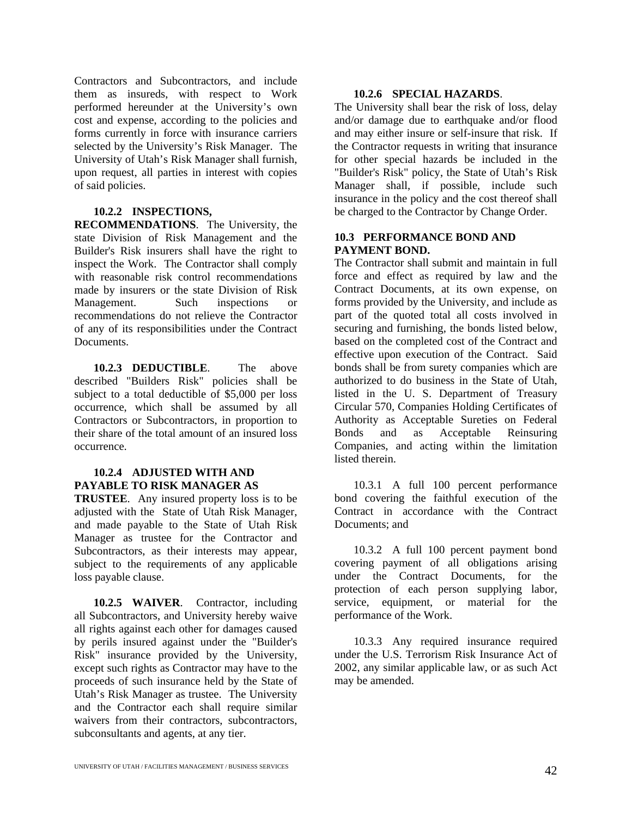Contractors and Subcontractors, and include them as insureds, with respect to Work performed hereunder at the University's own cost and expense, according to the policies and forms currently in force with insurance carriers selected by the University's Risk Manager. The University of Utah's Risk Manager shall furnish, upon request, all parties in interest with copies of said policies.

#### **10.2.2 INSPECTIONS,**

**RECOMMENDATIONS**. The University, the state Division of Risk Management and the Builder's Risk insurers shall have the right to inspect the Work. The Contractor shall comply with reasonable risk control recommendations made by insurers or the state Division of Risk Management. Such inspections or recommendations do not relieve the Contractor of any of its responsibilities under the Contract Documents.

**10.2.3 DEDUCTIBLE**. The above described "Builders Risk" policies shall be subject to a total deductible of \$5,000 per loss occurrence, which shall be assumed by all Contractors or Subcontractors, in proportion to their share of the total amount of an insured loss occurrence.

#### **10.2.4 ADJUSTED WITH AND PAYABLE TO RISK MANAGER AS**

**TRUSTEE**. Any insured property loss is to be adjusted with the State of Utah Risk Manager, and made payable to the State of Utah Risk Manager as trustee for the Contractor and Subcontractors, as their interests may appear, subject to the requirements of any applicable loss payable clause.

**10.2.5 WAIVER**. Contractor, including all Subcontractors, and University hereby waive all rights against each other for damages caused by perils insured against under the "Builder's Risk" insurance provided by the University, except such rights as Contractor may have to the proceeds of such insurance held by the State of Utah's Risk Manager as trustee. The University and the Contractor each shall require similar waivers from their contractors, subcontractors, subconsultants and agents, at any tier.

#### **10.2.6 SPECIAL HAZARDS**.

The University shall bear the risk of loss, delay and/or damage due to earthquake and/or flood and may either insure or self-insure that risk. If the Contractor requests in writing that insurance for other special hazards be included in the "Builder's Risk" policy, the State of Utah's Risk Manager shall, if possible, include such insurance in the policy and the cost thereof shall be charged to the Contractor by Change Order.

#### **10.3 PERFORMANCE BOND AND PAYMENT BOND.**

The Contractor shall submit and maintain in full force and effect as required by law and the Contract Documents, at its own expense, on forms provided by the University, and include as part of the quoted total all costs involved in securing and furnishing, the bonds listed below, based on the completed cost of the Contract and effective upon execution of the Contract. Said bonds shall be from surety companies which are authorized to do business in the State of Utah, listed in the U. S. Department of Treasury Circular 570, Companies Holding Certificates of Authority as Acceptable Sureties on Federal Bonds and as Acceptable Reinsuring Companies, and acting within the limitation listed therein.

10.3.1 A full 100 percent performance bond covering the faithful execution of the Contract in accordance with the Contract Documents; and

10.3.2 A full 100 percent payment bond covering payment of all obligations arising under the Contract Documents, for the protection of each person supplying labor, service, equipment, or material for the performance of the Work.

10.3.3 Any required insurance required under the U.S. Terrorism Risk Insurance Act of 2002, any similar applicable law, or as such Act may be amended.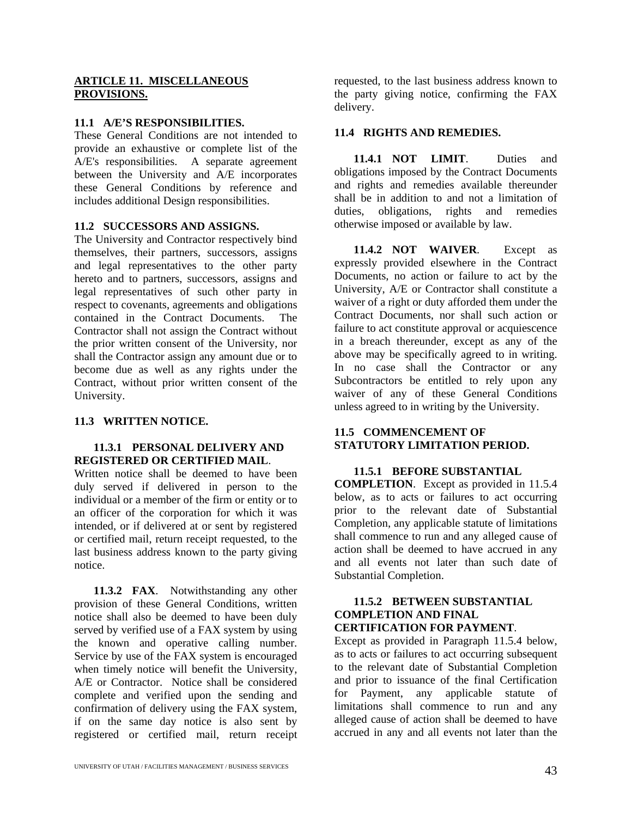#### **ARTICLE 11. MISCELLANEOUS PROVISIONS.**

#### **11.1 A/E'S RESPONSIBILITIES.**

These General Conditions are not intended to provide an exhaustive or complete list of the A/E's responsibilities. A separate agreement between the University and A/E incorporates these General Conditions by reference and includes additional Design responsibilities.

#### **11.2 SUCCESSORS AND ASSIGNS.**

The University and Contractor respectively bind themselves, their partners, successors, assigns and legal representatives to the other party hereto and to partners, successors, assigns and legal representatives of such other party in respect to covenants, agreements and obligations contained in the Contract Documents. The Contractor shall not assign the Contract without the prior written consent of the University, nor shall the Contractor assign any amount due or to become due as well as any rights under the Contract, without prior written consent of the University.

#### **11.3 WRITTEN NOTICE.**

#### **11.3.1 PERSONAL DELIVERY AND REGISTERED OR CERTIFIED MAIL**.

Written notice shall be deemed to have been duly served if delivered in person to the individual or a member of the firm or entity or to an officer of the corporation for which it was intended, or if delivered at or sent by registered or certified mail, return receipt requested, to the last business address known to the party giving notice.

**11.3.2 FAX**. Notwithstanding any other provision of these General Conditions, written notice shall also be deemed to have been duly served by verified use of a FAX system by using the known and operative calling number. Service by use of the FAX system is encouraged when timely notice will benefit the University, A/E or Contractor. Notice shall be considered complete and verified upon the sending and confirmation of delivery using the FAX system, if on the same day notice is also sent by registered or certified mail, return receipt

requested, to the last business address known to the party giving notice, confirming the FAX delivery.

#### **11.4 RIGHTS AND REMEDIES.**

**11.4.1 NOT LIMIT**. Duties and obligations imposed by the Contract Documents and rights and remedies available thereunder shall be in addition to and not a limitation of duties, obligations, rights and remedies otherwise imposed or available by law.

**11.4.2 NOT WAIVER**. Except as expressly provided elsewhere in the Contract Documents, no action or failure to act by the University, A/E or Contractor shall constitute a waiver of a right or duty afforded them under the Contract Documents, nor shall such action or failure to act constitute approval or acquiescence in a breach thereunder, except as any of the above may be specifically agreed to in writing. In no case shall the Contractor or any Subcontractors be entitled to rely upon any waiver of any of these General Conditions unless agreed to in writing by the University.

#### **11.5 COMMENCEMENT OF STATUTORY LIMITATION PERIOD.**

#### **11.5.1 BEFORE SUBSTANTIAL**

**COMPLETION**. Except as provided in 11.5.4 below, as to acts or failures to act occurring prior to the relevant date of Substantial Completion, any applicable statute of limitations shall commence to run and any alleged cause of action shall be deemed to have accrued in any and all events not later than such date of Substantial Completion.

#### **11.5.2 BETWEEN SUBSTANTIAL COMPLETION AND FINAL CERTIFICATION FOR PAYMENT**.

Except as provided in Paragraph 11.5.4 below, as to acts or failures to act occurring subsequent to the relevant date of Substantial Completion and prior to issuance of the final Certification for Payment, any applicable statute of limitations shall commence to run and any alleged cause of action shall be deemed to have accrued in any and all events not later than the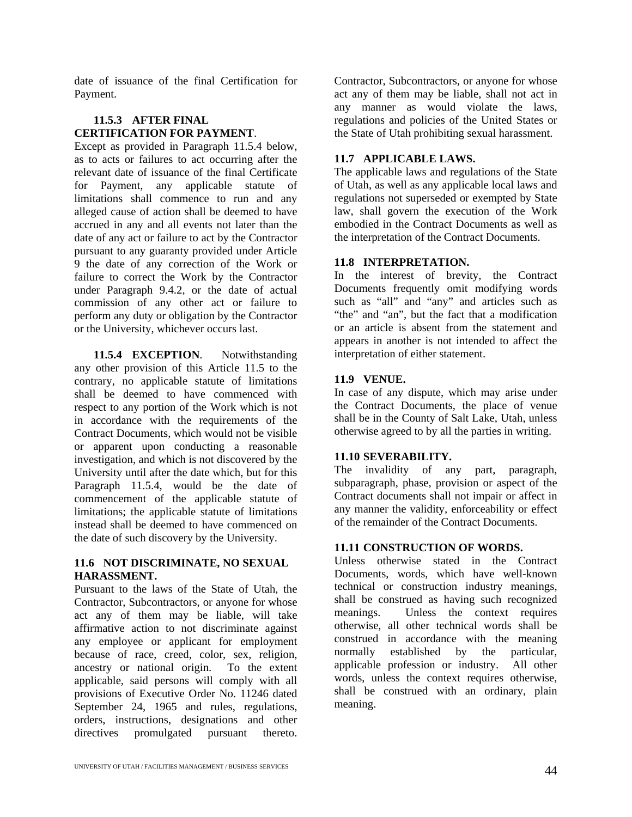date of issuance of the final Certification for Payment.

#### **11.5.3 AFTER FINAL CERTIFICATION FOR PAYMENT**.

Except as provided in Paragraph 11.5.4 below, as to acts or failures to act occurring after the relevant date of issuance of the final Certificate for Payment, any applicable statute of limitations shall commence to run and any alleged cause of action shall be deemed to have accrued in any and all events not later than the date of any act or failure to act by the Contractor pursuant to any guaranty provided under Article 9 the date of any correction of the Work or failure to correct the Work by the Contractor under Paragraph 9.4.2, or the date of actual commission of any other act or failure to perform any duty or obligation by the Contractor or the University, whichever occurs last.

**11.5.4 EXCEPTION**. Notwithstanding any other provision of this Article 11.5 to the contrary, no applicable statute of limitations shall be deemed to have commenced with respect to any portion of the Work which is not in accordance with the requirements of the Contract Documents, which would not be visible or apparent upon conducting a reasonable investigation, and which is not discovered by the University until after the date which, but for this Paragraph 11.5.4, would be the date of commencement of the applicable statute of limitations; the applicable statute of limitations instead shall be deemed to have commenced on the date of such discovery by the University.

#### **11.6 NOT DISCRIMINATE, NO SEXUAL HARASSMENT.**

Pursuant to the laws of the State of Utah, the Contractor, Subcontractors, or anyone for whose act any of them may be liable, will take affirmative action to not discriminate against any employee or applicant for employment because of race, creed, color, sex, religion, ancestry or national origin. To the extent applicable, said persons will comply with all provisions of Executive Order No. 11246 dated September 24, 1965 and rules, regulations, orders, instructions, designations and other directives promulgated pursuant thereto.

Contractor, Subcontractors, or anyone for whose act any of them may be liable, shall not act in any manner as would violate the laws, regulations and policies of the United States or the State of Utah prohibiting sexual harassment.

#### **11.7 APPLICABLE LAWS.**

The applicable laws and regulations of the State of Utah, as well as any applicable local laws and regulations not superseded or exempted by State law, shall govern the execution of the Work embodied in the Contract Documents as well as the interpretation of the Contract Documents.

#### **11.8 INTERPRETATION.**

In the interest of brevity, the Contract Documents frequently omit modifying words such as "all" and "any" and articles such as "the" and "an", but the fact that a modification or an article is absent from the statement and appears in another is not intended to affect the interpretation of either statement.

#### **11.9 VENUE.**

In case of any dispute, which may arise under the Contract Documents, the place of venue shall be in the County of Salt Lake, Utah, unless otherwise agreed to by all the parties in writing.

#### **11.10 SEVERABILITY.**

The invalidity of any part, paragraph, subparagraph, phase, provision or aspect of the Contract documents shall not impair or affect in any manner the validity, enforceability or effect of the remainder of the Contract Documents.

#### **11.11 CONSTRUCTION OF WORDS.**

Unless otherwise stated in the Contract Documents, words, which have well-known technical or construction industry meanings, shall be construed as having such recognized meanings. Unless the context requires otherwise, all other technical words shall be construed in accordance with the meaning normally established by the particular, applicable profession or industry. All other words, unless the context requires otherwise, shall be construed with an ordinary, plain meaning.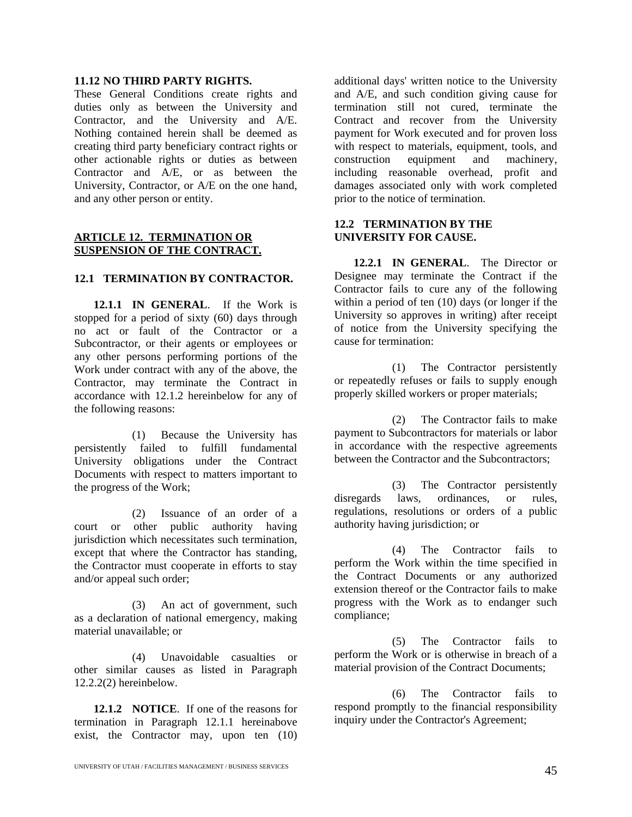#### **11.12 NO THIRD PARTY RIGHTS.**

These General Conditions create rights and duties only as between the University and Contractor, and the University and A/E. Nothing contained herein shall be deemed as creating third party beneficiary contract rights or other actionable rights or duties as between Contractor and A/E, or as between the University, Contractor, or A/E on the one hand, and any other person or entity.

#### **ARTICLE 12. TERMINATION OR SUSPENSION OF THE CONTRACT.**

#### **12.1 TERMINATION BY CONTRACTOR.**

**12.1.1 IN GENERAL**. If the Work is stopped for a period of sixty (60) days through no act or fault of the Contractor or a Subcontractor, or their agents or employees or any other persons performing portions of the Work under contract with any of the above, the Contractor, may terminate the Contract in accordance with 12.1.2 hereinbelow for any of the following reasons:

(1) Because the University has persistently failed to fulfill fundamental University obligations under the Contract Documents with respect to matters important to the progress of the Work;

(2) Issuance of an order of a court or other public authority having jurisdiction which necessitates such termination, except that where the Contractor has standing, the Contractor must cooperate in efforts to stay and/or appeal such order;

(3) An act of government, such as a declaration of national emergency, making material unavailable; or

(4) Unavoidable casualties or other similar causes as listed in Paragraph 12.2.2(2) hereinbelow.

**12.1.2 NOTICE**. If one of the reasons for termination in Paragraph 12.1.1 hereinabove exist, the Contractor may, upon ten (10)

additional days' written notice to the University and A/E, and such condition giving cause for termination still not cured, terminate the Contract and recover from the University payment for Work executed and for proven loss with respect to materials, equipment, tools, and<br>construction equipment and machinery, construction equipment and machinery, including reasonable overhead, profit and damages associated only with work completed prior to the notice of termination.

#### **12.2 TERMINATION BY THE UNIVERSITY FOR CAUSE.**

**12.2.1 IN GENERAL**. The Director or Designee may terminate the Contract if the Contractor fails to cure any of the following within a period of ten (10) days (or longer if the University so approves in writing) after receipt of notice from the University specifying the cause for termination:

(1) The Contractor persistently or repeatedly refuses or fails to supply enough properly skilled workers or proper materials;

(2) The Contractor fails to make payment to Subcontractors for materials or labor in accordance with the respective agreements between the Contractor and the Subcontractors;

(3) The Contractor persistently disregards laws, ordinances, or rules, regulations, resolutions or orders of a public authority having jurisdiction; or

(4) The Contractor fails to perform the Work within the time specified in the Contract Documents or any authorized extension thereof or the Contractor fails to make progress with the Work as to endanger such compliance;

(5) The Contractor fails to perform the Work or is otherwise in breach of a material provision of the Contract Documents;

(6) The Contractor fails to respond promptly to the financial responsibility inquiry under the Contractor's Agreement;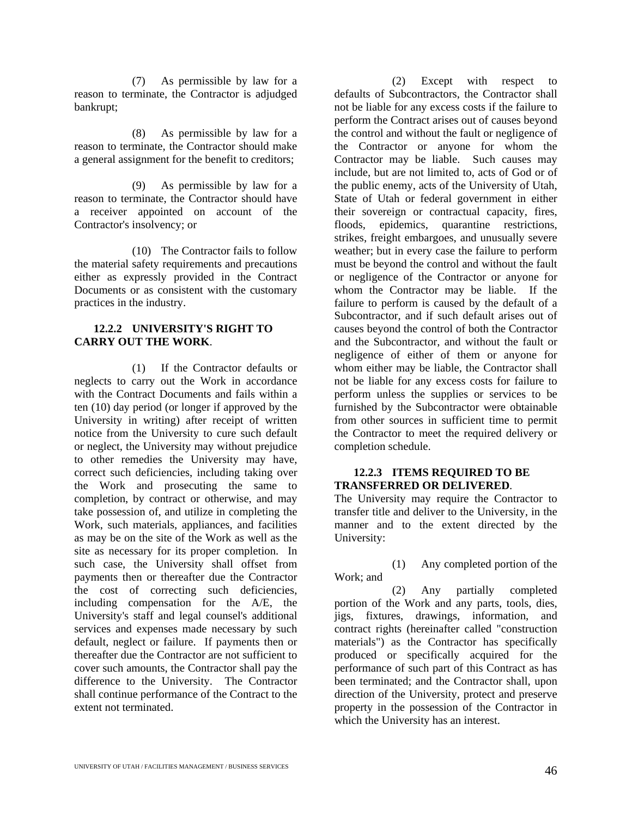(7) As permissible by law for a reason to terminate, the Contractor is adjudged bankrupt;

(8) As permissible by law for a reason to terminate, the Contractor should make a general assignment for the benefit to creditors;

(9) As permissible by law for a reason to terminate, the Contractor should have a receiver appointed on account of the Contractor's insolvency; or

(10) The Contractor fails to follow the material safety requirements and precautions either as expressly provided in the Contract Documents or as consistent with the customary practices in the industry.

#### **12.2.2 UNIVERSITY'S RIGHT TO CARRY OUT THE WORK**.

(1) If the Contractor defaults or neglects to carry out the Work in accordance with the Contract Documents and fails within a ten (10) day period (or longer if approved by the University in writing) after receipt of written notice from the University to cure such default or neglect, the University may without prejudice to other remedies the University may have, correct such deficiencies, including taking over the Work and prosecuting the same to completion, by contract or otherwise, and may take possession of, and utilize in completing the Work, such materials, appliances, and facilities as may be on the site of the Work as well as the site as necessary for its proper completion. In such case, the University shall offset from payments then or thereafter due the Contractor the cost of correcting such deficiencies, including compensation for the A/E, the University's staff and legal counsel's additional services and expenses made necessary by such default, neglect or failure. If payments then or thereafter due the Contractor are not sufficient to cover such amounts, the Contractor shall pay the difference to the University. The Contractor shall continue performance of the Contract to the extent not terminated.

(2) Except with respect to defaults of Subcontractors, the Contractor shall not be liable for any excess costs if the failure to perform the Contract arises out of causes beyond the control and without the fault or negligence of the Contractor or anyone for whom the Contractor may be liable. Such causes may include, but are not limited to, acts of God or of the public enemy, acts of the University of Utah, State of Utah or federal government in either their sovereign or contractual capacity, fires, floods, epidemics, quarantine restrictions, strikes, freight embargoes, and unusually severe weather; but in every case the failure to perform must be beyond the control and without the fault or negligence of the Contractor or anyone for whom the Contractor may be liable. If the failure to perform is caused by the default of a Subcontractor, and if such default arises out of causes beyond the control of both the Contractor and the Subcontractor, and without the fault or negligence of either of them or anyone for whom either may be liable, the Contractor shall not be liable for any excess costs for failure to perform unless the supplies or services to be furnished by the Subcontractor were obtainable from other sources in sufficient time to permit the Contractor to meet the required delivery or completion schedule.

#### **12.2.3 ITEMS REQUIRED TO BE TRANSFERRED OR DELIVERED**.

The University may require the Contractor to transfer title and deliver to the University, in the manner and to the extent directed by the University:

(1) Any completed portion of the Work; and

(2) Any partially completed portion of the Work and any parts, tools, dies, jigs, fixtures, drawings, information, and contract rights (hereinafter called "construction materials") as the Contractor has specifically produced or specifically acquired for the performance of such part of this Contract as has been terminated; and the Contractor shall, upon direction of the University, protect and preserve property in the possession of the Contractor in which the University has an interest.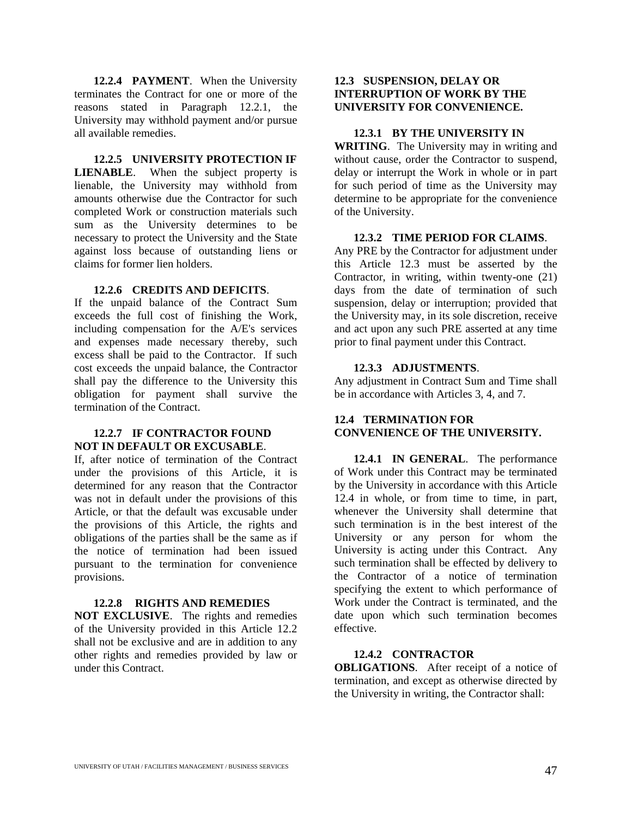**12.2.4 PAYMENT**. When the University terminates the Contract for one or more of the reasons stated in Paragraph 12.2.1, the University may withhold payment and/or pursue all available remedies.

**12.2.5 UNIVERSITY PROTECTION IF LIENABLE**. When the subject property is lienable, the University may withhold from amounts otherwise due the Contractor for such completed Work or construction materials such sum as the University determines to be necessary to protect the University and the State against loss because of outstanding liens or claims for former lien holders.

#### **12.2.6 CREDITS AND DEFICITS**.

If the unpaid balance of the Contract Sum exceeds the full cost of finishing the Work, including compensation for the A/E's services and expenses made necessary thereby, such excess shall be paid to the Contractor. If such cost exceeds the unpaid balance, the Contractor shall pay the difference to the University this obligation for payment shall survive the termination of the Contract.

#### **12.2.7 IF CONTRACTOR FOUND NOT IN DEFAULT OR EXCUSABLE**.

If, after notice of termination of the Contract under the provisions of this Article, it is determined for any reason that the Contractor was not in default under the provisions of this Article, or that the default was excusable under the provisions of this Article, the rights and obligations of the parties shall be the same as if the notice of termination had been issued pursuant to the termination for convenience provisions.

#### **12.2.8 RIGHTS AND REMEDIES**

**NOT EXCLUSIVE**. The rights and remedies of the University provided in this Article 12.2 shall not be exclusive and are in addition to any other rights and remedies provided by law or under this Contract.

#### **12.3 SUSPENSION, DELAY OR INTERRUPTION OF WORK BY THE UNIVERSITY FOR CONVENIENCE.**

#### **12.3.1 BY THE UNIVERSITY IN**

**WRITING**. The University may in writing and without cause, order the Contractor to suspend, delay or interrupt the Work in whole or in part for such period of time as the University may determine to be appropriate for the convenience of the University.

#### **12.3.2 TIME PERIOD FOR CLAIMS**.

Any PRE by the Contractor for adjustment under this Article 12.3 must be asserted by the Contractor, in writing, within twenty-one (21) days from the date of termination of such suspension, delay or interruption; provided that the University may, in its sole discretion, receive and act upon any such PRE asserted at any time prior to final payment under this Contract.

#### **12.3.3 ADJUSTMENTS**.

Any adjustment in Contract Sum and Time shall be in accordance with Articles 3, 4, and 7.

#### **12.4 TERMINATION FOR CONVENIENCE OF THE UNIVERSITY.**

**12.4.1 IN GENERAL**. The performance of Work under this Contract may be terminated by the University in accordance with this Article 12.4 in whole, or from time to time, in part, whenever the University shall determine that such termination is in the best interest of the University or any person for whom the University is acting under this Contract. Any such termination shall be effected by delivery to the Contractor of a notice of termination specifying the extent to which performance of Work under the Contract is terminated, and the date upon which such termination becomes effective.

#### **12.4.2 CONTRACTOR**

**OBLIGATIONS**. After receipt of a notice of termination, and except as otherwise directed by the University in writing, the Contractor shall: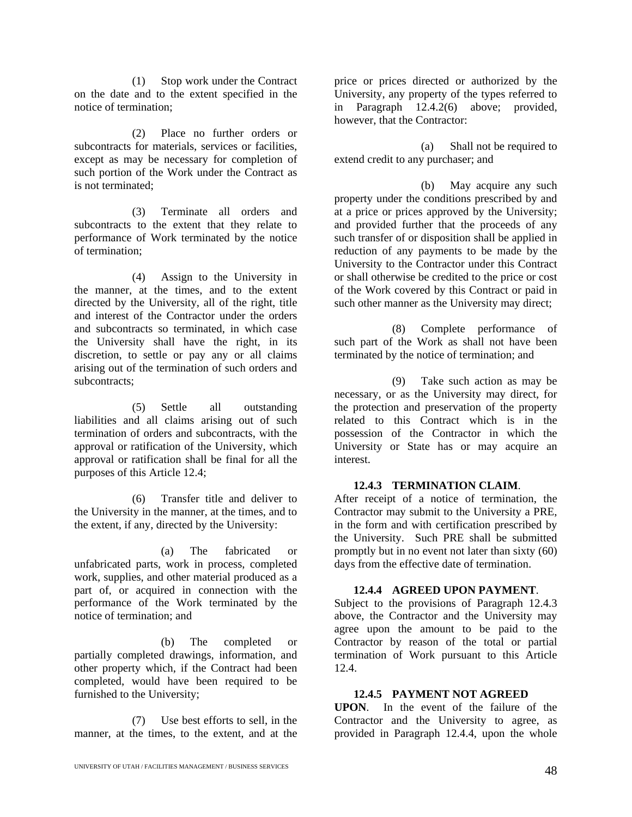(1) Stop work under the Contract on the date and to the extent specified in the notice of termination;

(2) Place no further orders or subcontracts for materials, services or facilities, except as may be necessary for completion of such portion of the Work under the Contract as is not terminated;

(3) Terminate all orders and subcontracts to the extent that they relate to performance of Work terminated by the notice of termination;

(4) Assign to the University in the manner, at the times, and to the extent directed by the University, all of the right, title and interest of the Contractor under the orders and subcontracts so terminated, in which case the University shall have the right, in its discretion, to settle or pay any or all claims arising out of the termination of such orders and subcontracts;

(5) Settle all outstanding liabilities and all claims arising out of such termination of orders and subcontracts, with the approval or ratification of the University, which approval or ratification shall be final for all the purposes of this Article 12.4;

(6) Transfer title and deliver to the University in the manner, at the times, and to the extent, if any, directed by the University:

(a) The fabricated or unfabricated parts, work in process, completed work, supplies, and other material produced as a part of, or acquired in connection with the performance of the Work terminated by the notice of termination; and

(b) The completed or partially completed drawings, information, and other property which, if the Contract had been completed, would have been required to be furnished to the University;

(7) Use best efforts to sell, in the manner, at the times, to the extent, and at the

price or prices directed or authorized by the University, any property of the types referred to in Paragraph 12.4.2(6) above; provided, however, that the Contractor:

(a) Shall not be required to extend credit to any purchaser; and

(b) May acquire any such property under the conditions prescribed by and at a price or prices approved by the University; and provided further that the proceeds of any such transfer of or disposition shall be applied in reduction of any payments to be made by the University to the Contractor under this Contract or shall otherwise be credited to the price or cost of the Work covered by this Contract or paid in such other manner as the University may direct;

(8) Complete performance of such part of the Work as shall not have been terminated by the notice of termination; and

(9) Take such action as may be necessary, or as the University may direct, for the protection and preservation of the property related to this Contract which is in the possession of the Contractor in which the University or State has or may acquire an interest.

#### **12.4.3 TERMINATION CLAIM**.

After receipt of a notice of termination, the Contractor may submit to the University a PRE, in the form and with certification prescribed by the University. Such PRE shall be submitted promptly but in no event not later than sixty (60) days from the effective date of termination.

#### **12.4.4 AGREED UPON PAYMENT**.

Subject to the provisions of Paragraph 12.4.3 above, the Contractor and the University may agree upon the amount to be paid to the Contractor by reason of the total or partial termination of Work pursuant to this Article 12.4.

#### **12.4.5 PAYMENT NOT AGREED**

**UPON**. In the event of the failure of the Contractor and the University to agree, as provided in Paragraph 12.4.4, upon the whole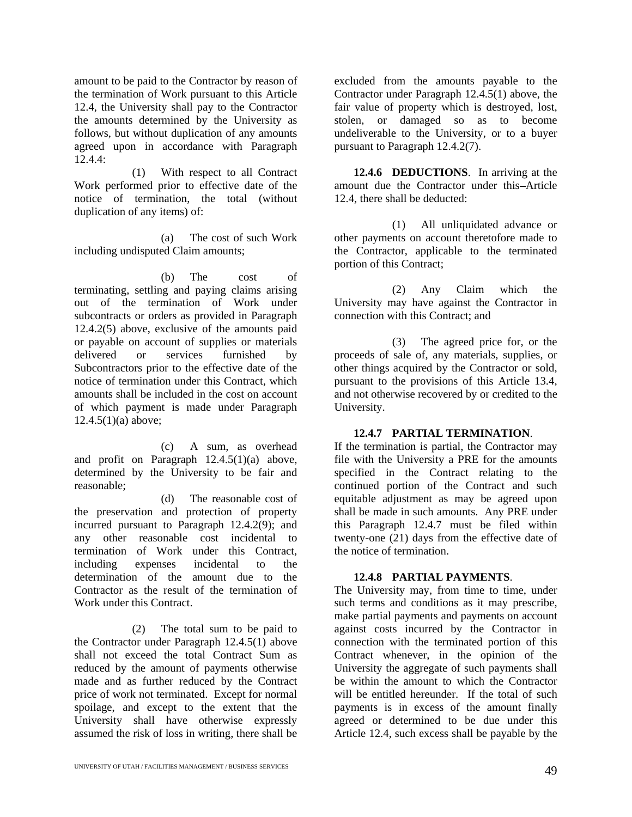amount to be paid to the Contractor by reason of the termination of Work pursuant to this Article 12.4, the University shall pay to the Contractor the amounts determined by the University as follows, but without duplication of any amounts agreed upon in accordance with Paragraph 12.4.4:

(1) With respect to all Contract Work performed prior to effective date of the notice of termination, the total (without duplication of any items) of:

(a) The cost of such Work including undisputed Claim amounts;

(b) The cost of terminating, settling and paying claims arising out of the termination of Work under subcontracts or orders as provided in Paragraph 12.4.2(5) above, exclusive of the amounts paid or payable on account of supplies or materials delivered or services furnished by Subcontractors prior to the effective date of the notice of termination under this Contract, which amounts shall be included in the cost on account of which payment is made under Paragraph  $12.4.5(1)(a)$  above;

(c) A sum, as overhead and profit on Paragraph 12.4.5(1)(a) above, determined by the University to be fair and reasonable;

(d) The reasonable cost of the preservation and protection of property incurred pursuant to Paragraph 12.4.2(9); and any other reasonable cost incidental to termination of Work under this Contract, including expenses incidental to the determination of the amount due to the Contractor as the result of the termination of Work under this Contract.

(2) The total sum to be paid to the Contractor under Paragraph 12.4.5(1) above shall not exceed the total Contract Sum as reduced by the amount of payments otherwise made and as further reduced by the Contract price of work not terminated. Except for normal spoilage, and except to the extent that the University shall have otherwise expressly assumed the risk of loss in writing, there shall be

excluded from the amounts payable to the Contractor under Paragraph 12.4.5(1) above, the fair value of property which is destroyed, lost, stolen, or damaged so as to become undeliverable to the University, or to a buyer pursuant to Paragraph 12.4.2(7).

**12.4.6 DEDUCTIONS**. In arriving at the amount due the Contractor under this-Article 12.4, there shall be deducted:

(1) All unliquidated advance or other payments on account theretofore made to the Contractor, applicable to the terminated portion of this Contract;

(2) Any Claim which the University may have against the Contractor in connection with this Contract; and

(3) The agreed price for, or the proceeds of sale of, any materials, supplies, or other things acquired by the Contractor or sold, pursuant to the provisions of this Article 13.4, and not otherwise recovered by or credited to the University.

#### **12.4.7 PARTIAL TERMINATION**.

If the termination is partial, the Contractor may file with the University a PRE for the amounts specified in the Contract relating to the continued portion of the Contract and such equitable adjustment as may be agreed upon shall be made in such amounts. Any PRE under this Paragraph 12.4.7 must be filed within twenty-one (21) days from the effective date of the notice of termination.

#### **12.4.8 PARTIAL PAYMENTS**.

The University may, from time to time, under such terms and conditions as it may prescribe, make partial payments and payments on account against costs incurred by the Contractor in connection with the terminated portion of this Contract whenever, in the opinion of the University the aggregate of such payments shall be within the amount to which the Contractor will be entitled hereunder. If the total of such payments is in excess of the amount finally agreed or determined to be due under this Article 12.4, such excess shall be payable by the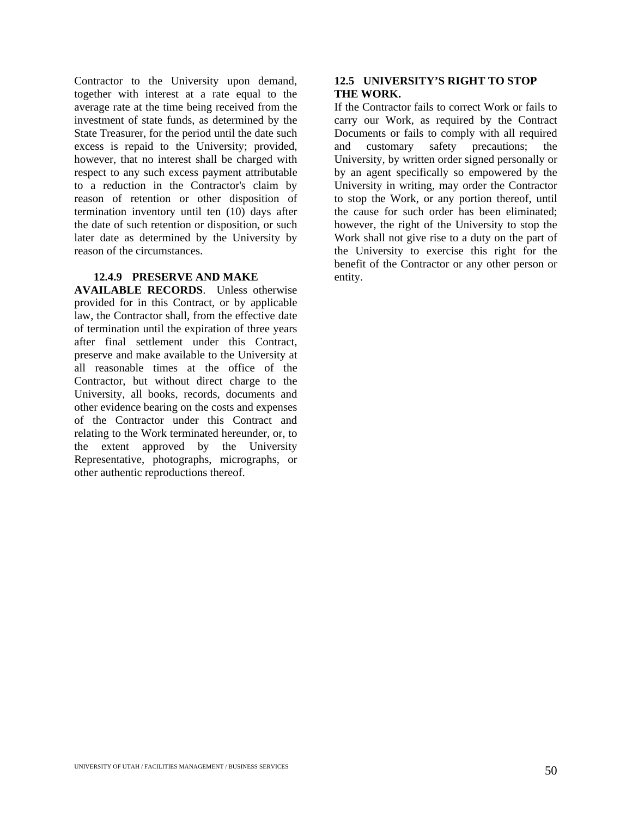Contractor to the University upon demand, together with interest at a rate equal to the average rate at the time being received from the investment of state funds, as determined by the State Treasurer, for the period until the date such excess is repaid to the University; provided, however, that no interest shall be charged with respect to any such excess payment attributable to a reduction in the Contractor's claim by reason of retention or other disposition of termination inventory until ten (10) days after the date of such retention or disposition, or such later date as determined by the University by reason of the circumstances.

#### **12.4.9 PRESERVE AND MAKE**

**AVAILABLE RECORDS**. Unless otherwise provided for in this Contract, or by applicable law, the Contractor shall, from the effective date of termination until the expiration of three years after final settlement under this Contract, preserve and make available to the University at all reasonable times at the office of the Contractor, but without direct charge to the University, all books, records, documents and other evidence bearing on the costs and expenses of the Contractor under this Contract and relating to the Work terminated hereunder, or, to the extent approved by the University Representative, photographs, micrographs, or other authentic reproductions thereof.

#### **12.5 UNIVERSITY'S RIGHT TO STOP THE WORK.**

If the Contractor fails to correct Work or fails to carry our Work, as required by the Contract Documents or fails to comply with all required and customary safety precautions; the University, by written order signed personally or by an agent specifically so empowered by the University in writing, may order the Contractor to stop the Work, or any portion thereof, until the cause for such order has been eliminated; however, the right of the University to stop the Work shall not give rise to a duty on the part of the University to exercise this right for the benefit of the Contractor or any other person or entity.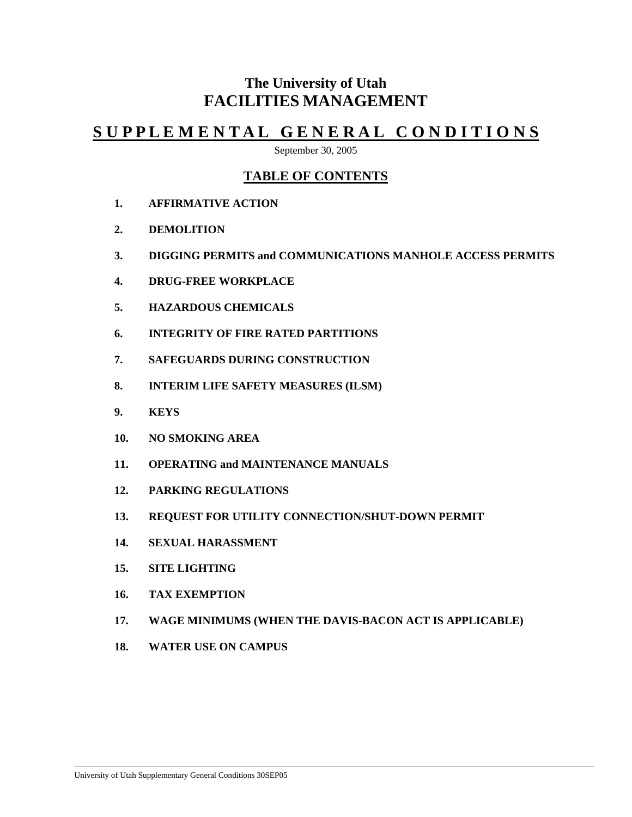# **The University of Utah FACILITIES MANAGEMENT**

# **S U P P L E M E N T A L G E N E R A L C O N D I T I O N S**

September 30, 2005

### **TABLE OF CONTENTS**

- **1. AFFIRMATIVE ACTION**
- **2. DEMOLITION**
- **3. DIGGING PERMITS and COMMUNICATIONS MANHOLE ACCESS PERMITS**
- **4. DRUG-FREE WORKPLACE**
- **5. HAZARDOUS CHEMICALS**
- **6. INTEGRITY OF FIRE RATED PARTITIONS**
- **7. SAFEGUARDS DURING CONSTRUCTION**
- **8. INTERIM LIFE SAFETY MEASURES (ILSM)**
- **9. KEYS**
- **10. NO SMOKING AREA**
- **11. OPERATING and MAINTENANCE MANUALS**
- **12. PARKING REGULATIONS**
- **13. REQUEST FOR UTILITY CONNECTION/SHUT-DOWN PERMIT**
- **14. SEXUAL HARASSMENT**
- **15. SITE LIGHTING**
- **16. TAX EXEMPTION**
- **17. WAGE MINIMUMS (WHEN THE DAVIS-BACON ACT IS APPLICABLE)**
- **18. WATER USE ON CAMPUS**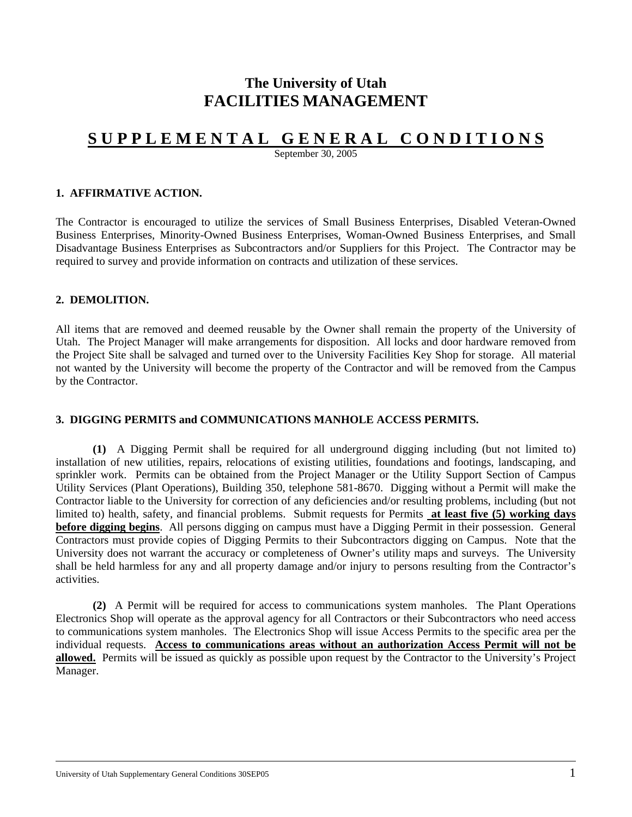# **The University of Utah FACILITIES MANAGEMENT**

# **S U P P L E M E N T A L G E N E R A L C O N D I T I O N S**

September 30, 2005

#### **1. AFFIRMATIVE ACTION.**

The Contractor is encouraged to utilize the services of Small Business Enterprises, Disabled Veteran-Owned Business Enterprises, Minority-Owned Business Enterprises, Woman-Owned Business Enterprises, and Small Disadvantage Business Enterprises as Subcontractors and/or Suppliers for this Project. The Contractor may be required to survey and provide information on contracts and utilization of these services.

#### **2. DEMOLITION.**

All items that are removed and deemed reusable by the Owner shall remain the property of the University of Utah. The Project Manager will make arrangements for disposition. All locks and door hardware removed from the Project Site shall be salvaged and turned over to the University Facilities Key Shop for storage. All material not wanted by the University will become the property of the Contractor and will be removed from the Campus by the Contractor.

#### **3. DIGGING PERMITS and COMMUNICATIONS MANHOLE ACCESS PERMITS.**

**(1)** A Digging Permit shall be required for all underground digging including (but not limited to) installation of new utilities, repairs, relocations of existing utilities, foundations and footings, landscaping, and sprinkler work. Permits can be obtained from the Project Manager or the Utility Support Section of Campus Utility Services (Plant Operations), Building 350, telephone 581-8670. Digging without a Permit will make the Contractor liable to the University for correction of any deficiencies and/or resulting problems, including (but not limited to) health, safety, and financial problems. Submit requests for Permits **at least five (5) working days before digging begins**. All persons digging on campus must have a Digging Permit in their possession. General Contractors must provide copies of Digging Permits to their Subcontractors digging on Campus. Note that the University does not warrant the accuracy or completeness of Owner's utility maps and surveys. The University shall be held harmless for any and all property damage and/or injury to persons resulting from the Contractor's activities.

**(2)** A Permit will be required for access to communications system manholes. The Plant Operations Electronics Shop will operate as the approval agency for all Contractors or their Subcontractors who need access to communications system manholes. The Electronics Shop will issue Access Permits to the specific area per the individual requests. **Access to communications areas without an authorization Access Permit will not be allowed.** Permits will be issued as quickly as possible upon request by the Contractor to the University's Project Manager.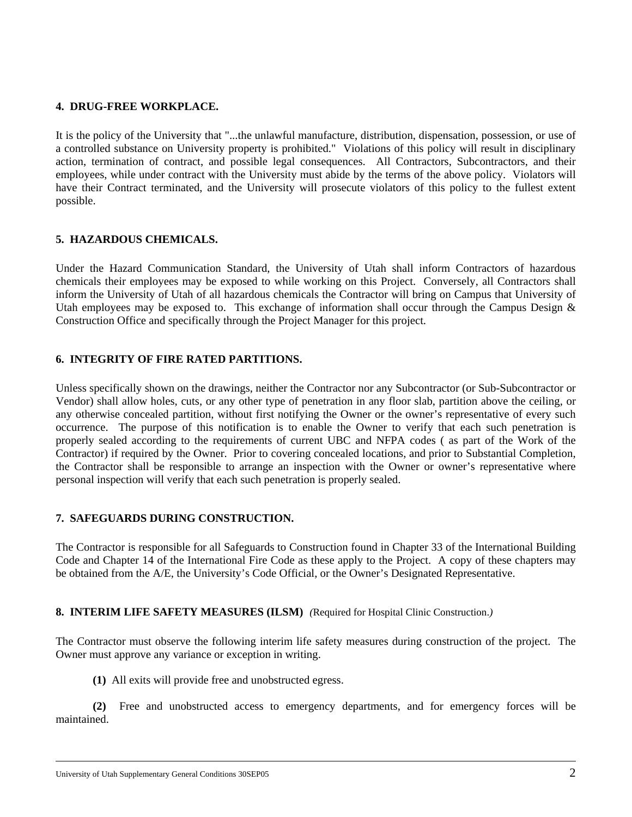#### **4. DRUG-FREE WORKPLACE.**

It is the policy of the University that "...the unlawful manufacture, distribution, dispensation, possession, or use of a controlled substance on University property is prohibited." Violations of this policy will result in disciplinary action, termination of contract, and possible legal consequences. All Contractors, Subcontractors, and their employees, while under contract with the University must abide by the terms of the above policy. Violators will have their Contract terminated, and the University will prosecute violators of this policy to the fullest extent possible.

#### **5. HAZARDOUS CHEMICALS.**

Under the Hazard Communication Standard, the University of Utah shall inform Contractors of hazardous chemicals their employees may be exposed to while working on this Project. Conversely, all Contractors shall inform the University of Utah of all hazardous chemicals the Contractor will bring on Campus that University of Utah employees may be exposed to. This exchange of information shall occur through the Campus Design  $\&$ Construction Office and specifically through the Project Manager for this project.

#### **6. INTEGRITY OF FIRE RATED PARTITIONS.**

Unless specifically shown on the drawings, neither the Contractor nor any Subcontractor (or Sub-Subcontractor or Vendor) shall allow holes, cuts, or any other type of penetration in any floor slab, partition above the ceiling, or any otherwise concealed partition, without first notifying the Owner or the owner's representative of every such occurrence. The purpose of this notification is to enable the Owner to verify that each such penetration is properly sealed according to the requirements of current UBC and NFPA codes ( as part of the Work of the Contractor) if required by the Owner. Prior to covering concealed locations, and prior to Substantial Completion, the Contractor shall be responsible to arrange an inspection with the Owner or owner's representative where personal inspection will verify that each such penetration is properly sealed.

#### **7. SAFEGUARDS DURING CONSTRUCTION.**

The Contractor is responsible for all Safeguards to Construction found in Chapter 33 of the International Building Code and Chapter 14 of the International Fire Code as these apply to the Project. A copy of these chapters may be obtained from the A/E, the University's Code Official, or the Owner's Designated Representative.

#### **8. INTERIM LIFE SAFETY MEASURES (ILSM)** *(*Required for Hospital Clinic Construction.*)*

The Contractor must observe the following interim life safety measures during construction of the project. The Owner must approve any variance or exception in writing.

**(1)** All exits will provide free and unobstructed egress.

**(2)** Free and unobstructed access to emergency departments, and for emergency forces will be maintained.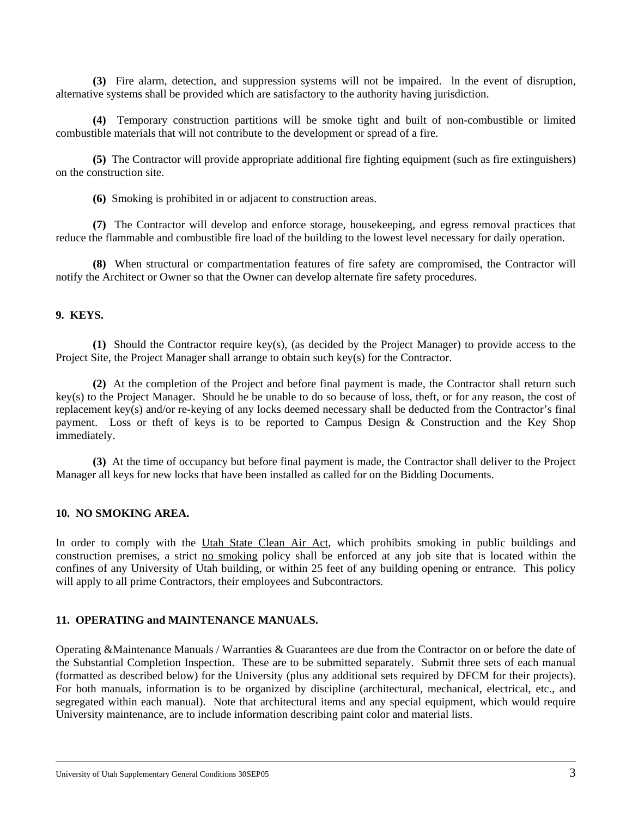**(3)** Fire alarm, detection, and suppression systems will not be impaired. ln the event of disruption, alternative systems shall be provided which are satisfactory to the authority having jurisdiction.

**(4)** Temporary construction partitions will be smoke tight and built of non-combustible or limited combustible materials that will not contribute to the development or spread of a fire.

**(5)** The Contractor will provide appropriate additional fire fighting equipment (such as fire extinguishers) on the construction site.

**(6)** Smoking is prohibited in or adjacent to construction areas.

**(7)** The Contractor will develop and enforce storage, housekeeping, and egress removal practices that reduce the flammable and combustible fire load of the building to the lowest level necessary for daily operation.

**(8)** When structural or compartmentation features of fire safety are compromised, the Contractor will notify the Architect or Owner so that the Owner can develop alternate fire safety procedures.

#### **9. KEYS.**

**(1)** Should the Contractor require key(s), (as decided by the Project Manager) to provide access to the Project Site, the Project Manager shall arrange to obtain such key(s) for the Contractor.

**(2)** At the completion of the Project and before final payment is made, the Contractor shall return such key(s) to the Project Manager. Should he be unable to do so because of loss, theft, or for any reason, the cost of replacement key(s) and/or re-keying of any locks deemed necessary shall be deducted from the Contractor's final payment. Loss or theft of keys is to be reported to Campus Design & Construction and the Key Shop immediately.

**(3)** At the time of occupancy but before final payment is made, the Contractor shall deliver to the Project Manager all keys for new locks that have been installed as called for on the Bidding Documents.

#### **10. NO SMOKING AREA.**

In order to comply with the Utah State Clean Air Act, which prohibits smoking in public buildings and construction premises, a strict no smoking policy shall be enforced at any job site that is located within the confines of any University of Utah building, or within 25 feet of any building opening or entrance. This policy will apply to all prime Contractors, their employees and Subcontractors.

#### **11. OPERATING and MAINTENANCE MANUALS.**

Operating &Maintenance Manuals / Warranties & Guarantees are due from the Contractor on or before the date of the Substantial Completion Inspection. These are to be submitted separately. Submit three sets of each manual (formatted as described below) for the University (plus any additional sets required by DFCM for their projects). For both manuals, information is to be organized by discipline (architectural, mechanical, electrical, etc., and segregated within each manual). Note that architectural items and any special equipment, which would require University maintenance, are to include information describing paint color and material lists.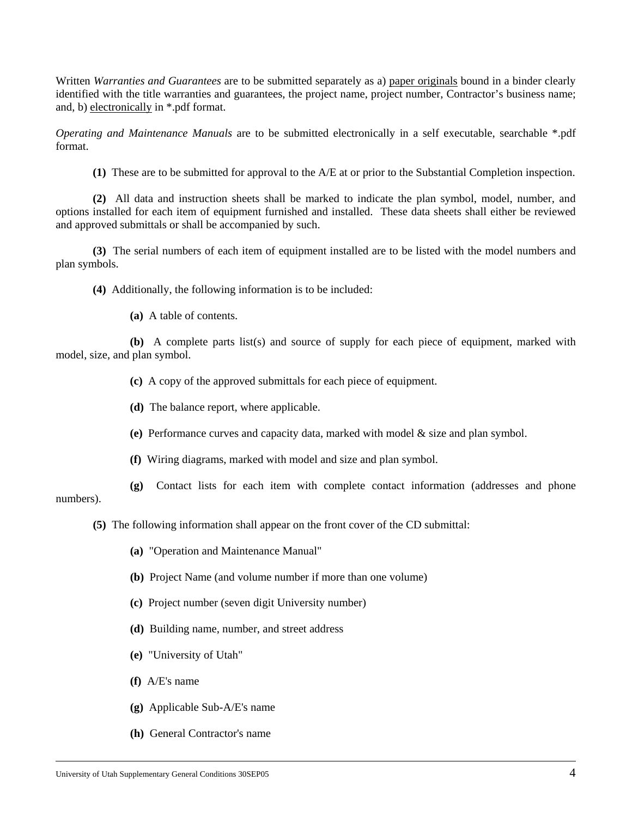Written *Warranties and Guarantees* are to be submitted separately as a) paper originals bound in a binder clearly identified with the title warranties and guarantees, the project name, project number, Contractor's business name; and, b) electronically in \*.pdf format.

*Operating and Maintenance Manuals* are to be submitted electronically in a self executable, searchable \*.pdf format.

**(1)** These are to be submitted for approval to the A/E at or prior to the Substantial Completion inspection.

**(2)** All data and instruction sheets shall be marked to indicate the plan symbol, model, number, and options installed for each item of equipment furnished and installed. These data sheets shall either be reviewed and approved submittals or shall be accompanied by such.

**(3)** The serial numbers of each item of equipment installed are to be listed with the model numbers and plan symbols.

**(4)** Additionally, the following information is to be included:

**(a)** A table of contents.

**(b)** A complete parts list(s) and source of supply for each piece of equipment, marked with model, size, and plan symbol.

**(c)** A copy of the approved submittals for each piece of equipment.

**(d)** The balance report, where applicable.

**(e)** Performance curves and capacity data, marked with model & size and plan symbol.

**(f)** Wiring diagrams, marked with model and size and plan symbol.

**(g)** Contact lists for each item with complete contact information (addresses and phone numbers).

**(5)** The following information shall appear on the front cover of the CD submittal:

**(a)** "Operation and Maintenance Manual"

**(b)** Project Name (and volume number if more than one volume)

**(c)** Project number (seven digit University number)

**(d)** Building name, number, and street address

- **(e)** "University of Utah"
- **(f)** A/E's name
- **(g)** Applicable Sub-A/E's name
- **(h)** General Contractor's name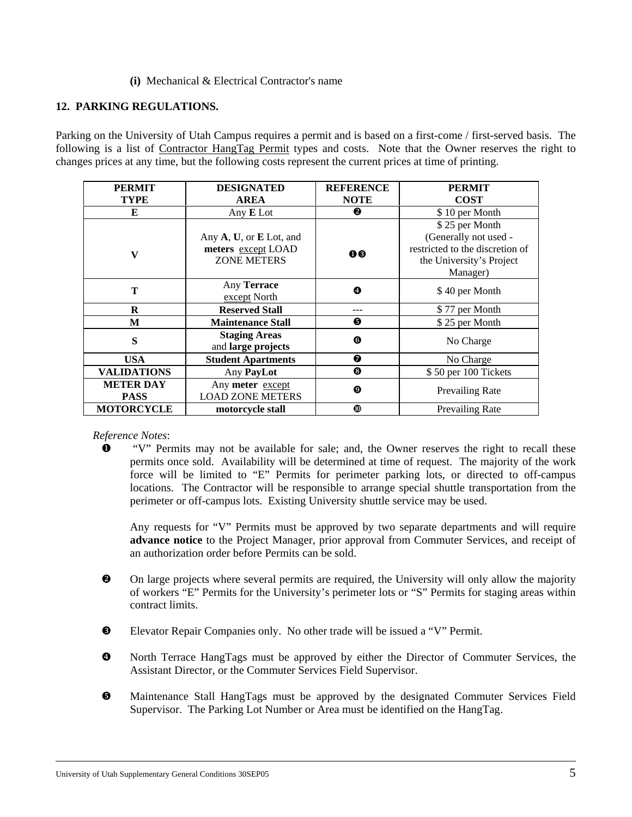#### **(i)** Mechanical & Electrical Contractor's name

#### **12. PARKING REGULATIONS.**

Parking on the University of Utah Campus requires a permit and is based on a first-come / first-served basis. The following is a list of Contractor HangTag Permit types and costs. Note that the Owner reserves the right to changes prices at any time, but the following costs represent the current prices at time of printing.

| <b>PERMIT</b>                   | <b>DESIGNATED</b>                                                   | <b>REFERENCE</b> | <b>PERMIT</b>                                                                                                      |  |
|---------------------------------|---------------------------------------------------------------------|------------------|--------------------------------------------------------------------------------------------------------------------|--|
| <b>TYPE</b>                     | <b>AREA</b>                                                         | <b>NOTE</b>      | <b>COST</b>                                                                                                        |  |
| E                               | Any $E$ Lot                                                         | ❷                | \$10 per Month                                                                                                     |  |
| V                               | Any A, U, or E Lot, and<br>meters except LOAD<br><b>ZONE METERS</b> | 00               | \$25 per Month<br>(Generally not used -<br>restricted to the discretion of<br>the University's Project<br>Manager) |  |
| T                               | Any <b>Terrace</b><br>except North                                  | $\bullet$        | \$40 per Month                                                                                                     |  |
| R                               | <b>Reserved Stall</b>                                               |                  | \$77 per Month                                                                                                     |  |
| M                               | <b>Maintenance Stall</b>                                            | ❺                | \$25 per Month                                                                                                     |  |
| S                               | <b>Staging Areas</b><br>and large projects                          | 0                | No Charge                                                                                                          |  |
| <b>USA</b>                      | <b>Student Apartments</b>                                           | ❼                | No Charge                                                                                                          |  |
| <b>VALIDATIONS</b>              | Any PayLot                                                          | ❸                | \$50 per 100 Tickets                                                                                               |  |
| <b>METER DAY</b><br><b>PASS</b> | Any meter except<br><b>LOAD ZONE METERS</b>                         | ◉                | <b>Prevailing Rate</b>                                                                                             |  |
| <b>MOTORCYCLE</b>               | motorcycle stall                                                    | ◍                | <b>Prevailing Rate</b>                                                                                             |  |

*Reference Notes*:

 "V" Permits may not be available for sale; and, the Owner reserves the right to recall these permits once sold. Availability will be determined at time of request. The majority of the work force will be limited to "E" Permits for perimeter parking lots, or directed to off-campus locations. The Contractor will be responsible to arrange special shuttle transportation from the perimeter or off-campus lots. Existing University shuttle service may be used.

Any requests for "V" Permits must be approved by two separate departments and will require **advance notice** to the Project Manager, prior approval from Commuter Services, and receipt of an authorization order before Permits can be sold.

- On large projects where several permits are required, the University will only allow the majority of workers "E" Permits for the University's perimeter lots or "S" Permits for staging areas within contract limits.
- Elevator Repair Companies only. No other trade will be issued a "V" Permit.
- North Terrace HangTags must be approved by either the Director of Commuter Services, the Assistant Director, or the Commuter Services Field Supervisor.
- Maintenance Stall HangTags must be approved by the designated Commuter Services Field Supervisor. The Parking Lot Number or Area must be identified on the HangTag.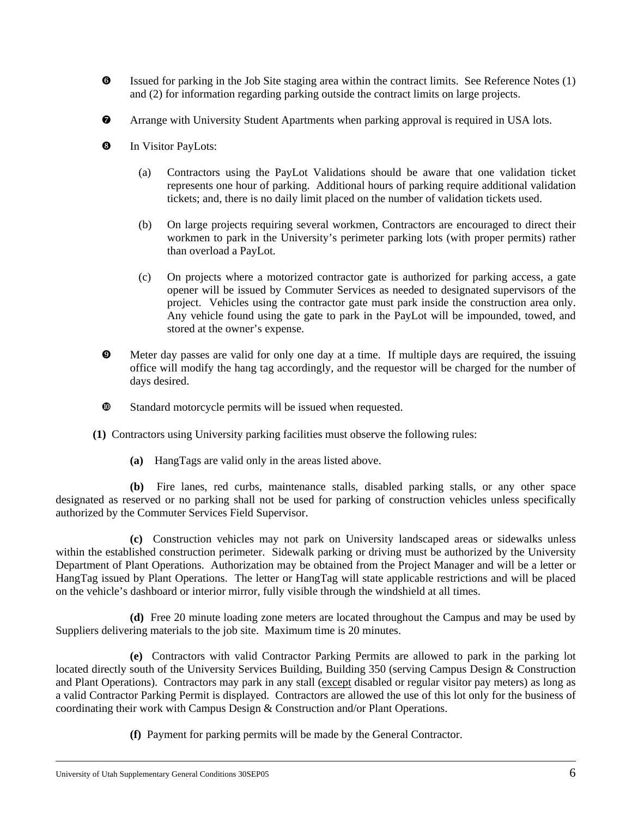- Issued for parking in the Job Site staging area within the contract limits. See Reference Notes (1) and (2) for information regarding parking outside the contract limits on large projects.
- Arrange with University Student Apartments when parking approval is required in USA lots.
- **8** In Visitor PayLots:
	- (a) Contractors using the PayLot Validations should be aware that one validation ticket represents one hour of parking. Additional hours of parking require additional validation tickets; and, there is no daily limit placed on the number of validation tickets used.
	- (b) On large projects requiring several workmen, Contractors are encouraged to direct their workmen to park in the University's perimeter parking lots (with proper permits) rather than overload a PayLot.
	- (c) On projects where a motorized contractor gate is authorized for parking access, a gate opener will be issued by Commuter Services as needed to designated supervisors of the project. Vehicles using the contractor gate must park inside the construction area only. Any vehicle found using the gate to park in the PayLot will be impounded, towed, and stored at the owner's expense.
- Meter day passes are valid for only one day at a time. If multiple days are required, the issuing office will modify the hang tag accordingly, and the requestor will be charged for the number of days desired.
- Standard motorcycle permits will be issued when requested.
- **(1)** Contractors using University parking facilities must observe the following rules:
	- **(a)** HangTags are valid only in the areas listed above.

**(b)** Fire lanes, red curbs, maintenance stalls, disabled parking stalls, or any other space designated as reserved or no parking shall not be used for parking of construction vehicles unless specifically authorized by the Commuter Services Field Supervisor.

**(c)** Construction vehicles may not park on University landscaped areas or sidewalks unless within the established construction perimeter. Sidewalk parking or driving must be authorized by the University Department of Plant Operations. Authorization may be obtained from the Project Manager and will be a letter or HangTag issued by Plant Operations. The letter or HangTag will state applicable restrictions and will be placed on the vehicle's dashboard or interior mirror, fully visible through the windshield at all times.

**(d)** Free 20 minute loading zone meters are located throughout the Campus and may be used by Suppliers delivering materials to the job site. Maximum time is 20 minutes.

**(e)** Contractors with valid Contractor Parking Permits are allowed to park in the parking lot located directly south of the University Services Building, Building 350 (serving Campus Design & Construction and Plant Operations). Contractors may park in any stall (except disabled or regular visitor pay meters) as long as a valid Contractor Parking Permit is displayed. Contractors are allowed the use of this lot only for the business of coordinating their work with Campus Design & Construction and/or Plant Operations.

**(f)** Payment for parking permits will be made by the General Contractor.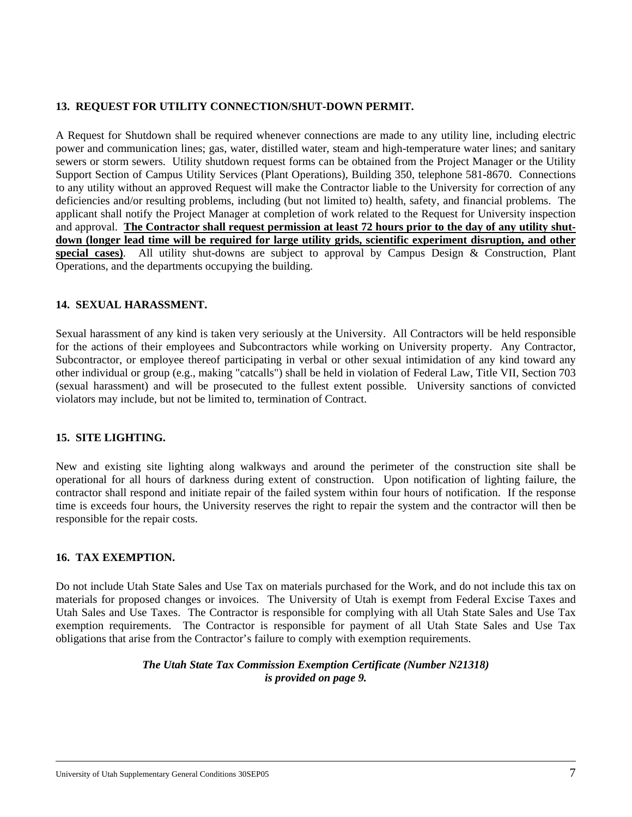#### **13. REQUEST FOR UTILITY CONNECTION/SHUT-DOWN PERMIT.**

A Request for Shutdown shall be required whenever connections are made to any utility line, including electric power and communication lines; gas, water, distilled water, steam and high-temperature water lines; and sanitary sewers or storm sewers. Utility shutdown request forms can be obtained from the Project Manager or the Utility Support Section of Campus Utility Services (Plant Operations), Building 350, telephone 581-8670. Connections to any utility without an approved Request will make the Contractor liable to the University for correction of any deficiencies and/or resulting problems, including (but not limited to) health, safety, and financial problems. The applicant shall notify the Project Manager at completion of work related to the Request for University inspection and approval. **The Contractor shall request permission at least 72 hours prior to the day of any utility shut**down (longer lead time will be required for large utility grids, scientific experiment disruption, and other **special cases)**. All utility shut-downs are subject to approval by Campus Design & Construction, Plant Operations, and the departments occupying the building.

#### **14. SEXUAL HARASSMENT.**

Sexual harassment of any kind is taken very seriously at the University. All Contractors will be held responsible for the actions of their employees and Subcontractors while working on University property. Any Contractor, Subcontractor, or employee thereof participating in verbal or other sexual intimidation of any kind toward any other individual or group (e.g., making "catcalls") shall be held in violation of Federal Law, Title VII, Section 703 (sexual harassment) and will be prosecuted to the fullest extent possible. University sanctions of convicted violators may include, but not be limited to, termination of Contract.

#### **15. SITE LIGHTING.**

New and existing site lighting along walkways and around the perimeter of the construction site shall be operational for all hours of darkness during extent of construction. Upon notification of lighting failure, the contractor shall respond and initiate repair of the failed system within four hours of notification. If the response time is exceeds four hours, the University reserves the right to repair the system and the contractor will then be responsible for the repair costs.

#### **16. TAX EXEMPTION.**

Do not include Utah State Sales and Use Tax on materials purchased for the Work, and do not include this tax on materials for proposed changes or invoices. The University of Utah is exempt from Federal Excise Taxes and Utah Sales and Use Taxes. The Contractor is responsible for complying with all Utah State Sales and Use Tax exemption requirements. The Contractor is responsible for payment of all Utah State Sales and Use Tax obligations that arise from the Contractor's failure to comply with exemption requirements.

#### *The Utah State Tax Commission Exemption Certificate (Number N21318) is provided on page 9.*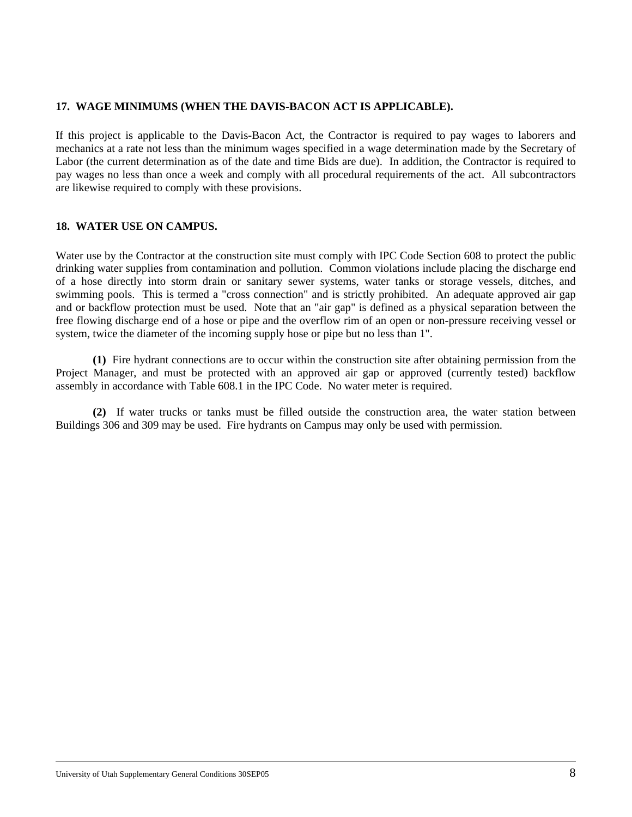#### **17. WAGE MINIMUMS (WHEN THE DAVIS-BACON ACT IS APPLICABLE).**

If this project is applicable to the Davis-Bacon Act, the Contractor is required to pay wages to laborers and mechanics at a rate not less than the minimum wages specified in a wage determination made by the Secretary of Labor (the current determination as of the date and time Bids are due). In addition, the Contractor is required to pay wages no less than once a week and comply with all procedural requirements of the act. All subcontractors are likewise required to comply with these provisions.

#### **18. WATER USE ON CAMPUS.**

Water use by the Contractor at the construction site must comply with IPC Code Section 608 to protect the public drinking water supplies from contamination and pollution. Common violations include placing the discharge end of a hose directly into storm drain or sanitary sewer systems, water tanks or storage vessels, ditches, and swimming pools. This is termed a "cross connection" and is strictly prohibited. An adequate approved air gap and or backflow protection must be used. Note that an "air gap" is defined as a physical separation between the free flowing discharge end of a hose or pipe and the overflow rim of an open or non-pressure receiving vessel or system, twice the diameter of the incoming supply hose or pipe but no less than 1".

**(1)** Fire hydrant connections are to occur within the construction site after obtaining permission from the Project Manager, and must be protected with an approved air gap or approved (currently tested) backflow assembly in accordance with Table 608.1 in the IPC Code. No water meter is required.

**(2)** If water trucks or tanks must be filled outside the construction area, the water station between Buildings 306 and 309 may be used. Fire hydrants on Campus may only be used with permission.